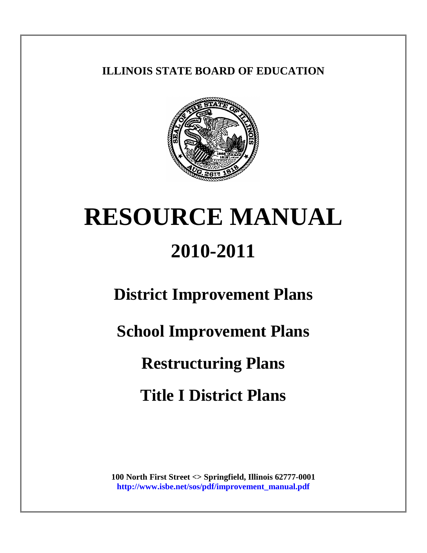# **ILLINOIS STATE BOARD OF EDUCATION**



# **RESOURCE MANUAL 2010-2011**

**District Improvement Plans**

**School Improvement Plans**

**Restructuring Plans**

**Title I District Plans**

**100 North First Street <> Springfield, Illinois 62777-0001 [http://www.isbe.net/sos/pdf/improvement\\_manual.pdf](http://www.isbe.net/sos/pdf/improvement_manual.pdf)**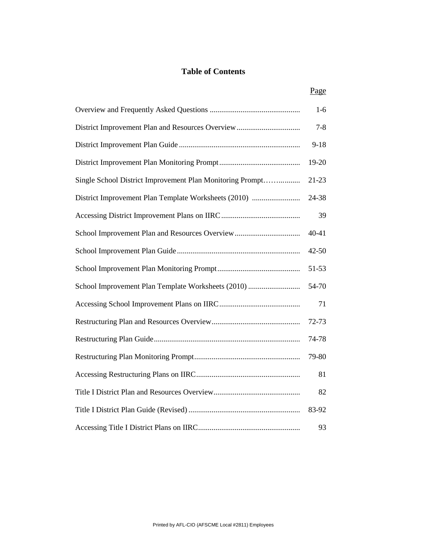#### **Table of Contents**

|--|

|                                                           | $1-6$     |
|-----------------------------------------------------------|-----------|
|                                                           | $7 - 8$   |
|                                                           | $9 - 18$  |
|                                                           | 19-20     |
| Single School District Improvement Plan Monitoring Prompt | $21 - 23$ |
| District Improvement Plan Template Worksheets (2010)      | 24-38     |
|                                                           | 39        |
| School Improvement Plan and Resources Overview            | $40 - 41$ |
|                                                           | 42-50     |
|                                                           | 51-53     |
| School Improvement Plan Template Worksheets (2010)        | 54-70     |
|                                                           | 71        |
|                                                           | 72-73     |
|                                                           | 74-78     |
|                                                           | 79-80     |
|                                                           | 81        |
|                                                           | 82        |
|                                                           | 83-92     |
|                                                           | 93        |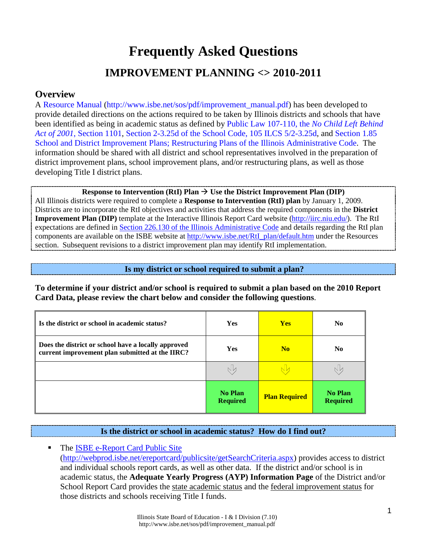# **Frequently Asked Questions IMPROVEMENT PLANNING <> 2010-2011**

## **Overview**

A [Resource Manual \(http://www.isbe.net/sos/pdf/improvement\\_manual.pdf\)](http://www.isbe.net/sos/pdf/improvement_manual.pdf) has been developed to provide detailed directions on the actions required to be taken by Illinois districts and schools that have been identified as being in academic status as defined by [Public Law 107-110, the](http://www2.ed.gov/policy/elsec/leg/esea02/pg2.html#sec1111) *No Child Left Behind Act of 2001*[, Section 1101,](http://www2.ed.gov/policy/elsec/leg/esea02/pg2.html#sec1111) [Section 2-3.25d of the School Code, 105 ILCS 5/2-3.25d,](http://www.ilga.gov/legislation/ilcs/ilcs3.asp?ActID=1005&ChapAct=105%26nbsp%3BILCS%26nbsp%3B5%2F&ChapterID=17&ChapterName=SCHOOLS&ActName=School+Code%2E) and [Section 1.85](http://www.ilga.gov/commission/jcar/admincode/023/023000010A00850R.html)  [School and District Improvement Plans; Restructuring Plans of the Illinois Administrative Code.](http://www.ilga.gov/commission/jcar/admincode/023/023000010A00850R.html) The information should be shared with all district and school representatives involved in the preparation of district improvement plans, school improvement plans, and/or restructuring plans, as well as those developing Title I district plans.

**Response to Intervention (RtI) Plan**  $\rightarrow$  **Use the District Improvement Plan (DIP)** All Illinois districts were required to complete a **Response to Intervention (RtI) plan** by January 1, 2009. Districts are to incorporate the RtI objectives and activities that address the required components in the **District Improvement Plan (DIP)** template at the Interactive Illinois Report Card website [\(http://iirc.niu.edu/\)](http://iirc.niu.edu/). The RtI expectations are defined in [Section 226.130 of the Illinois Administrative Code](http://www.ilga.gov/commission/jcar/admincode/023/023002260B01300R.html) and details regarding the RtI plan components are available on the ISBE website at [http://www.isbe.net/RtI\\_plan/default.htm](http://www.isbe.net/RtI_plan/default.htm) under the Resources section. Subsequent revisions to a district improvement plan may identify RtI implementation.

**Is my district or school required to submit a plan?**

**To determine if your district and/or school is required to submit a plan based on the 2010 Report Card Data, please review the chart below and consider the following questions**.

| Is the district or school in academic status?                                                          | <b>Yes</b>                        | <b>Yes</b>           | N <sub>0</sub>                    |
|--------------------------------------------------------------------------------------------------------|-----------------------------------|----------------------|-----------------------------------|
| Does the district or school have a locally approved<br>current improvement plan submitted at the IIRC? | <b>Yes</b>                        | N <sub>0</sub>       | N <sub>0</sub>                    |
|                                                                                                        | Νk                                |                      |                                   |
|                                                                                                        | <b>No Plan</b><br><b>Required</b> | <b>Plan Required</b> | <b>No Plan</b><br><b>Required</b> |

## **Is the district or school in academic status? How do I find out?**

• The [ISBE e-Report Card Public Site](http://webprod.isbe.net/ereportcard/publicsite/getSearchCriteria.aspx) [\(http://webprod.isbe.net/ereportcard/publicsite/getSearchCriteria.aspx\)](http://webprod.isbe.net/ereportcard/publicsite/getSearchCriteria.aspx) provides access to district and individual schools report cards, as well as other data. If the district and/or school is in academic status, the **Adequate Yearly Progress (AYP) Information Page** of the District and/or School Report Card provides the state academic status and the federal improvement status for those districts and schools receiving Title I funds.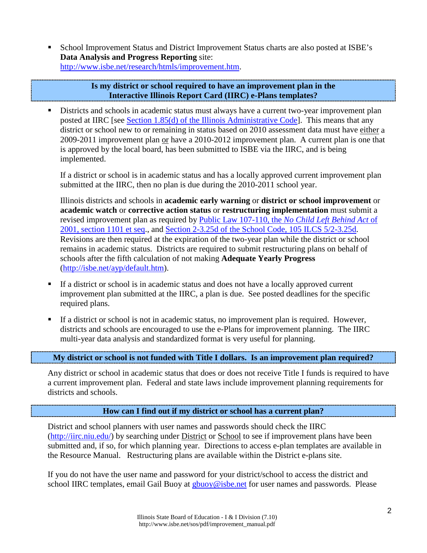School Improvement Status and District Improvement Status charts are also posted at ISBE's **Data Analysis and Progress Reporting** site: [http://www.isbe.net/research/htmls/improvement.htm.](http://www.isbe.net/research/htmls/improvement.htm)

#### **Is my district or school required to have an improvement plan in the Interactive Illinois Report Card (IIRC) e-Plans templates?**

 Districts and schools in academic status must always have a current two-year improvement plan posted at IIRC [see [Section 1.85\(d\) of the Illinois Administrative Code\]](http://www.ilga.gov/commission/jcar/admincode/023/023000010A00850R.html). This means that any district or school new to or remaining in status based on 2010 assessment data must have either a 2009-2011 improvement plan or have a 2010-2012 improvement plan. A current plan is one that is approved by the local board, has been submitted to ISBE via the IIRC, and is being implemented.

If a district or school is in academic status and has a locally approved current improvement plan submitted at the IIRC, then no plan is due during the 2010-2011 school year.

Illinois districts and schools in **academic early warning** or **district or school improvement** or **academic watch** or **corrective action status** or **restructuring implementation** must submit a revised improvement plan as required by [Public Law 107-110, the](http://www2.ed.gov/policy/elsec/leg/esea02/pg2.html#sec1111) *No Child Left Behind Act* of [2001, section 1101 et seq.](http://www2.ed.gov/policy/elsec/leg/esea02/pg2.html#sec1111), and [Section 2-3.25d of the School Code, 105 ILCS 5/2-3.25d.](http://www.ilga.gov/legislation/ilcs/ilcs3.asp?ActID=1005&ChapAct=105%26nbsp%3BILCS%26nbsp%3B5%2F&ChapterID=17&ChapterName=SCHOOLS&ActName=School+Code%2E) Revisions are then required at the expiration of the two-year plan while the district or school remains in academic status. Districts are required to submit restructuring plans on behalf of schools after the fifth calculation of not making **Adequate Yearly Progress** [\(http://isbe.net/ayp/default.htm\)](http://isbe.net/ayp/default.htm).

- If a district or school is in academic status and does not have a locally approved current improvement plan submitted at the IIRC, a plan is due. See posted deadlines for the specific required plans.
- If a district or school is not in academic status, no improvement plan is required. However, districts and schools are encouraged to use the e-Plans for improvement planning. The IIRC multi-year data analysis and standardized format is very useful for planning.

## **My district or school is not funded with Title I dollars. Is an improvement plan required?**

Any district or school in academic status that does or does not receive Title I funds is required to have a current improvement plan. Federal and state laws include improvement planning requirements for districts and schools.

## **How can I find out if my district or school has a current plan?**

District and school planners with user names and passwords should check the IIRC [\(http://iirc.niu.edu/\)](http://iirc.niu.edu/) by searching under District or School to see if improvement plans have been submitted and, if so, for which planning year. Directions to access e-plan templates are available in the Resource Manual. Restructuring plans are available within the District e-plans site.

If you do not have the user name and password for your district/school to access the district and school IIRC templates, email Gail Buoy at [gbuoy@isbe.net](mailto:gbuoy@isbe.net) for user names and passwords. Please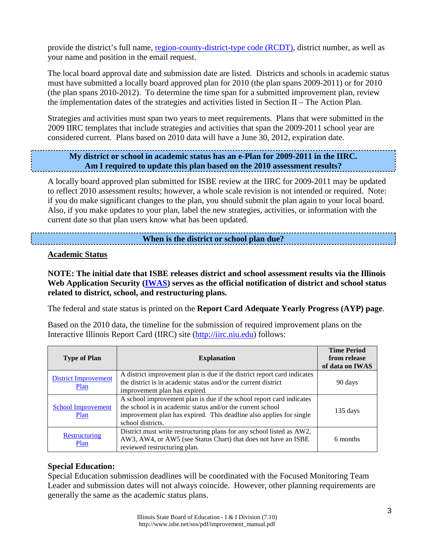provide the district's full name, [region-county-district-type code \(RCDT\),](http://www.isbe.net/research/pdfs/cds_codes.pdf) district number, as well as your name and position in the email request.

The local board approval date and submission date are listed. Districts and schools in academic status must have submitted a locally board approved plan for 2010 (the plan spans 2009-2011) or for 2010 (the plan spans 2010-2012). To determine the time span for a submitted improvement plan, review the implementation dates of the strategies and activities listed in Section II – The Action Plan.

Strategies and activities must span two years to meet requirements. Plans that were submitted in the 2009 IIRC templates that include strategies and activities that span the 2009-2011 school year are considered current. Plans based on 2010 data will have a June 30, 2012, expiration date.

## **My district or school in academic status has an e-Plan for 2009-2011 in the IIRC. Am I required to update this plan based on the 2010 assessment results?**

A locally board approved plan submitted for ISBE review at the IIRC for 2009-2011 may be updated to reflect 2010 assessment results; however, a whole scale revision is not intended or required. Note: if you do make significant changes to the plan, you should submit the plan again to your local board. Also, if you make updates to your plan, label the new strategies, activities, or information with the current date so that plan users know what has been updated.

### **When is the district or school plan due?**

#### **Academic Status**

**NOTE: The initial date that ISBE releases district and school assessment results via the Illinois Web Application Security [\(IWAS\)](https://sec1.isbe.net/iwas/asp/login.asp?js=true) serves as the official notification of district and school status related to district, school, and restructuring plans.**

The federal and state status is printed on the **Report Card Adequate Yearly Progress (AYP) page**.

Based on the 2010 data, the timeline for the submission of required improvement plans on the Interactive Illinois Report Card (IIRC) site [\(http://iirc.niu.edu\)](http://iirc.niu.edu/) follows:

| <b>Type of Plan</b>               | <b>Explanation</b>                                                                                                                                                                                                             | <b>Time Period</b><br>from release<br>of data on IWAS |
|-----------------------------------|--------------------------------------------------------------------------------------------------------------------------------------------------------------------------------------------------------------------------------|-------------------------------------------------------|
| District Improvement<br>Plan      | A district improvement plan is due if the district report card indicates<br>the district is in academic status and/or the current district<br>improvement plan has expired.                                                    | 90 days                                               |
| <b>School Improvement</b><br>Plan | A school improvement plan is due if the school report card indicates<br>the school is in academic status and/or the current school<br>improvement plan has expired. This deadline also applies for single<br>school districts. | 135 days                                              |
| Restructuring<br>Plan             | District must write restructuring plans for any school listed as AW2,<br>AW3, AW4, or AW5 (see Status Chart) that does not have an ISBE<br>reviewed restructuring plan.                                                        | 6 months                                              |

#### **Special Education:**

Special Education submission deadlines will be coordinated with the Focused Monitoring Team Leader and submission dates will not always coincide. However, other planning requirements are generally the same as the academic status plans.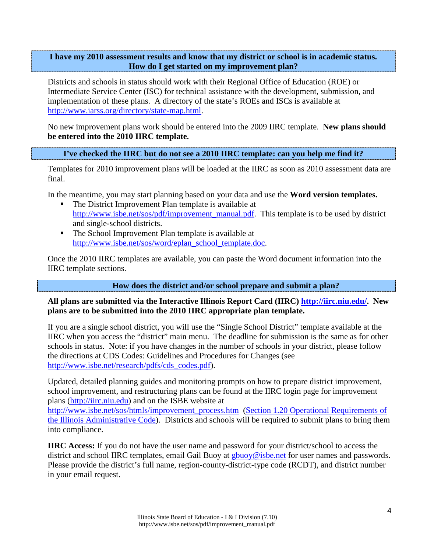**I have my 2010 assessment results and know that my district or school is in academic status. How do I get started on my improvement plan?** 

Districts and schools in status should work with their Regional Office of Education (ROE) or Intermediate Service Center (ISC) for technical assistance with the development, submission, and implementation of these plans. A directory of the state's ROEs and ISCs is available at [http://www.iarss.org/directory/state-map.html.](http://www.iarss.org/directory/state-map.html)

No new improvement plans work should be entered into the 2009 IIRC template. **New plans should be entered into the 2010 IIRC template.**

**I've checked the IIRC but do not see a 2010 IIRC template: can you help me find it?**

Templates for 2010 improvement plans will be loaded at the IIRC as soon as 2010 assessment data are final.

In the meantime, you may start planning based on your data and use the **Word version templates.**

- The District Improvement Plan template is available at [http://www.isbe.net/sos/pdf/improvement\\_manual.pdf.](http://www.isbe.net/sos/pdf/improvement_manual.pdf) This template is to be used by district and single-school districts.
- The School Improvement Plan template is available at [http://www.isbe.net/sos/word/eplan\\_school\\_template.doc.](http://www.isbe.net/sos/word/eplan_school_template.doc)

Once the 2010 IIRC templates are available, you can paste the Word document information into the IIRC template sections.

**How does the district and/or school prepare and submit a plan?**

#### **All plans are submitted via the Interactive Illinois Report Card (IIRC) [http://iirc.niu.edu/.](http://iirc.niu.edu/) New plans are to be submitted into the 2010 IIRC appropriate plan template.**

If you are a single school district, you will use the "Single School District" template available at the IIRC when you access the "district" main menu. The deadline for submission is the same as for other schools in status. Note: if you have changes in the number of schools in your district, please follow the directions at CDS Codes: Guidelines and Procedures for Changes (see [http://www.isbe.net/research/pdfs/cds\\_codes.pdf\)](http://www.isbe.net/research/pdfs/cds_codes.pdf).

Updated, detailed planning guides and monitoring prompts on how to prepare district improvement, school improvement, and restructuring plans can be found at the IIRC login page for improvement plans [\(http://iirc.niu.edu\)](http://iirc.niu.edu/) and on the ISBE website at

[http://www.isbe.net/sos/htmls/improvement\\_process.htm](http://www.isbe.net/sos/htmls/improvement_process.htm) (Section 1.20 Operational Requirements of [the Illinois Administrative Code\)](http://www.ilga.gov/commission/jcar/admincode/023/023000010A00200R.html). Districts and schools will be required to submit plans to bring them into compliance.

**IIRC Access:** If you do not have the user name and password for your district/school to access the district and school IIRC templates, email Gail Buoy at [gbuoy@isbe.net](mailto:gbuoy@isbe.net) for user names and passwords. Please provide the district's full name, region-county-district-type code (RCDT), and district number in your email request.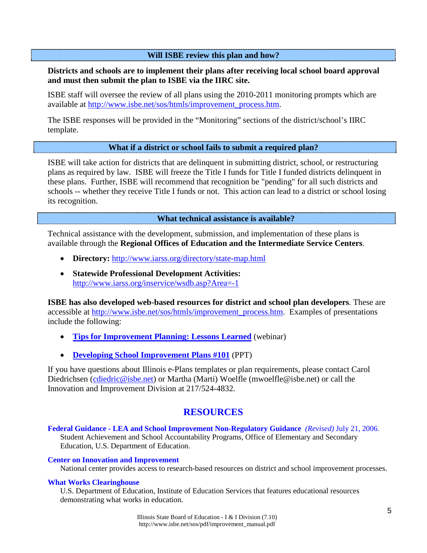**Will ISBE review this plan and how?**

## **Districts and schools are to implement their plans after receiving local school board approval and must then submit the plan to ISBE via the IIRC site.**

ISBE staff will oversee the review of all plans using the 2010-2011 monitoring prompts which are available at [http://www.isbe.net/sos/htmls/improvement\\_process.htm.](http://www.isbe.net/sos/htmls/improvement_process.htm)

The ISBE responses will be provided in the "Monitoring" sections of the district/school's IIRC template.

#### **What if a district or school fails to submit a required plan?**

ISBE will take action for districts that are delinquent in submitting district, school, or restructuring plans as required by law. ISBE will freeze the Title I funds for Title I funded districts delinquent in these plans. Further, ISBE will recommend that recognition be "pending" for all such districts and schools -- whether they receive Title I funds or not. This action can lead to a district or school losing its recognition.

#### **What technical assistance is available?**

Technical assistance with the development, submission, and implementation of these plans is available through the **Regional Offices of Education and the Intermediate Service Centers**.

- **Directory:** <http://www.iarss.org/directory/state-map.html>
- **Statewide Professional Development Activities:** <http://www.iarss.org/inservice/wsdb.asp?Area=-1>

**ISBE has also developed web-based resources for district and school plan developers**. These are accessible at [http://www.isbe.net/sos/htmls/improvement\\_process.htm.](http://www.isbe.net/sos/htmls/improvement_process.htm) Examples of presentations include the following:

- **[Tips for Improvement Planning: Lessons Learned](mms://video2.isbe.net/Improvement_Planning_060810)** (webinar)
- **[Developing School Improvement Plans #101](http://www.isbe.net/sos/ppt/SIP_development.ppt)** (PPT)

If you have questions about Illinois e-Plans templates or plan requirements, please contact Carol Diedrichsen [\(cdiedric@isbe.net\)](mailto:cdiedric@isbe.net) or Martha (Marti) Woelfle (mwoelfle@isbe.net) or call the Innovation and Improvement Division at 217/524-4832.

## **RESOURCES**

**[Federal Guidance - LEA and School Improvement Non-Regulatory Guidance](http://www.ed.gov/policy/elsec/guid/schoolimprovementguid.pdf)** *(Revised)* July 21, 2006. Student Achievement and School Accountability Programs, Office of Elementary and Secondary Education, U.S. Department of Education.

#### **[Center on Innovation and Improvement](http://www.centerii.org/)**

National center provides access to research-based resources on district and school improvement processes.

#### **[What Works Clearinghouse](http://ies.ed.gov/ncee/wwc/)**

U.S. Department of Education, Institute of Education Services that features educational resources demonstrating what works in education.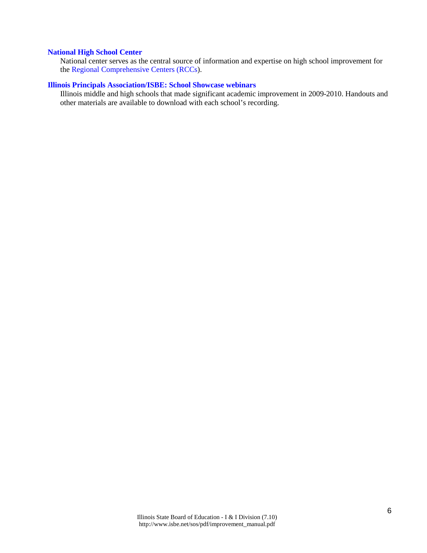#### **[National High School Center](http://www.betterhighschools.org/about/)**

National center serves as the central source of information and expertise on high school improvement for the [Regional Comprehensive Centers \(RCCs\)](http://www.betterhighschools.org/tech/map.asp).

#### **[Illinois Principals Association/ISBE: School Showcase webinars](http://www.ilprincipals.org/pages/showcase_webinars.html)**

Illinois middle and high schools that made significant academic improvement in 2009-2010. Handouts and other materials are available to download with each school's recording.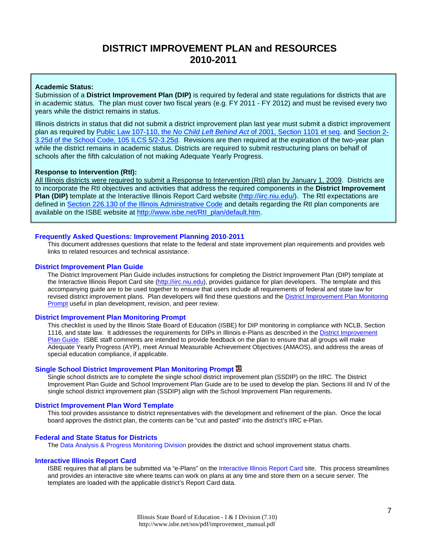## **DISTRICT IMPROVEMENT PLAN and RESOURCES 2010-2011**

#### **Academic Status:**

Submission of a **District Improvement Plan (DIP)** is required by federal and state regulations for districts that are in academic status. The plan must cover two fiscal years (e.g. FY 2011 - FY 2012) and must be revised every two years while the district remains in status.

Illinois districts in status that did not submit a district improvement plan last year must submit a district improvement plan as required by Public Law 107-110, the *No Child Left Behind Act* [of 2001, Section 1101 et seq.](http://www2.ed.gov/policy/elsec/leg/esea02/pg2.html#sec1111) and [Section 2-](http://www.ilga.gov/legislation/ilcs/ilcs3.asp?ActID=1005&ChapAct=105%26nbsp%3BILCS%26nbsp%3B5%2F&ChapterID=17&ChapterName=SCHOOLS&ActName=School+Code%2E) [3.25d of the School Code, 105 ILCS 5/2-3.25d.](http://www.ilga.gov/legislation/ilcs/ilcs3.asp?ActID=1005&ChapAct=105%26nbsp%3BILCS%26nbsp%3B5%2F&ChapterID=17&ChapterName=SCHOOLS&ActName=School+Code%2E) Revisions are then required at the expiration of the two-year plan while the district remains in academic status. Districts are required to submit restructuring plans on behalf of schools after the fifth calculation of not making Adequate Yearly Progress.

#### **Response to Intervention (RtI):**

All Illinois districts were required to submit a Response to Intervention (RtI) plan by January 1, 2009. Districts are to incorporate the RtI objectives and activities that address the required components in the **District Improvement Plan (DIP)** template at the Interactive Illinois Report Card website [\(http://iirc.niu.edu/\)](http://iirc.niu.edu/). The RtI expectations are defined in [Section 226.130 of the Illinois Administrative Code](http://www.ilga.gov/commission/jcar/admincode/023/023002260B01300R.html) and details regarding the RtI plan components are available on the ISBE website at [http://www.isbe.net/RtI\\_plan/default.htm.](http://www.isbe.net/RtI_plan/default.htm)

#### **[Frequently Asked Questions: Improvement Planning 2010](http://www.isbe.net/sos/pdf/imp_plans_faq.pdf)**-**2011**

This document addresses questions that relate to the federal and state improvement plan requirements and provides web links to related resources and technical assistance.

#### **[District Improvement](http://www.isbe.net/sos/pdf/dip_guide.pdf) Plan Guide**

The District Improvement Plan Guide includes instructions for completing the District Improvement Plan (DIP) template at the Interactive Illinois Report Card site [\(http://iirc.niu.edu\)](http://iirc.niu.edu/), provides guidance for plan developers. The template and this accompanying guide are to be used together to ensure that users include all requirements of federal and state law for revised district improvement plans. Plan developers will find these questions and the District Improvement Plan Monitoring [Prompt](http://www.isbe.net/sos/pdf/dip_monitoring.pdf) useful in plan development, revision, and peer review.

#### **[District Improvement Plan Monitoring Prompt](http://www.isbe.net/sos/pdf/dip_monitoring.pdf)**

This checklist is used by the Illinois State Board of Education (ISBE) for DIP monitoring in compliance with NCLB, Section 1116, and state law. It addresses the requirements for DIPs in Illinois e-Plans as described in th[e District Improvement](http://www.isbe.net/sos/pdf/dip_guide.pdf)  [Plan Guide.](http://www.isbe.net/sos/pdf/dip_guide.pdf) ISBE staff comments are intended to provide feedback on the plan to ensure that all groups will make Adequate Yearly Progress (AYP), meet Annual Measurable Achievement Objectives (AMAOS), and address the areas of special education compliance, if applicable.

#### **[Single School District Improvement Plan Monitoring Prompt](http://www.isbe.net/sos/pdf/dip_single_school.pdf)**

Single school districts are to complete the single school district improvement plan (SSDIP) on the IIRC. The District Improvement Plan Guide and School Improvement Plan Guide are to be used to develop the plan. Sections III and IV of the single school district improvement plan (SSDIP) align with the School Improvement Plan requirements.

#### **[District Improvement Plan Word Template](http://www.isbe.net/sos/word/eplan_template_districts.doc)**

This tool provides assistance to district representatives with the development and refinement of the plan. Once the local board approves the district plan, the contents can be "cut and pasted" into the district's IIRC e-Plan.

#### **Federal and State Status for Districts**

The [Data Analysis & Progress Monitoring Division](http://www.isbe.net/research/htmls/improvement.htm) provides the district and school improvement status charts.

#### **[Interactive Illinois Report Card](http://iirc.niu.edu/)**

ISBE requires that all plans be submitted via "e-Plans" on the [Interactive Illinois Report Card](http://iirc.niu.edu/) site. This process streamlines and provides an interactive site where teams can work on plans at any time and store them on a secure server. The templates are loaded with the applicable district's Report Card data.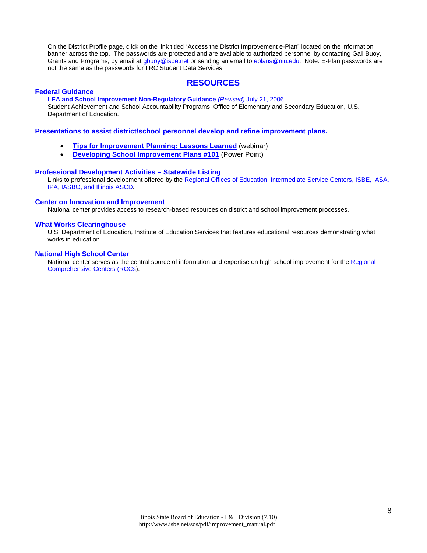On the District Profile page, click on the link titled "Access the District Improvement e-Plan" located on the information banner across the top. The passwords are protected and are available to authorized personnel by contacting Gail Buoy, Grants and Programs, by email a[t gbuoy@isbe.net](mailto:gbuoy@isbe.net) or sending an email to [eplans@niu.edu.](mailto:eplans@niu.edu) Note: E-Plan passwords are not the same as the passwords for IIRC Student Data Services.

#### **RESOURCES**

#### **[Federal Guidance](http://www.ed.gov/policy/elsec/guid/schoolimprovementguid.pdf)**

**[LEA and School Improvement Non-Regulatory Guidance](http://www.ed.gov/policy/elsec/guid/schoolimprovementguid.pdf)** *(Revised)* July 21, 2006

Student Achievement and School Accountability Programs, Office of Elementary and Secondary Education, U.S. Department of Education.

**Presentations to assist district/school personnel develop and refine improvement plans.** 

- **[Tips for Improvement Planning: Lessons Learned](mms://video2.isbe.net/Improvement_Planning_060810)** (webinar)
- **[Developing School Improvement Plans #101](http://www.isbe.net/sos/ppt/SIP_development.ppt)** (Power Point)

#### **[Professional Development Activities – Statewide Listing](http://www.iarss.org/Development.asp)**

Links to professional development offered by th[e Regional Offices of Education, Intermediate Service Centers, ISBE, IASA,](http://www.iarss.org/directory/state-map.html)  [IPA, IASBO, and Illinois ASCD.](http://www.iarss.org/directory/state-map.html) 

#### **[Center on Innovation and Improvement](http://www.centerii.org/)**

National center provides access to research-based resources on district and school improvement processes.

#### **What Works [Clearinghouse](http://ies.ed.gov/ncee/wwc/)**

U.S. Department of Education, Institute of Education Services that features educational resources demonstrating what works in education.

#### **[National High School Center](http://www.betterhighschools.org/about/)**

National center serves as the central source of information and expertise on high school improvement for the [Regional](http://www.betterhighschools.org/tech/map.asp)  [Comprehensive Centers \(RCCs\)](http://www.betterhighschools.org/tech/map.asp).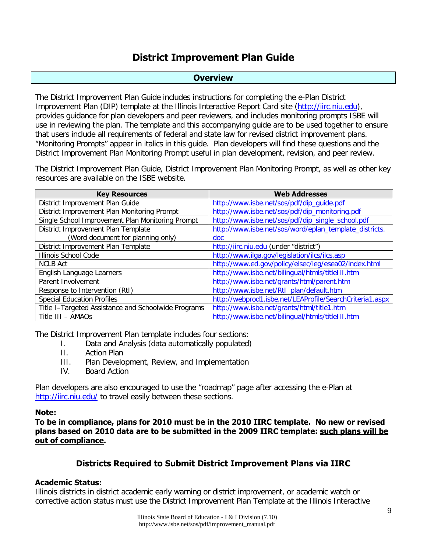## **District Improvement Plan Guide**

#### **Overview**

The District Improvement Plan Guide includes instructions for completing the e-Plan District Improvement Plan (DIP) template at the Illinois Interactive Report Card site [\(http://iirc.niu.edu\)](http://iirc.niu.edu/), provides guidance for plan developers and peer reviewers, and includes monitoring prompts ISBE will use in reviewing the plan. The template and this accompanying guide are to be used together to ensure that users include all requirements of federal and state law for revised district improvement plans. "Monitoring Prompts" appear in italics in this guide. Plan developers will find these questions and the District Improvement Plan Monitoring Prompt useful in plan development, revision, and peer review.

The District Improvement Plan Guide, District Improvement Plan Monitoring Prompt, as well as other key resources are available on the ISBE website.

| <b>Key Resources</b>                                | <b>Web Addresses</b>                                     |
|-----------------------------------------------------|----------------------------------------------------------|
| District Improvement Plan Guide                     | http://www.isbe.net/sos/pdf/dip_guide.pdf                |
| District Improvement Plan Monitoring Prompt         | http://www.isbe.net/sos/pdf/dip_monitoring.pdf           |
| Single School Improvement Plan Monitoring Prompt    | http://www.isbe.net/sos/pdf/dip_single_school.pdf        |
| District Improvement Plan Template                  | http://www.isbe.net/sos/word/eplan_template_districts.   |
| (Word document for planning only)                   | doc.                                                     |
| District Improvement Plan Template                  | http://iirc.niu.edu (under "district")                   |
| <b>Illinois School Code</b>                         | http://www.ilga.gov/legislation/ilcs/ilcs.asp            |
| <b>NCLB Act</b>                                     | http://www.ed.gov/policy/elsec/leg/esea02/index.html     |
| English Language Learners                           | http://www.isbe.net/bilingual/htmls/titleIII.htm         |
| Parent Involvement                                  | http://www.isbe.net/grants/html/parent.htm               |
| Response to Intervention (RtI)                      | http://www.isbe.net/RtI_plan/default.htm                 |
| <b>Special Education Profiles</b>                   | http://webprod1.isbe.net/LEAProfile/SearchCriteria1.aspx |
| Title I-Targeted Assistance and Schoolwide Programs | http://www.isbe.net/grants/html/title1.htm               |
| Title III - AMAOs                                   | http://www.isbe.net/bilingual/htmls/title111.htm         |

The District Improvement Plan template includes four sections:

- I. Data and Analysis (data automatically populated)
- II. Action Plan
- III. Plan Development, Review, and Implementation
- IV. Board Action

Plan developers are also encouraged to use the "roadmap" page after accessing the e-Plan at <http://iirc.niu.edu/> to travel easily between these sections.

#### **Note:**

**To be in compliance, plans for 2010 must be in the 2010 IIRC template. No new or revised plans based on 2010 data are to be submitted in the 2009 IIRC template: such plans will be out of compliance.** 

## **Districts Required to Submit District Improvement Plans via IIRC**

## **Academic Status:**

Illinois districts in district academic early warning or district improvement, or academic watch or corrective action status must use the District Improvement Plan Template at the Illinois Interactive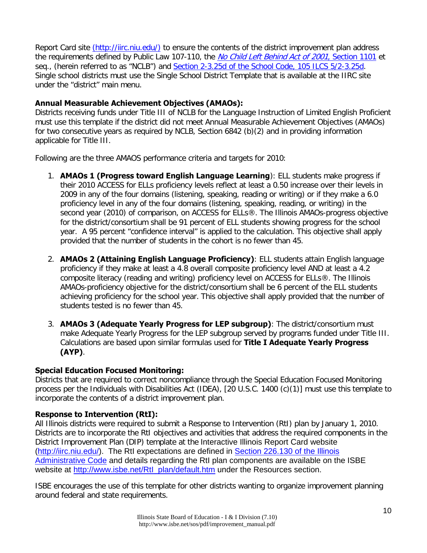Report Card site [\(http://iirc.niu.edu/\)](http://iirc.niu.edu/)) to ensure the contents of the district improvement plan address the requirements defined by Public Law 107-110, the [No Child Left Behind Act of 2001](http://www2.ed.gov/policy/elsec/leg/esea02/pg2.html#sec1111), Section 1101 et seq., (herein referred to as "NCLB") and [Section 2-3.25d of the School Code, 105 ILCS 5/2-3.25d.](http://www.ilga.gov/legislation/ilcs/ilcs3.asp?ActID=1005&ChapAct=105%26nbsp%3BILCS%26nbsp%3B5%2F&ChapterID=17&ChapterName=SCHOOLS&ActName=School+Code%2E) Single school districts must use the Single School District Template that is available at the IIRC site under the "district" main menu.

## **Annual Measurable Achievement Objectives (AMAOs):**

Districts receiving funds under Title III of NCLB for the Language Instruction of Limited English Proficient must use this template if the district did not meet Annual Measurable Achievement Objectives (AMAOs) for two consecutive years as required by NCLB, Section 6842 (b)(2) and in providing information applicable for Title III.

Following are the three AMAOS performance criteria and targets for 2010:

- 1. **AMAOs 1 (Progress toward English Language Learning**): ELL students make progress if their 2010 ACCESS for ELLs proficiency levels reflect at least a 0.50 increase over their levels in 2009 in any of the four domains (listening, speaking, reading or writing) or if they make a 6.0 proficiency level in any of the four domains (listening, speaking, reading, or writing) in the second year (2010) of comparison, on ACCESS for ELLs®. The Illinois AMAOs-progress objective for the district/consortium shall be 91 percent of ELL students showing progress for the school year. A 95 percent "confidence interval" is applied to the calculation. This objective shall apply provided that the number of students in the cohort is no fewer than 45.
- 2. **AMAOs 2 (Attaining English Language Proficiency)**: ELL students attain English language proficiency if they make at least a 4.8 overall composite proficiency level AND at least a 4.2 composite literacy (reading and writing) proficiency level on ACCESS for ELLs®. The Illinois AMAOs-proficiency objective for the district/consortium shall be 6 percent of the ELL students achieving proficiency for the school year. This objective shall apply provided that the number of students tested is no fewer than 45.
- 3. **AMAOs 3 (Adequate Yearly Progress for LEP subgroup)**: The district/consortium must make Adequate Yearly Progress for the LEP subgroup served by programs funded under Title III. Calculations are based upon similar formulas used for **Title I Adequate Yearly Progress (AYP)**.

## **Special Education Focused Monitoring:**

Districts that are required to correct noncompliance through the Special Education Focused Monitoring process per the Individuals with Disabilities Act (IDEA), [20 U.S.C. 1400 (c)(1)] must use this template to incorporate the contents of a district improvement plan.

## **Response to Intervention (RtI):**

All Illinois districts were required to submit a Response to Intervention (RtI) plan by January 1, 2010. Districts are to incorporate the RtI objectives and activities that address the required components in the District Improvement Plan (DIP) template at the Interactive Illinois Report Card website [\(http://iirc.niu.edu/\)](http://iirc.niu.edu/). The RtI expectations are defined in [Section 226.130 of the Illinois](http://www.ilga.gov/commission/jcar/admincode/023/023002260B01300R.html)  [Administrative Code](http://www.ilga.gov/commission/jcar/admincode/023/023002260B01300R.html) and details regarding the RtI plan components are available on the ISBE website at [http://www.isbe.net/RtI\\_plan/default.htm](http://www.isbe.net/RtI_plan/default.htm) under the Resources section.

ISBE encourages the use of this template for other districts wanting to organize improvement planning around federal and state requirements.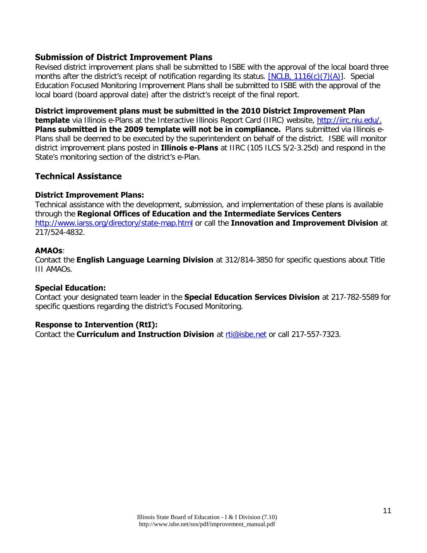## **Submission of District Improvement Plans**

Revised district improvement plans shall be submitted to ISBE with the approval of the local board three months after the district's receipt of notification regarding its status. [\[NCLB, 1116\(c\)\(7\)\(A\)\]](http://www.ilga.gov/legislation/ilcs/ilcs3.asp?ActID=1005&ChapAct=105%26nbsp%3BILCS%26nbsp%3B5%2F&ChapterID=17&ChapterName=SCHOOLS&ActName=School+Code%2E). Special Education Focused Monitoring Improvement Plans shall be submitted to ISBE with the approval of the local board (board approval date) after the district's receipt of the final report.

#### **District improvement plans must be submitted in the 2010 District Improvement Plan**

**template** via Illinois e-Plans at the Interactive Illinois Report Card (IIRC) website, http://iirc.niu.edu/. **Plans submitted in the 2009 template will not be in compliance.** Plans submitted via Illinois e-Plans shall be deemed to be executed by the superintendent on behalf of the district. ISBE will monitor district improvement plans posted in **Illinois e-Plans** at IIRC (105 ILCS 5/2-3.25d) and respond in the State's monitoring section of the district's e-Plan.

## **Technical Assistance**

#### **District Improvement Plans:**

Technical assistance with the development, submission, and implementation of these plans is available through the **Regional Offices of Education and the Intermediate Services Centers** <http://www.iarss.org/directory/state-map.html> or call the **Innovation and Improvement Division** at 217/524-4832.

#### **AMAOs**:

Contact the **English Language Learning Division** at 312/814-3850 for specific questions about Title III AMAOs.

#### **Special Education:**

Contact your designated team leader in the **Special Education Services Division** at 217-782-5589 for specific questions regarding the district's Focused Monitoring.

#### **Response to Intervention (RtI):**

Contact the **Curriculum and Instruction Division** at [rti@isbe.net](mailto:rti@isbe.net) or call 217-557-7323.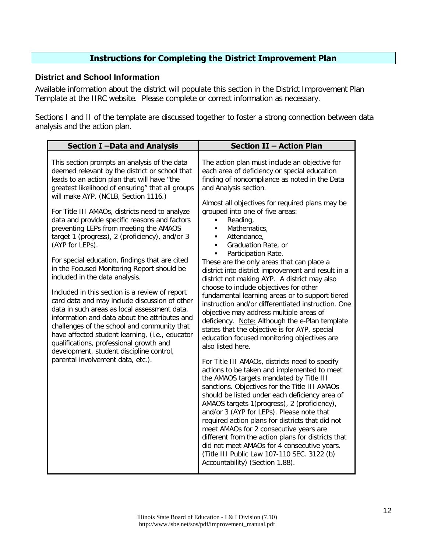## **Instructions for Completing the District Improvement Plan**

### **District and School Information**

Available information about the district will populate this section in the District Improvement Plan Template at the IIRC website. Please complete or correct information as necessary.

Sections I and II of the template are discussed together to foster a strong connection between data analysis and the action plan.

| Section I-Data and Analysis                                                                                                                                                                                                                                                                                                                                                                                                                                                                                                                                                                                                                                                                                                                                                                                                                                                                                                                                                                                                     | <b>Section II - Action Plan</b>                                                                                                                                                                                                                                                                                                                                                                                                                                                                                                                                                                                                                                                                                                                                                                                                                                                                                                                                                                                                                                                                                                                                                                                                                                                                                                                                                                                                                                                                                                                                                             |
|---------------------------------------------------------------------------------------------------------------------------------------------------------------------------------------------------------------------------------------------------------------------------------------------------------------------------------------------------------------------------------------------------------------------------------------------------------------------------------------------------------------------------------------------------------------------------------------------------------------------------------------------------------------------------------------------------------------------------------------------------------------------------------------------------------------------------------------------------------------------------------------------------------------------------------------------------------------------------------------------------------------------------------|---------------------------------------------------------------------------------------------------------------------------------------------------------------------------------------------------------------------------------------------------------------------------------------------------------------------------------------------------------------------------------------------------------------------------------------------------------------------------------------------------------------------------------------------------------------------------------------------------------------------------------------------------------------------------------------------------------------------------------------------------------------------------------------------------------------------------------------------------------------------------------------------------------------------------------------------------------------------------------------------------------------------------------------------------------------------------------------------------------------------------------------------------------------------------------------------------------------------------------------------------------------------------------------------------------------------------------------------------------------------------------------------------------------------------------------------------------------------------------------------------------------------------------------------------------------------------------------------|
| This section prompts an analysis of the data<br>deemed relevant by the district or school that<br>leads to an action plan that will have "the<br>greatest likelihood of ensuring" that all groups<br>will make AYP. (NCLB, Section 1116.)<br>For Title III AMAOs, districts need to analyze<br>data and provide specific reasons and factors<br>preventing LEPs from meeting the AMAOS<br>target 1 (progress), 2 (proficiency), and/or 3<br>(AYP for LEPs).<br>For special education, findings that are cited<br>in the Focused Monitoring Report should be<br>included in the data analysis.<br>Included in this section is a review of report<br>card data and may include discussion of other<br>data in such areas as local assessment data,<br>information and data about the attributes and<br>challenges of the school and community that<br>have affected student learning, (i.e., educator<br>qualifications, professional growth and<br>development, student discipline control,<br>parental involvement data, etc.). | The action plan must include an objective for<br>each area of deficiency or special education<br>finding of noncompliance as noted in the Data<br>and Analysis section.<br>Almost all objectives for required plans may be<br>grouped into one of five areas:<br>Reading,<br>٠<br>Mathematics,<br>$\blacksquare$<br>Attendance,<br>$\blacksquare$<br>Graduation Rate, or<br>$\blacksquare$<br>Participation Rate.<br>$\blacksquare$<br>These are the only areas that can place a<br>district into district improvement and result in a<br>district not making AYP. A district may also<br>choose to include objectives for other<br>fundamental learning areas or to support tiered<br>instruction and/or differentiated instruction. One<br>objective may address multiple areas of<br>deficiency. Note: Although the e-Plan template<br>states that the objective is for AYP, special<br>education focused monitoring objectives are<br>also listed here.<br>For Title III AMAOs, districts need to specify<br>actions to be taken and implemented to meet<br>the AMAOS targets mandated by Title III<br>sanctions. Objectives for the Title III AMAOs<br>should be listed under each deficiency area of<br>AMAOS targets 1(progress), 2 (proficiency),<br>and/or 3 (AYP for LEPs). Please note that<br>required action plans for districts that did not<br>meet AMAOs for 2 consecutive years are<br>different from the action plans for districts that<br>did not meet AMAOs for 4 consecutive years.<br>(Title III Public Law 107-110 SEC. 3122 (b)<br>Accountability) (Section 1.88). |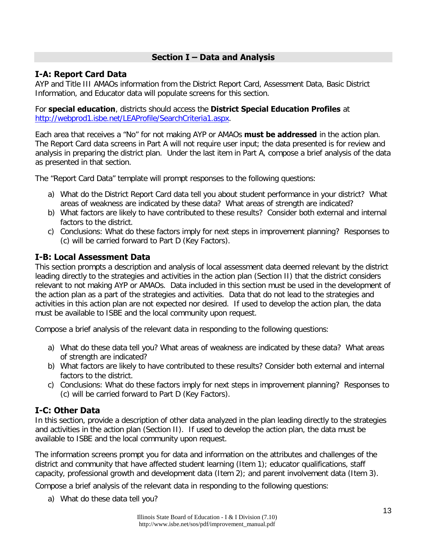## **Section I – Data and Analysis**

## **I-A: Report Card Data**

AYP and Title III AMAOs information from the District Report Card, Assessment Data, Basic District Information, and Educator data will populate screens for this section.

For **special education**, districts should access the **District Special Education Profiles** at [http://webprod1.isbe.net/LEAProfile/SearchCriteria1.aspx.](http://webprod1.isbe.net/LEAProfile/SearchCriteria1.aspx)

Each area that receives a "No" for not making AYP or AMAOs **must be addressed** in the action plan. The Report Card data screens in Part A will not require user input; the data presented is for review and analysis in preparing the district plan. Under the last item in Part A, compose a brief analysis of the data as presented in that section.

The "Report Card Data" template will prompt responses to the following questions:

- a) What do the District Report Card data tell you about student performance in your district? What areas of weakness are indicated by these data? What areas of strength are indicated?
- b) What factors are likely to have contributed to these results? Consider both external and internal factors to the district.
- c) Conclusions: What do these factors imply for next steps in improvement planning? Responses to (c) will be carried forward to Part D (Key Factors).

## **I-B: Local Assessment Data**

This section prompts a description and analysis of local assessment data deemed relevant by the district leading directly to the strategies and activities in the action plan (Section II) that the district considers relevant to not making AYP or AMAOs. Data included in this section must be used in the development of the action plan as a part of the strategies and activities. Data that do not lead to the strategies and activities in this action plan are not expected nor desired. If used to develop the action plan, the data must be available to ISBE and the local community upon request.

Compose a brief analysis of the relevant data in responding to the following questions:

- a) What do these data tell you? What areas of weakness are indicated by these data? What areas of strength are indicated?
- b) What factors are likely to have contributed to these results? Consider both external and internal factors to the district.
- c) Conclusions: What do these factors imply for next steps in improvement planning? Responses to (c) will be carried forward to Part D (Key Factors).

## **I-C: Other Data**

In this section, provide a description of other data analyzed in the plan leading directly to the strategies and activities in the action plan (Section II). If used to develop the action plan, the data must be available to ISBE and the local community upon request.

The information screens prompt you for data and information on the attributes and challenges of the district and community that have affected student learning (Item 1); educator qualifications, staff capacity, professional growth and development data (Item 2); and parent involvement data (Item 3).

Compose a brief analysis of the relevant data in responding to the following questions:

a) What do these data tell you?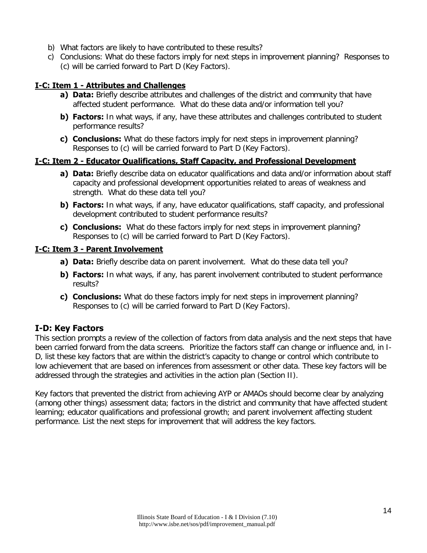- b) What factors are likely to have contributed to these results?
- c) Conclusions: What do these factors imply for next steps in improvement planning? Responses to (c) will be carried forward to Part D (Key Factors).

### **I-C: Item 1 - Attributes and Challenges**

- **a) Data:** Briefly describe attributes and challenges of the district and community that have affected student performance. What do these data and/or information tell you?
- **b) Factors:** In what ways, if any, have these attributes and challenges contributed to student performance results?
- **c) Conclusions:** What do these factors imply for next steps in improvement planning? Responses to (c) will be carried forward to Part D (Key Factors).

#### **I-C: Item 2 - Educator Qualifications, Staff Capacity, and Professional Development**

- **a) Data:** Briefly describe data on educator qualifications and data and/or information about staff capacity and professional development opportunities related to areas of weakness and strength. What do these data tell you?
- **b) Factors:** In what ways, if any, have educator qualifications, staff capacity, and professional development contributed to student performance results?
- **c) Conclusions:** What do these factors imply for next steps in improvement planning? Responses to (c) will be carried forward to Part D (Key Factors).

#### **I-C: Item 3 - Parent Involvement**

- **a) Data:** Briefly describe data on parent involvement. What do these data tell you?
- **b) Factors:** In what ways, if any, has parent involvement contributed to student performance results?
- **c) Conclusions:** What do these factors imply for next steps in improvement planning? Responses to (c) will be carried forward to Part D (Key Factors).

## **I-D: Key Factors**

This section prompts a review of the collection of factors from data analysis and the next steps that have been carried forward from the data screens. Prioritize the factors staff can change or influence and, in I-D, list these key factors that are within the district's capacity to change or control which contribute to low achievement that are based on inferences from assessment or other data. These key factors will be addressed through the strategies and activities in the action plan (Section II).

Key factors that prevented the district from achieving AYP or AMAOs should become clear by analyzing (among other things) assessment data; factors in the district and community that have affected student learning; educator qualifications and professional growth; and parent involvement affecting student performance. List the next steps for improvement that will address the key factors.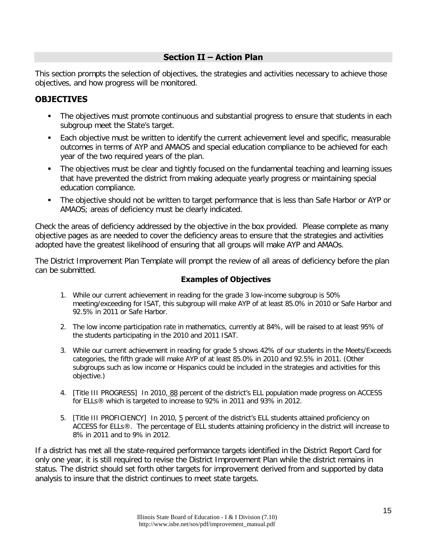## **Section II – Action Plan**

This section prompts the selection of objectives, the strategies and activities necessary to achieve those objectives, and how progress will be monitored.

## **OBJECTIVES**

- The objectives must promote continuous and substantial progress to ensure that students in each subgroup meet the State's target.
- **Each objective must be written to identify the current achievement level and specific, measurable** outcomes in terms of AYP and AMAOS and special education compliance to be achieved for each year of the two required years of the plan.
- The objectives must be clear and tightly focused on the fundamental teaching and learning issues that have prevented the district from making adequate yearly progress or maintaining special education compliance.
- The objective should not be written to target performance that is less than Safe Harbor or AYP or AMAOS; areas of deficiency must be clearly indicated.

Check the areas of deficiency addressed by the objective in the box provided. Please complete as many objective pages as are needed to cover the deficiency areas to ensure that the strategies and activities adopted have the greatest likelihood of ensuring that all groups will make AYP and AMAOs.

The District Improvement Plan Template will prompt the review of all areas of deficiency before the plan can be submitted.

## **Examples of Objectives**

- 1. While our current achievement in reading for the grade 3 low-income subgroup is 50% meeting/exceeding for ISAT, this subgroup will make AYP of at least 85.0% in 2010 or Safe Harbor and 92.5% in 2011 or Safe Harbor.
- 2. The low income participation rate in mathematics, currently at 84%, will be raised to at least 95% of the students participating in the 2010 and 2011 ISAT.
- 3. While our current achievement in reading for grade 5 shows 42% of our students in the Meets/Exceeds categories, the fifth grade will make AYP of at least 85.0% in 2010 and 92.5% in 2011. (Other subgroups such as low income or Hispanics could be included in the strategies and activities for this objective.)
- 4. [Title III PROGRESS] In 2010, 88 percent of the district's ELL population made progress on ACCESS for ELLs® which is targeted to increase to 92% in 2011 and 93% in 2012.
- 5. [Title III PROFICIENCY] In 2010, 5 percent of the district's ELL students attained proficiency on ACCESS for ELLs®. The percentage of ELL students attaining proficiency in the district will increase to 8% in 2011 and to 9% in 2012.

If a district has met all the state-required performance targets identified in the District Report Card for only one year, it is still required to revise the District Improvement Plan while the district remains in status. The district should set forth other targets for improvement derived from and supported by data analysis to insure that the district continues to meet state targets.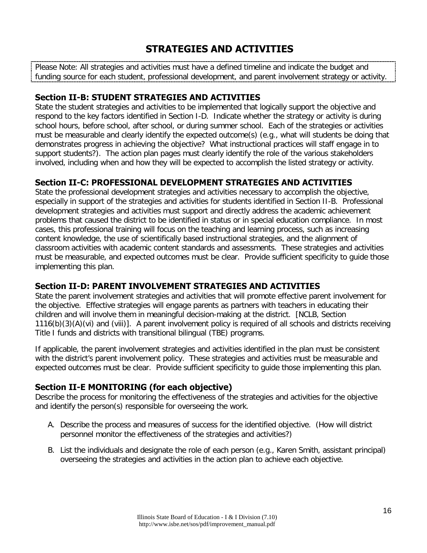# **STRATEGIES AND ACTIVITIES**

Please Note: All strategies and activities must have a defined timeline and indicate the budget and funding source for each student, professional development, and parent involvement strategy or activity.

## **Section II-B: STUDENT STRATEGIES AND ACTIVITIES**

State the student strategies and activities to be implemented that logically support the objective and respond to the key factors identified in Section I-D. Indicate whether the strategy or activity is during school hours, before school, after school, or during summer school. Each of the strategies or activities must be measurable and clearly identify the expected outcome(s) (e.g., what will students be doing that demonstrates progress in achieving the objective? What instructional practices will staff engage in to support students?). The action plan pages must clearly identify the role of the various stakeholders involved, including when and how they will be expected to accomplish the listed strategy or activity.

## **Section II-C: PROFESSIONAL DEVELOPMENT STRATEGIES AND ACTIVITIES**

State the professional development strategies and activities necessary to accomplish the objective, especially in support of the strategies and activities for students identified in Section II-B. Professional development strategies and activities must support and directly address the academic achievement problems that caused the district to be identified in status or in special education compliance. In most cases, this professional training will focus on the teaching and learning process, such as increasing content knowledge, the use of scientifically based instructional strategies, and the alignment of classroom activities with academic content standards and assessments. These strategies and activities must be measurable, and expected outcomes must be clear. Provide sufficient specificity to guide those implementing this plan.

## **Section II-D: PARENT INVOLVEMENT STRATEGIES AND ACTIVITIES**

State the parent involvement strategies and activities that will promote effective parent involvement for the objective. Effective strategies will engage parents as partners with teachers in educating their children and will involve them in meaningful decision-making at the district. [NCLB, Section 1116(b)(3)(A)(vi) and (viii)]. A parent involvement policy is required of all schools and districts receiving Title I funds and districts with transitional bilingual (TBE) programs.

If applicable, the parent involvement strategies and activities identified in the plan must be consistent with the district's parent involvement policy. These strategies and activities must be measurable and expected outcomes must be clear. Provide sufficient specificity to guide those implementing this plan.

## **Section II-E MONITORING (for each objective)**

Describe the process for monitoring the effectiveness of the strategies and activities for the objective and identify the person(s) responsible for overseeing the work.

- A. Describe the process and measures of success for the identified objective. (How will district personnel monitor the effectiveness of the strategies and activities?)
- B. List the individuals and designate the role of each person (e.g., Karen Smith, assistant principal) overseeing the strategies and activities in the action plan to achieve each objective.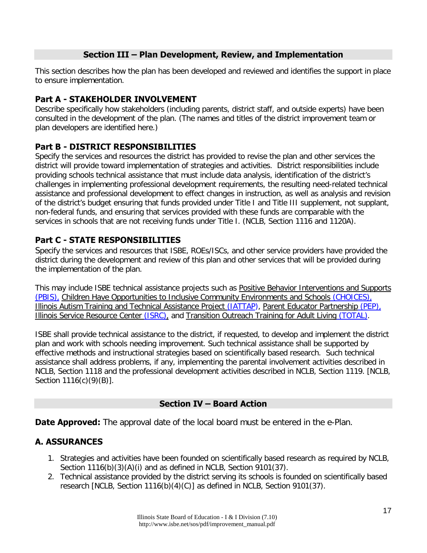## **Section III – Plan Development, Review, and Implementation**

This section describes how the plan has been developed and reviewed and identifies the support in place to ensure implementation.

## **Part A - STAKEHOLDER INVOLVEMENT**

Describe specifically how stakeholders (including parents, district staff, and outside experts) have been consulted in the development of the plan. (The names and titles of the district improvement team or plan developers are identified here.)

## **Part B - DISTRICT RESPONSIBILITIES**

Specify the services and resources the district has provided to revise the plan and other services the district will provide toward implementation of strategies and activities. District responsibilities include providing schools technical assistance that must include data analysis, identification of the district's challenges in implementing professional development requirements, the resulting need-related technical assistance and professional development to effect changes in instruction, as well as analysis and revision of the district's budget ensuring that funds provided under Title I and Title III supplement, not supplant, non-federal funds, and ensuring that services provided with these funds are comparable with the services in schools that are not receiving funds under Title I. (NCLB, Section 1116 and 1120A).

## **Part C - STATE RESPONSIBILITIES**

Specify the services and resources that ISBE, ROEs/ISCs, and other service providers have provided the district during the development and review of this plan and other services that will be provided during the implementation of the plan.

This may include ISBE technical assistance projects such as [Positive Behavior Interventions and Supports](http://www.pbisillinois.org/%5C) [\(PBIS\),](http://www.pbisillinois.org/%5C) [Children Have Opportunities to Inclusive Community Environments and Schools](http://www.projectchoices.org/) (CHOICES), [Illinois Autism Training and Technical Assistance Project \(IATTAP\)](http://www.illinoisautismproject.org/), [Parent Educator Partnership](http://www.pepartnership.org/) (PEP), [Illinois Service Resource Center \(ISRC\),](http://www.isrc.us/) and [Transition Outreach Training for Adult Living](http://www.isbe.net/spec-ed/html/total.htm) (TOTAL).

ISBE shall provide technical assistance to the district, if requested, to develop and implement the district plan and work with schools needing improvement. Such technical assistance shall be supported by effective methods and instructional strategies based on scientifically based research. Such technical assistance shall address problems, if any, implementing the parental involvement activities described in NCLB, Section 1118 and the professional development activities described in NCLB, Section 1119. [NCLB, Section 1116(c)(9)(B)].

## **Section IV – Board Action**

**Date Approved:** The approval date of the local board must be entered in the e-Plan.

## **A. ASSURANCES**

- 1. Strategies and activities have been founded on scientifically based research as required by NCLB, Section 1116(b)(3)(A)(i) and as defined in NCLB, Section 9101(37).
- 2. Technical assistance provided by the district serving its schools is founded on scientifically based research [NCLB, Section 1116(b)(4)(C)] as defined in NCLB, Section 9101(37).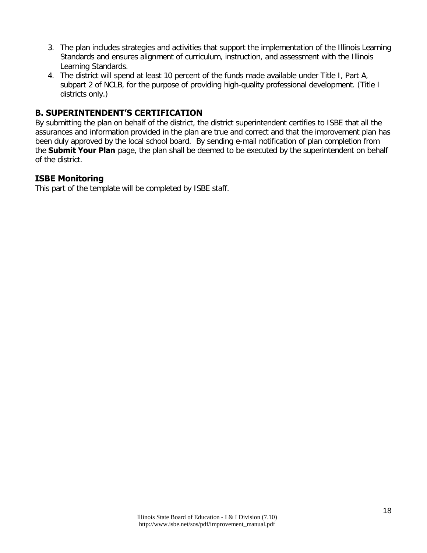- 3. The plan includes strategies and activities that support the implementation of the Illinois Learning Standards and ensures alignment of curriculum, instruction, and assessment with the Illinois Learning Standards.
- 4. The district will spend at least 10 percent of the funds made available under Title I, Part A, subpart 2 of NCLB, for the purpose of providing high-quality professional development. (Title I districts only.)

## **B. SUPERINTENDENT'S CERTIFICATION**

By submitting the plan on behalf of the district, the district superintendent certifies to ISBE that all the assurances and information provided in the plan are true and correct and that the improvement plan has been duly approved by the local school board. By sending e-mail notification of plan completion from the **Submit Your Plan** page, the plan shall be deemed to be executed by the superintendent on behalf of the district.

## **ISBE Monitoring**

This part of the template will be completed by ISBE staff.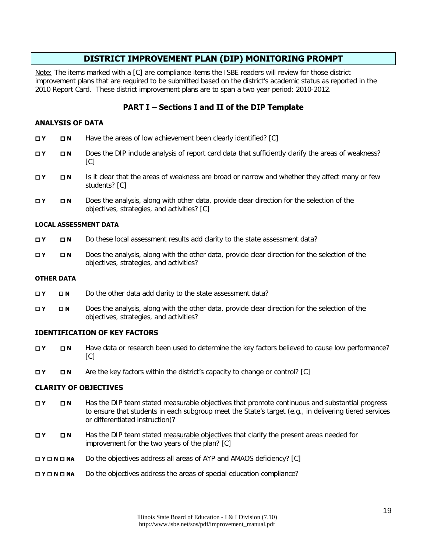## **DISTRICT IMPROVEMENT PLAN (DIP) MONITORING PROMPT**

Note: The items marked with a [C] are compliance items the ISBE readers will review for those district improvement plans that are required to be submitted based on the district's academic status as reported in the 2010 Report Card. These district improvement plans are to span a two year period: 2010-2012.

## **PART I – Sections I and II of the DIP Template**

#### **ANALYSIS OF DATA**

- **Y N** Have the areas of low achievement been clearly identified? [C]
- **Y ⊃ N** Does the DIP include analysis of report card data that sufficiently clarify the areas of weakness?  $[CI]$
- **T <b>N** Is it clear that the areas of weakness are broad or narrow and whether they affect many or few students? [C]
- **Y N** Does the analysis, along with other data, provide clear direction for the selection of the objectives, strategies, and activities? [C]

#### **LOCAL ASSESSMENT DATA**

- **N N** Do these local assessment results add clarity to the state assessment data?
- **Y N** Does the analysis, along with the other data, provide clear direction for the selection of the objectives, strategies, and activities?

#### **OTHER DATA**

- $\Box$  **Y**  $\Box$  **N** Do the other data add clarity to the state assessment data?
- **Y N** Does the analysis, along with the other data, provide clear direction for the selection of the objectives, strategies, and activities?

#### **IDENTIFICATION OF KEY FACTORS**

- **THE IN** Have data or research been used to determine the key factors believed to cause low performance?  $[CI]$
- **The Solution Are the key factors within the district's capacity to change or control? [C]**

#### **CLARITY OF OBJECTIVES**

- **Y N** Has the DIP team stated measurable objectives that promote continuous and substantial progress to ensure that students in each subgroup meet the State's target (e.g., in delivering tiered services or differentiated instruction)?
- **Y N** Has the DIP team stated measurable objectives that clarify the present areas needed for improvement for the two years of the plan? [C]
- **Y N NA** Do the objectives address all areas of AYP and AMAOS deficiency? [C]
- **DY DNA** Do the objectives address the areas of special education compliance?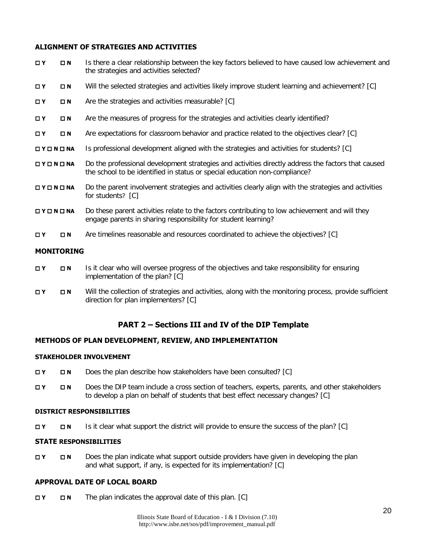#### **ALIGNMENT OF STRATEGIES AND ACTIVITIES**

| $\Box$ Y                             | $\Box$ N          | Is there a clear relationship between the key factors believed to have caused low achievement and<br>the strategies and activities selected?                                     |
|--------------------------------------|-------------------|----------------------------------------------------------------------------------------------------------------------------------------------------------------------------------|
| $\Box$ Y                             | $\square$ N       | Will the selected strategies and activities likely improve student learning and achievement? [C]                                                                                 |
| $\Box$ Y                             | $\square$ N       | Are the strategies and activities measurable? [C]                                                                                                                                |
| $\Box$ Y                             | $\Box N$          | Are the measures of progress for the strategies and activities clearly identified?                                                                                               |
| $\Box$ Y                             | $\Box N$          | Are expectations for classroom behavior and practice related to the objectives clear? [C]                                                                                        |
| $\square$ Y $\square$ N $\square$ NA |                   | Is professional development aligned with the strategies and activities for students? [C]                                                                                         |
| OYONONA                              |                   | Do the professional development strategies and activities directly address the factors that caused<br>the school to be identified in status or special education non-compliance? |
| $\Box$ Y $\Box$ N $\Box$ NA          |                   | Do the parent involvement strategies and activities clearly align with the strategies and activities<br>for students? [C]                                                        |
| $\Box$ Y $\Box$ N $\Box$ NA          |                   | Do these parent activities relate to the factors contributing to low achievement and will they<br>engage parents in sharing responsibility for student learning?                 |
| $\Box$ Y                             | $\Box N$          | Are timelines reasonable and resources coordinated to achieve the objectives? [C]                                                                                                |
|                                      | <b>MONITORING</b> |                                                                                                                                                                                  |

- **T Y <b>N** Is it clear who will oversee progress of the objectives and take responsibility for ensuring implementation of the plan? [C]
- **T Y N** Will the collection of strategies and activities, along with the monitoring process, provide sufficient direction for plan implementers? [C]

## **PART 2 – Sections III and IV of the DIP Template**

#### **METHODS OF PLAN DEVELOPMENT, REVIEW, AND IMPLEMENTATION**

#### **STAKEHOLDER INVOLVEMENT**

- **T Y Does the plan describe how stakeholders have been consulted? [C]**
- **Y N** Does the DIP team include a cross section of teachers, experts, parents, and other stakeholders to develop a plan on behalf of students that best effect necessary changes? [C]

#### **DISTRICT RESPONSIBILITIES**

**THE IS IT IS IT CHATE IS IT CONTACT A READTER IS IT CONTINUES** IS It clear what support the district will provide to ensure the success of the plan? [C]

#### **STATE RESPONSIBILITIES**

 **Y N** Does the plan indicate what support outside providers have given in developing the plan and what support, if any, is expected for its implementation? [C]

#### **APPROVAL DATE OF LOCAL BOARD**

 **Y N** The plan indicates the approval date of this plan. [C]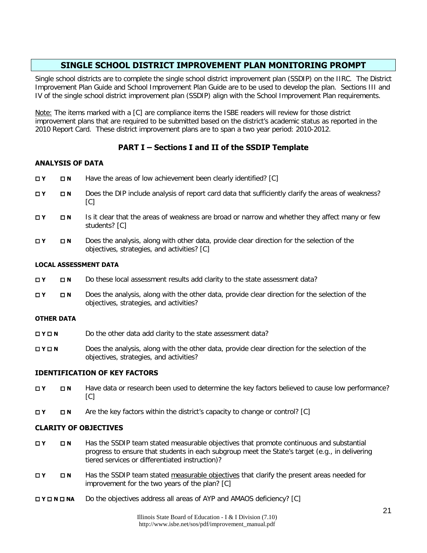## **SINGLE SCHOOL DISTRICT IMPROVEMENT PLAN MONITORING PROMPT**

Single school districts are to complete the single school district improvement plan (SSDIP) on the IIRC. The District Improvement Plan Guide and School Improvement Plan Guide are to be used to develop the plan. Sections III and IV of the single school district improvement plan (SSDIP) align with the School Improvement Plan requirements.

Note: The items marked with a [C] are compliance items the ISBE readers will review for those district improvement plans that are required to be submitted based on the district's academic status as reported in the 2010 Report Card. These district improvement plans are to span a two year period: 2010-2012.

## **PART I – Sections I and II of the SSDIP Template**

#### **ANALYSIS OF DATA**

- **Y N** Have the areas of low achievement been clearly identified? [C]
- **T <b>N** Does the DIP include analysis of report card data that sufficiently clarify the areas of weakness?  $[CI]$
- **T Y <b>IS** Is it clear that the areas of weakness are broad or narrow and whether they affect many or few students? [C]
- **Y N** Does the analysis, along with other data, provide clear direction for the selection of the objectives, strategies, and activities? [C]

#### **LOCAL ASSESSMENT DATA**

- **N N** Do these local assessment results add clarity to the state assessment data?
- **Y N** Does the analysis, along with the other data, provide clear direction for the selection of the objectives, strategies, and activities?

#### **OTHER DATA**

- **DY DN** Do the other data add clarity to the state assessment data?
- **Y N** Does the analysis, along with the other data, provide clear direction for the selection of the objectives, strategies, and activities?

#### **IDENTIFICATION OF KEY FACTORS**

- **THE N** Have data or research been used to determine the key factors believed to cause low performance?  $[CI]$
- **The Section** Are the key factors within the district's capacity to change or control? [C]

#### **CLARITY OF OBJECTIVES**

- **Y N** Has the SSDIP team stated measurable objectives that promote continuous and substantial progress to ensure that students in each subgroup meet the State's target (e.g., in delivering tiered services or differentiated instruction)?
- **Y N** Has the SSDIP team stated measurable objectives that clarify the present areas needed for improvement for the two years of the plan? [C]
- **Y N NA** Do the objectives address all areas of AYP and AMAOS deficiency? [C]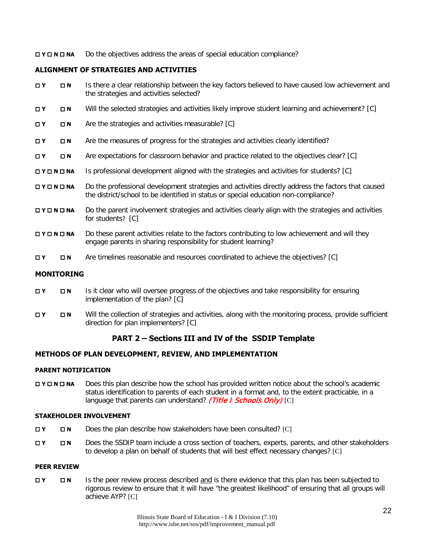**DY DIN A** Do the objectives address the areas of special education compliance?

#### **ALIGNMENT OF STRATEGIES AND ACTIVITIES**

- **T <b>N** Is there a clear relationship between the key factors believed to have caused low achievement and the strategies and activities selected?
- **Y N** Will the selected strategies and activities likely improve student learning and achievement? [C]
- **□ Y □ N** Are the strategies and activities measurable? [C]
- **THE R** Are the measures of progress for the strategies and activities clearly identified?
- **The Propertations for classroom behavior and practice related to the objectives clear? [C]**
- **DY DIN <b>NA** Is professional development aligned with the strategies and activities for students? [C]
- **N <b>N NA** Do the professional development strategies and activities directly address the factors that caused the district/school to be identified in status or special education non-compliance?
- **Y N NA** Do the parent involvement strategies and activities clearly align with the strategies and activities for students? [C]
- **NO <b>N NA** Do these parent activities relate to the factors contributing to low achievement and will they engage parents in sharing responsibility for student learning?
- **Y N** Are timelines reasonable and resources coordinated to achieve the objectives? [C]

#### **MONITORING**

- **Y N** Is it clear who will oversee progress of the objectives and take responsibility for ensuring implementation of the plan? [C]
- **Y N** Will the collection of strategies and activities, along with the monitoring process, provide sufficient direction for plan implementers? [C]

## **PART 2 – Sections III and IV of the SSDIP Template**

#### **METHODS OF PLAN DEVELOPMENT, REVIEW, AND IMPLEMENTATION**

#### **PARENT NOTIFICATION**

**NO <b>N NA** Does this plan describe how the school has provided written notice about the school's academic status identification to parents of each student in a format and, to the extent practicable, in a language that parents can understand? (Title I Schools Only) [C]

#### **STAKEHOLDER INVOLVEMENT**

- **Y N** Does the plan describe how stakeholders have been consulted? [C]
- **Y N** Does the SSDIP team include a cross section of teachers, experts, parents, and other stakeholders to develop a plan on behalf of students that will best effect necessary changes? [C]

#### **PEER REVIEW**

 **Y N** Is the peer review process described and is there evidence that this plan has been subjected to rigorous review to ensure that it will have "the greatest likelihood" of ensuring that all groups will achieve AYP? [C]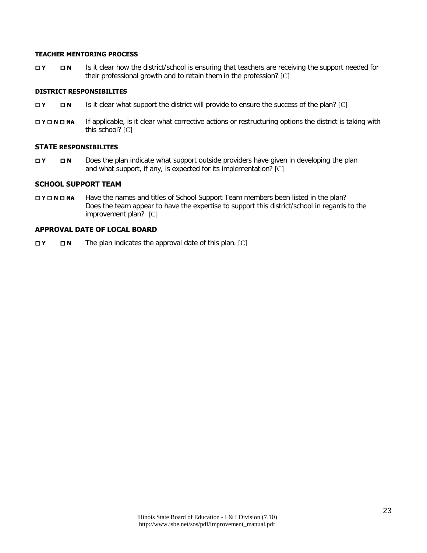#### **TEACHER MENTORING PROCESS**

**T <b>N** Is it clear how the district/school is ensuring that teachers are receiving the support needed for their professional growth and to retain them in the profession? [C]

#### **DISTRICT RESPONSIBILITES**

- **THE IS IT CHEATES** Is it clear what support the district will provide to ensure the success of the plan? [C]
- **N <b>N N N If** applicable, is it clear what corrective actions or restructuring options the district is taking with this school? [C]

#### **STATE RESPONSIBILITES**

 **Y N** Does the plan indicate what support outside providers have given in developing the plan and what support, if any, is expected for its implementation? [C]

#### **SCHOOL SUPPORT TEAM**

**NO <b>NA** Have the names and titles of School Support Team members been listed in the plan? Does the team appear to have the expertise to support this district/school in regards to the improvement plan? [C]

#### **APPROVAL DATE OF LOCAL BOARD**

**EX D N** The plan indicates the approval date of this plan. [C]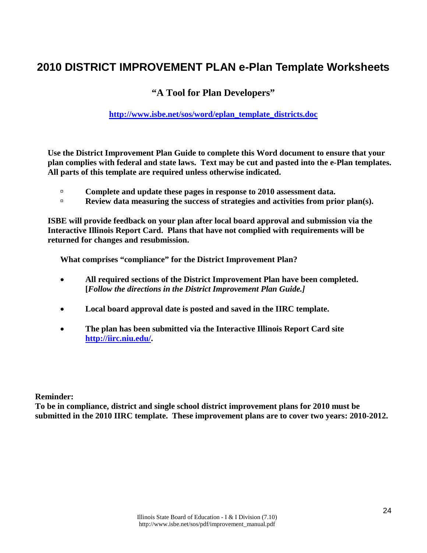# **2010 DISTRICT IMPROVEMENT PLAN e-Plan Template Worksheets**

## **"A Tool for Plan Developers"**

## **[http://www.isbe.net/sos/word/eplan\\_template\\_districts.doc](http://www.isbe.net/sos/word/eplan_template_districts.doc)**

**Use the District Improvement Plan Guide to complete this Word document to ensure that your plan complies with federal and state laws. Text may be cut and pasted into the e-Plan templates. All parts of this template are required unless otherwise indicated.** 

- **Complete and update these pages in response to 2010 assessment data.**
- **Review data measuring the success of strategies and activities from prior plan(s).**

**ISBE will provide feedback on your plan after local board approval and submission via the Interactive Illinois Report Card. Plans that have not complied with requirements will be returned for changes and resubmission.** 

**What comprises "compliance" for the District Improvement Plan?** 

- **All required sections of the District Improvement Plan have been completed. [***Follow the directions in the District Improvement Plan Guide.]*
- **Local board approval date is posted and saved in the IIRC template.**
- **The plan has been submitted via the Interactive Illinois Report Card site [http://iirc.niu.edu/.](http://iirc.niu.edu/)**

**Reminder:** 

**To be in compliance, district and single school district improvement plans for 2010 must be submitted in the 2010 IIRC template. These improvement plans are to cover two years: 2010-2012.**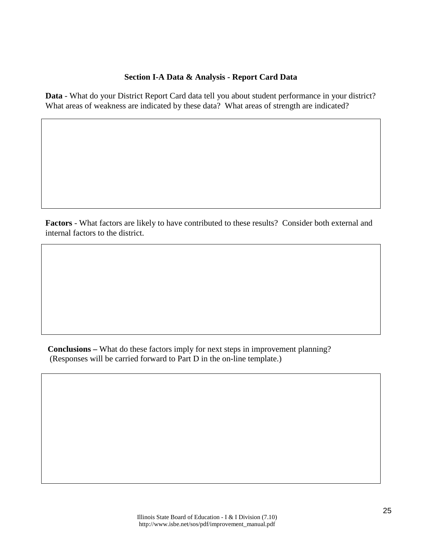#### **Section I-A Data & Analysis - Report Card Data**

**Data** - What do your District Report Card data tell you about student performance in your district? What areas of weakness are indicated by these data? What areas of strength are indicated?

**Factors** - What factors are likely to have contributed to these results? Consider both external and internal factors to the district.

**Conclusions –** What do these factors imply for next steps in improvement planning? (Responses will be carried forward to Part D in the on-line template.)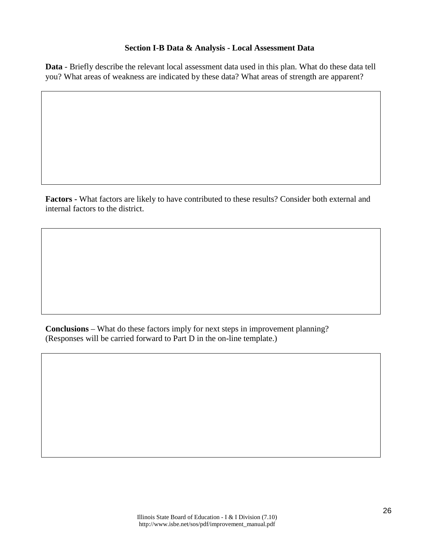#### **Section I-B Data & Analysis - Local Assessment Data**

**Data** - Briefly describe the relevant local assessment data used in this plan. What do these data tell you? What areas of weakness are indicated by these data? What areas of strength are apparent?

**Factors -** What factors are likely to have contributed to these results? Consider both external and internal factors to the district.

**Conclusions** – What do these factors imply for next steps in improvement planning? (Responses will be carried forward to Part D in the on-line template.)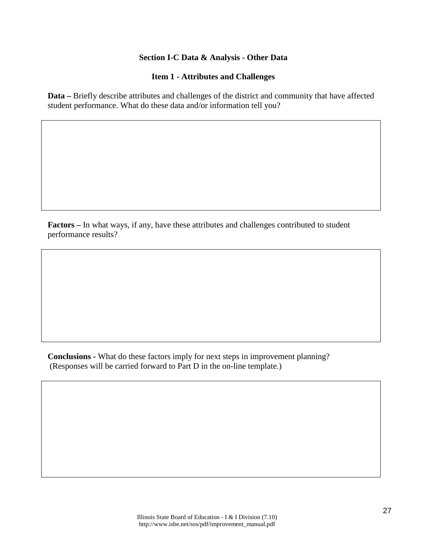#### **Section I-C Data & Analysis - Other Data**

#### **Item 1 - Attributes and Challenges**

**Data –** Briefly describe attributes and challenges of the district and community that have affected student performance. What do these data and/or information tell you?

**Factors –** In what ways, if any, have these attributes and challenges contributed to student performance results?

**Conclusions -** What do these factors imply for next steps in improvement planning? (Responses will be carried forward to Part D in the on-line template.)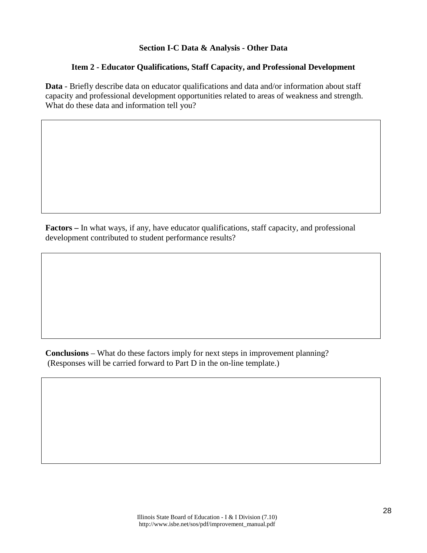#### **Section I-C Data & Analysis - Other Data**

#### **Item 2 - Educator Qualifications, Staff Capacity, and Professional Development**

**Data** - Briefly describe data on educator qualifications and data and/or information about staff capacity and professional development opportunities related to areas of weakness and strength. What do these data and information tell you?

**Factors –** In what ways, if any, have educator qualifications, staff capacity, and professional development contributed to student performance results?

**Conclusions** – What do these factors imply for next steps in improvement planning? (Responses will be carried forward to Part D in the on-line template.)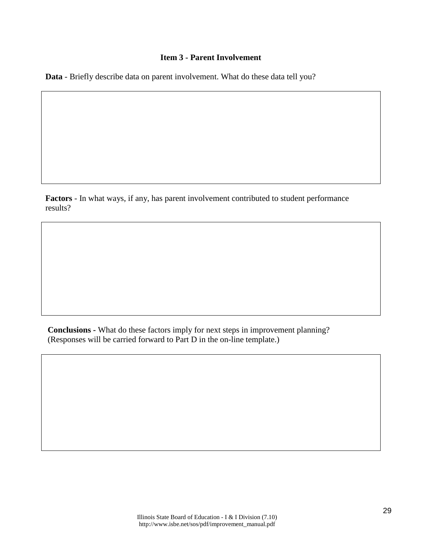#### **Item 3 - Parent Involvement**

**Data** - Briefly describe data on parent involvement. What do these data tell you?

**Factors** - In what ways, if any, has parent involvement contributed to student performance results?

**Conclusions -** What do these factors imply for next steps in improvement planning? (Responses will be carried forward to Part D in the on-line template.)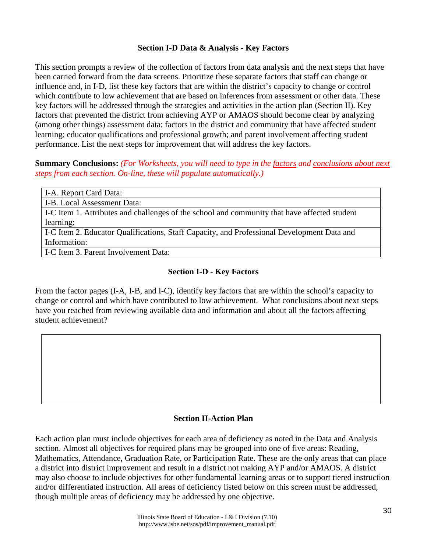#### **Section I-D Data & Analysis - Key Factors**

This section prompts a review of the collection of factors from data analysis and the next steps that have been carried forward from the data screens. Prioritize these separate factors that staff can change or influence and, in I-D, list these key factors that are within the district's capacity to change or control which contribute to low achievement that are based on inferences from assessment or other data. These key factors will be addressed through the strategies and activities in the action plan (Section II). Key factors that prevented the district from achieving AYP or AMAOS should become clear by analyzing (among other things) assessment data; factors in the district and community that have affected student learning; educator qualifications and professional growth; and parent involvement affecting student performance. List the next steps for improvement that will address the key factors.

**Summary Conclusions:** *(For Worksheets, you will need to type in the factors and conclusions about next steps from each section. On-line, these will populate automatically.)* 

| I-A. Report Card Data:                                                                       |
|----------------------------------------------------------------------------------------------|
| I-B. Local Assessment Data:                                                                  |
| I-C Item 1. Attributes and challenges of the school and community that have affected student |
| learning:                                                                                    |
| I-C Item 2. Educator Qualifications, Staff Capacity, and Professional Development Data and   |
| Information:                                                                                 |
| I-C Item 3. Parent Involvement Data:                                                         |
|                                                                                              |

## **Section I-D - Key Factors**

From the factor pages (I-A, I-B, and I-C), identify key factors that are within the school's capacity to change or control and which have contributed to low achievement. What conclusions about next steps have you reached from reviewing available data and information and about all the factors affecting student achievement?

#### **Section II-Action Plan**

Each action plan must include objectives for each area of deficiency as noted in the Data and Analysis section. Almost all objectives for required plans may be grouped into one of five areas: Reading, Mathematics, Attendance, Graduation Rate, or Participation Rate. These are the only areas that can place a district into district improvement and result in a district not making AYP and/or AMAOS. A district may also choose to include objectives for other fundamental learning areas or to support tiered instruction and/or differentiated instruction. All areas of deficiency listed below on this screen must be addressed, though multiple areas of deficiency may be addressed by one objective.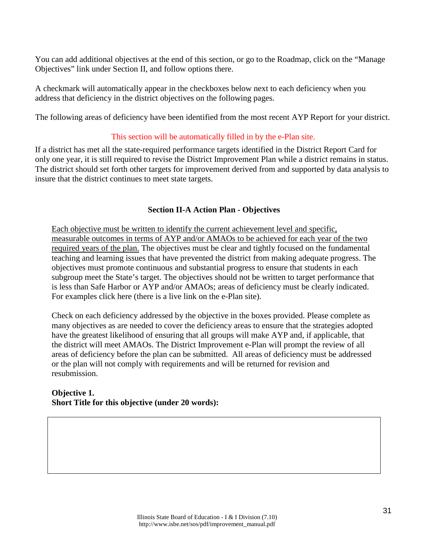You can add additional objectives at the end of this section, or go to the Roadmap, click on the "Manage Objectives" link under Section II, and follow options there.

A checkmark will automatically appear in the checkboxes below next to each deficiency when you address that deficiency in the district objectives on the following pages.

The following areas of deficiency have been identified from the most recent AYP Report for your district.

#### This section will be automatically filled in by the e-Plan site.

If a district has met all the state-required performance targets identified in the District Report Card for only one year, it is still required to revise the District Improvement Plan while a district remains in status. The district should set forth other targets for improvement derived from and supported by data analysis to insure that the district continues to meet state targets.

#### **Section II-A Action Plan - Objectives**

Each objective must be written to identify the current achievement level and specific, measurable outcomes in terms of AYP and/or AMAOs to be achieved for each year of the two required years of the plan. The objectives must be clear and tightly focused on the fundamental teaching and learning issues that have prevented the district from making adequate progress. The objectives must promote continuous and substantial progress to ensure that students in each subgroup meet the State's target. The objectives should not be written to target performance that is less than Safe Harbor or AYP and/or AMAOs; areas of deficiency must be clearly indicated. For examples click here (there is a live link on the e-Plan site).

Check on each deficiency addressed by the objective in the boxes provided. Please complete as many objectives as are needed to cover the deficiency areas to ensure that the strategies adopted have the greatest likelihood of ensuring that all groups will make AYP and, if applicable, that the district will meet AMAOs. The District Improvement e-Plan will prompt the review of all areas of deficiency before the plan can be submitted. All areas of deficiency must be addressed or the plan will not comply with requirements and will be returned for revision and resubmission.

**Objective 1. Short Title for this objective (under 20 words):**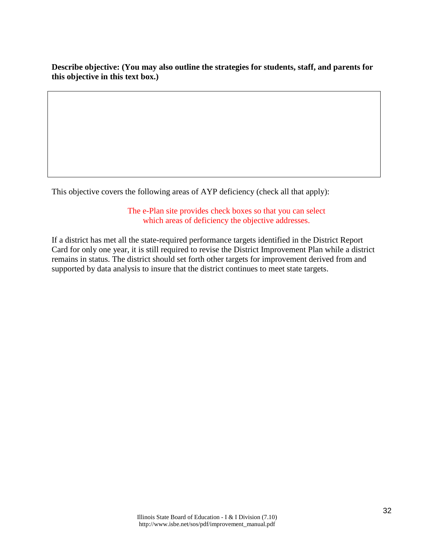**Describe objective: (You may also outline the strategies for students, staff, and parents for this objective in this text box.)**

This objective covers the following areas of AYP deficiency (check all that apply):

The e-Plan site provides check boxes so that you can select which areas of deficiency the objective addresses.

If a district has met all the state-required performance targets identified in the District Report Card for only one year, it is still required to revise the District Improvement Plan while a district remains in status. The district should set forth other targets for improvement derived from and supported by data analysis to insure that the district continues to meet state targets.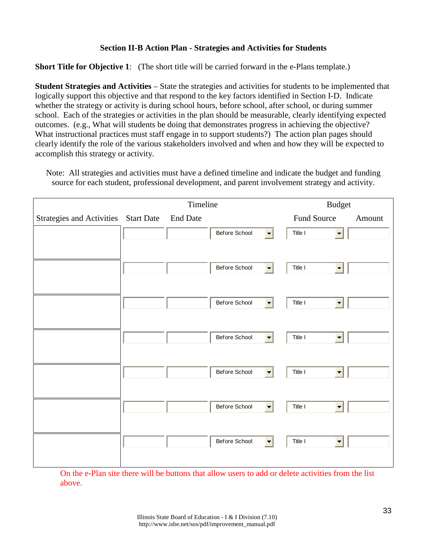#### **Section II-B Action Plan - Strategies and Activities for Students**

**Short Title for Objective 1**: (The short title will be carried forward in the e-Plans template.)

**Student Strategies and Activities** – State the strategies and activities for students to be implemented that logically support this objective and that respond to the key factors identified in Section I-D. Indicate whether the strategy or activity is during school hours, before school, after school, or during summer school. Each of the strategies or activities in the plan should be measurable, clearly identifying expected outcomes. (e.g., What will students be doing that demonstrates progress in achieving the objective? What instructional practices must staff engage in to support students?) The action plan pages should clearly identify the role of the various stakeholders involved and when and how they will be expected to accomplish this strategy or activity.

Note: All strategies and activities must have a defined timeline and indicate the budget and funding source for each student, professional development, and parent involvement strategy and activity.

| Strategies and Activities Start Date | <b>End Date</b> | Before School<br>$\overline{\phantom{a}}$ | Fund Source<br>Title I                                                                                                 | Amount |
|--------------------------------------|-----------------|-------------------------------------------|------------------------------------------------------------------------------------------------------------------------|--------|
|                                      |                 |                                           |                                                                                                                        |        |
|                                      |                 |                                           |                                                                                                                        |        |
|                                      |                 |                                           |                                                                                                                        |        |
|                                      |                 | Before School                             | Title I                                                                                                                |        |
|                                      |                 | Before School                             | Title I<br>$\overline{\phantom{a}}$                                                                                    |        |
|                                      |                 | Before School                             | Title I<br>$\blacksquare$                                                                                              |        |
|                                      |                 | Before School                             | Title I                                                                                                                |        |
|                                      |                 | Before School                             | Title I                                                                                                                |        |
|                                      |                 | Before School                             | Title I<br>$\overline{\phantom{a}}$                                                                                    |        |
|                                      |                 |                                           | $\blacksquare$<br>$\blacksquare$<br>$\equiv$<br>$\overline{\phantom{a}}$<br>$\blacksquare$<br>$\overline{\phantom{a}}$ |        |

On the e-Plan site there will be buttons that allow users to add or delete activities from the list above.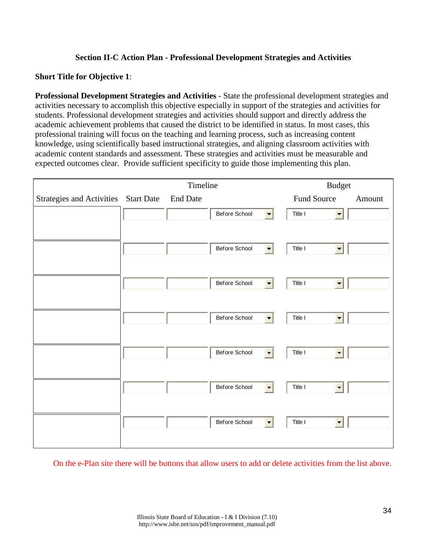## **Section II-C Action Plan - Professional Development Strategies and Activities**

#### **Short Title for Objective 1**:

**Professional Development Strategies and Activities** - State the professional development strategies and activities necessary to accomplish this objective especially in support of the strategies and activities for students. Professional development strategies and activities should support and directly address the academic achievement problems that caused the district to be identified in status. In most cases, this professional training will focus on the teaching and learning process, such as increasing content knowledge, using scientifically based instructional strategies, and aligning classroom activities with academic content standards and assessment. These strategies and activities must be measurable and expected outcomes clear. Provide sufficient specificity to guide those implementing this plan.

|                                      | Timeline |                 |               | <b>Budget</b>            |             |                          |        |
|--------------------------------------|----------|-----------------|---------------|--------------------------|-------------|--------------------------|--------|
| Strategies and Activities Start Date |          | <b>End Date</b> |               |                          | Fund Source |                          | Amount |
|                                      |          |                 | Before School | $\overline{\phantom{m}}$ | Title I     | $\blacksquare$           |        |
|                                      |          |                 |               |                          |             |                          |        |
|                                      |          |                 | Before School | $\overline{\phantom{a}}$ | Title I     |                          |        |
|                                      |          |                 | Before School | $\overline{\phantom{m}}$ | Title I     | $\overline{\phantom{a}}$ |        |
|                                      |          |                 | Before School | $\blacksquare$           | Title I     | $\overline{\phantom{a}}$ |        |
|                                      |          |                 | Before School | $\overline{\phantom{m}}$ | Title I     | $\overline{\phantom{a}}$ |        |
|                                      |          |                 | Before School | $\blacksquare$           | Title I     |                          |        |
|                                      |          |                 | Before School | $\blacksquare$           | Title I     |                          |        |
|                                      |          |                 |               |                          |             |                          |        |

On the e-Plan site there will be buttons that allow users to add or delete activities from the list above.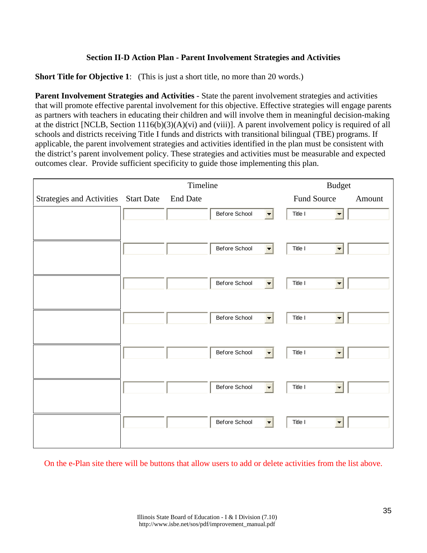# **Section II-D Action Plan - Parent Involvement Strategies and Activities**

**Short Title for Objective 1:** (This is just a short title, no more than 20 words.)

**Parent Involvement Strategies and Activities** - State the parent involvement strategies and activities that will promote effective parental involvement for this objective. Effective strategies will engage parents as partners with teachers in educating their children and will involve them in meaningful decision-making at the district [NCLB, Section 1116(b)(3)(A)(vi) and (viii)]. A parent involvement policy is required of all schools and districts receiving Title I funds and districts with transitional bilingual (TBE) programs. If applicable, the parent involvement strategies and activities identified in the plan must be consistent with the district's parent involvement policy. These strategies and activities must be measurable and expected outcomes clear. Provide sufficient specificity to guide those implementing this plan.

|                                      | Timeline        |               |                          |             | <b>Budget</b>  |        |
|--------------------------------------|-----------------|---------------|--------------------------|-------------|----------------|--------|
| Strategies and Activities Start Date | <b>End Date</b> |               |                          | Fund Source |                | Amount |
|                                      |                 | Before School | $\overline{\phantom{a}}$ | Title I     | $\blacksquare$ |        |
|                                      |                 |               |                          |             |                |        |
|                                      |                 | Before School |                          | Title I     |                |        |
|                                      |                 | Before School |                          | Title I     | $\blacksquare$ |        |
|                                      |                 | Before School | $\overline{\phantom{a}}$ | Title I     | $\blacksquare$ |        |
|                                      |                 | Before School | $\blacksquare$           | Title I     | $\blacksquare$ |        |
|                                      |                 | Before School |                          | Title I     |                |        |
|                                      |                 | Before School |                          | Title I     |                |        |
|                                      |                 |               |                          |             |                |        |

On the e-Plan site there will be buttons that allow users to add or delete activities from the list above.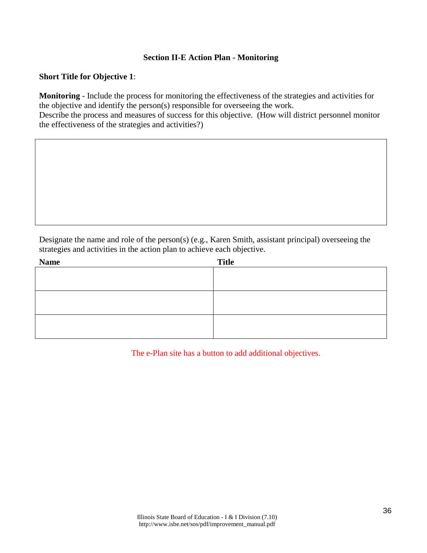### **Section II-E Action Plan - Monitoring**

### **Short Title for Objective 1**:

**Monitoring** - Include the process for monitoring the effectiveness of the strategies and activities for the objective and identify the person(s) responsible for overseeing the work. Describe the process and measures of success for this objective. (How will district personnel monitor the effectiveness of the strategies and activities?)

Designate the name and role of the person(s) (e.g., Karen Smith, assistant principal) overseeing the strategies and activities in the action plan to achieve each objective.

| <b>Name</b> | <b>Title</b> |
|-------------|--------------|
|             |              |
|             |              |
|             |              |
|             |              |
|             |              |
|             |              |

The e-Plan site has a button to add additional objectives.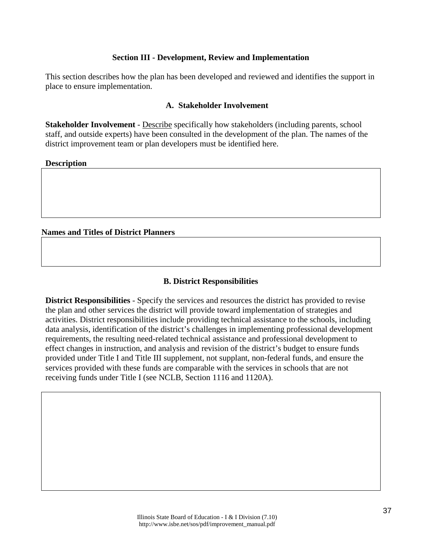# **Section III - Development, Review and Implementation**

This section describes how the plan has been developed and reviewed and identifies the support in place to ensure implementation.

### **A. Stakeholder Involvement**

**Stakeholder Involvement** - Describe specifically how stakeholders (including parents, school staff, and outside experts) have been consulted in the development of the plan. The names of the district improvement team or plan developers must be identified here.

**Description**

### **Names and Titles of District Planners**

#### **B. District Responsibilities**

**District Responsibilities** - Specify the services and resources the district has provided to revise the plan and other services the district will provide toward implementation of strategies and activities. District responsibilities include providing technical assistance to the schools, including data analysis, identification of the district's challenges in implementing professional development requirements, the resulting need-related technical assistance and professional development to effect changes in instruction, and analysis and revision of the district's budget to ensure funds provided under Title I and Title III supplement, not supplant, non-federal funds, and ensure the services provided with these funds are comparable with the services in schools that are not receiving funds under Title I (see NCLB, Section 1116 and 1120A).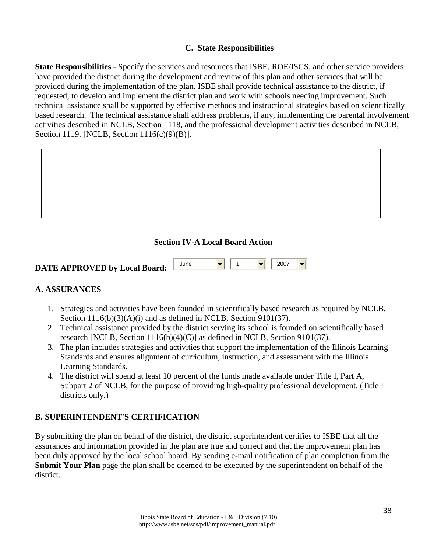# **C. State Responsibilities**

**State Responsibilities** - Specify the services and resources that ISBE, ROE/ISCS, and other service providers have provided the district during the development and review of this plan and other services that will be provided during the implementation of the plan. ISBE shall provide technical assistance to the district, if requested, to develop and implement the district plan and work with schools needing improvement. Such technical assistance shall be supported by effective methods and instructional strategies based on scientifically based research. The technical assistance shall address problems, if any, implementing the parental involvement activities described in NCLB, Section 1118, and the professional development activities described in NCLB, Section 1119. [NCLB, Section 1116(c)(9)(B)].

# **Section IV-A Local Board Action**

| <b>DATE APPROVED by Local Board:</b> | June |  | $\sqrt{2007}$ |  |
|--------------------------------------|------|--|---------------|--|
|                                      |      |  |               |  |

# **A. ASSURANCES**

- 1. Strategies and activities have been founded in scientifically based research as required by NCLB, Section  $1116(b)(3)(A)(i)$  and as defined in NCLB, Section 9101(37).
- 2. Technical assistance provided by the district serving its school is founded on scientifically based research [NCLB, Section 1116(b)(4)(C)] as defined in NCLB, Section 9101(37).
- 3. The plan includes strategies and activities that support the implementation of the Illinois Learning Standards and ensures alignment of curriculum, instruction, and assessment with the Illinois Learning Standards.
- 4. The district will spend at least 10 percent of the funds made available under Title I, Part A, Subpart 2 of NCLB, for the purpose of providing high-quality professional development. (Title I districts only.)

# **B. SUPERINTENDENT'S CERTIFICATION**

By submitting the plan on behalf of the district, the district superintendent certifies to ISBE that all the assurances and information provided in the plan are true and correct and that the improvement plan has been duly approved by the local school board. By sending e-mail notification of plan completion from the **Submit Your Plan** page the plan shall be deemed to be executed by the superintendent on behalf of the district.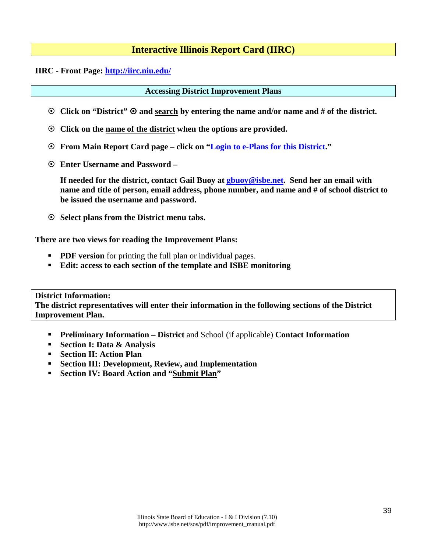# **Interactive Illinois Report Card (IIRC)**

### **IIRC - Front Page: <http://iirc.niu.edu/>**

### **Accessing District Improvement Plans**

- **Click on "District" and search by entering the name and/or name and # of the district.**
- **Click on the name of the district when the options are provided.**
- **From Main Report Card page click on "Login to e-Plans for this District."**
- **Enter Username and Password**

**If needed for the district, contact Gail Buoy at [gbuoy@isbe.net.](mailto:gbuoy@isbe.net) Send her an email with name and title of person, email address, phone number, and name and # of school district to be issued the username and password.**

**Select plans from the District menu tabs.** 

### **There are two views for reading the Improvement Plans:**

- **PDF version** for printing the full plan or individual pages.
- **Edit: access to each section of the template and ISBE monitoring**

# **District Information:**

**The district representatives will enter their information in the following sections of the District Improvement Plan.**

- **Preliminary Information District and School (if applicable) Contact Information**
- **Section I: Data & Analysis**
- **Section II: Action Plan**
- **Section III: Development, Review, and Implementation**
- **Section IV: Board Action and "Submit Plan"**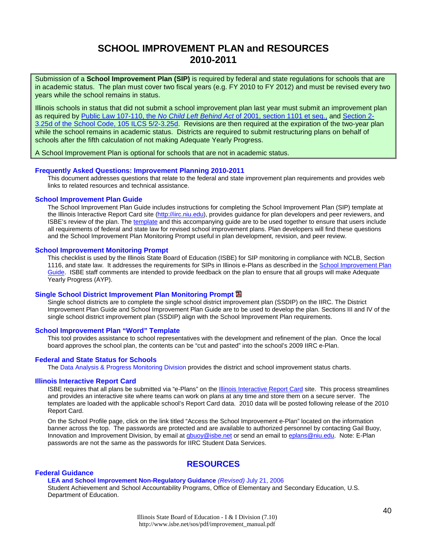# **SCHOOL IMPROVEMENT PLAN and RESOURCES 2010-2011**

Submission of a **School Improvement Plan (SIP)** is required by federal and state regulations for schools that are in academic status. The plan must cover two fiscal years (e.g. FY 2010 to FY 2012) and must be revised every two years while the school remains in status.

Illinois schools in status that did not submit a school improvement plan last year must submit an improvement plan as required by Public Law 107-110, the *No Child Left Behind Act* [of 2001, section 1101 et seq.,](http://www.ed.gov/policy/elsec/leg/esea02/index.html) and [Section 2-](http://www.ilga.gov/legislation/ilcs/ilcs3.asp?ActID=1005&ChapAct=105%26nbsp%3BILCS%26nbsp%3B5%2F&ChapterID=17&ChapterName=SCHOOLS&ActName=School+Code%2E) [3.25d of the School Code, 105 ILCS 5/2-3.25d.](http://www.ilga.gov/legislation/ilcs/ilcs3.asp?ActID=1005&ChapAct=105%26nbsp%3BILCS%26nbsp%3B5%2F&ChapterID=17&ChapterName=SCHOOLS&ActName=School+Code%2E) Revisions are then required at the expiration of the two-year plan while the school remains in academic status. Districts are required to submit restructuring plans on behalf of schools after the fifth calculation of not making Adequate Yearly Progress.

A School Improvement Plan is optional for schools that are not in academic status.

#### **Frequently Asked Questions: Improvement Planning 2010-2011**

This document addresses questions that relate to the federal and state improvement plan requirements and provides web links to related resources and technical assistance.

#### **[School Improvement Plan Guide](http://www.isbe.net/sos/pdf/sip_guide.pdf)**

The School Improvement Plan Guide includes instructions for completing the School Improvement Plan (SIP) template at the Illinois Interactive Report Card site [\(http://iirc.niu.edu\)](http://iirc.niu.edu/), provides guidance for plan developers and peer reviewers, and ISBE's review of the plan. The [template](http://www.isbe.net/sos/word/eplan_school_template.doc) and this accompanying guide are to be used together to ensure that users include all requirements of federal and state law for revised school improvement plans. Plan developers will find these questions and the School Improvement Plan Monitoring Prompt useful in plan development, revision, and peer review.

#### **[School Improvement Monitoring Prompt](http://www.isbe.net/sos/pdf/sip_monitoring.pdf)**

This checklist is used by the Illinois State Board of Education (ISBE) for SIP monitoring in compliance with NCLB, Section 1116, and state law. It addresses the requirements for SIPs in Illinois e-Plans as described in the School Improvement Plan [Guide.](http://www.isbe.net/sos/pdf/sip_guide.pdf) ISBE staff comments are intended to provide feedback on the plan to ensure that all groups will make Adequate Yearly Progress (AYP).

#### **[Single School District Improvement Plan Monitoring Prompt](http://www.isbe.net/sos/pdf/dip_single_school.pdf)**

Single school districts are to complete the single school district improvement plan (SSDIP) on the IIRC. The District Improvement Plan Guide and School Improvement Plan Guide are to be used to develop the plan. Sections III and IV of the single school district improvement plan (SSDIP) align with the School Improvement Plan requirements.

#### **[School Improvement Plan "Word" Template](http://www.isbe.net/sos/word/eplan_school_template.doc)**

This tool provides assistance to school representatives with the development and refinement of the plan. Once the local board approves the school plan, the contents can be "cut and pasted" into the school's 2009 IIRC e-Plan.

#### **Federal and State Status for Schools**

The [Data Analysis & Progress Monitoring Division](http://www.isbe.net/research/htmls/improvement.htm) provides the district and school improvement status charts.

#### **[Illinois Interactive Report Card](http://iirc.niu.edu/)**

ISBE requires that all plans be submitted via "e-Plans" on the [Illinois Interactive Report Card](http://iirc.niu.edu/) site. This process streamlines and provides an interactive site where teams can work on plans at any time and store them on a secure server. The templates are loaded with the applicable school's Report Card data. 2010 data will be posted following release of the 2010 Report Card.

On the School Profile page, click on the link titled "Access the School Improvement e-Plan" located on the information banner across the top. The passwords are protected and are available to authorized personnel by contacting Gail Buoy, Innovation and Improvement Division, by email a[t gbuoy@isbe.net](mailto:gbuoy@isbe.net) or send an email to [eplans@niu.edu.](mailto:eplans@niu.edu) Note: E-Plan passwords are not the same as the passwords for IIRC Student Data Services.

### **RESOURCES**

#### **[Federal Guidance](http://www.ed.gov/policy/elsec/guid/schoolimprovementguid.pdf)**

**[LEA and School Improvement](http://www.ed.gov/policy/elsec/guid/schoolimprovementguid.pdf) Non-Regulatory Guidance** *(Revised)* July 21, 2006 Student Achievement and School Accountability Programs, Office of Elementary and Secondary Education, U.S.

Department of Education.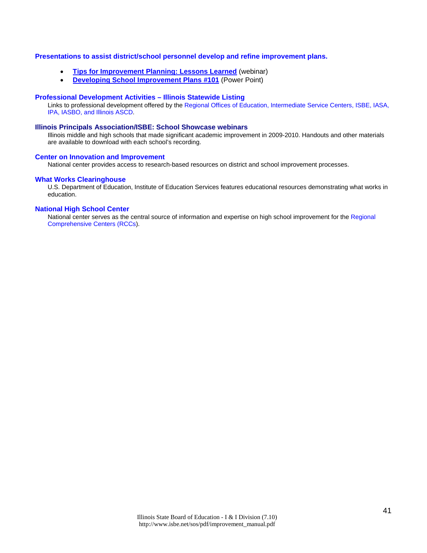#### **Presentations to assist district/school personnel develop and refine improvement plans.**

- **[Tips for Improvement Planning: Lessons Learned](mms://video2.isbe.net/Improvement_Planning_060810)** (webinar)
- **[Developing School Improvement Plans #101](http://www.isbe.net/sos/ppt/SIP_development.ppt)** (Power Point)

#### **[Professional Development Activities – Illinois Statewide Listing](http://www.iarss.org/Development.asp)**

Links to professional development offered by th[e Regional Offices of Education, Intermediate Service Centers, ISBE, IASA,](http://www.iarss.org/directory/state-map.html)  [IPA, IASBO, and Illinois ASCD.](http://www.iarss.org/directory/state-map.html) 

#### **[Illinois Principals Association/ISBE: School Showcase webinars](http://www.ilprincipals.org/pages/showcase_webinars.html)**

Illinois middle and high schools that made significant academic improvement in 2009-2010. Handouts and other materials are available to download with each school's recording.

#### **[Center on Innovation and Improvement](http://www.centerii.org/)**

National center provides access to research-based resources on district and school improvement processes.

#### **What Works [Clearinghouse](http://ies.ed.gov/ncee/wwc/)**

U.S. Department of Education, Institute of Education Services features educational resources demonstrating what works in education.

#### **[National High School Center](http://www.betterhighschools.org/about/)**

National center serves as the central source of information and expertise on high school improvement for the [Regional](http://www.betterhighschools.org/tech/map.asp)  [Comprehensive Centers \(RCCs\)](http://www.betterhighschools.org/tech/map.asp).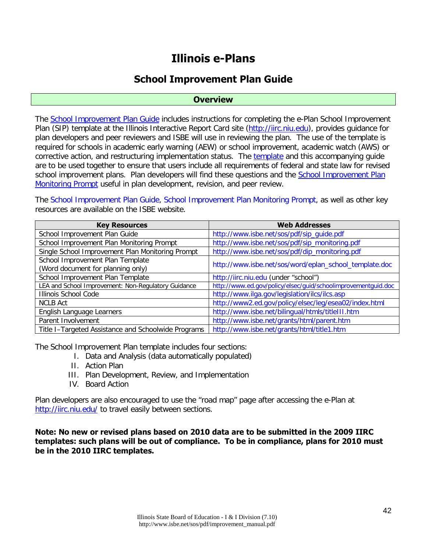# **Illinois e-Plans**

# **School Improvement Plan Guide**

### **Overview**

The [School Improvement Plan Guide](http://www.isbe.net/sos/pdf/sip_guide.pdf) includes instructions for completing the e-Plan School Improvement Plan (SIP) template at the Illinois Interactive Report Card site [\(http://iirc.niu.edu\)](http://iirc.niu.edu/), provides guidance for plan developers and peer reviewers and ISBE will use in reviewing the plan. The use of the template is required for schools in academic early warning (AEW) or school improvement, academic watch (AWS) or corrective action, and restructuring implementation status. The [template](http://www.isbe.net/sos/word/eplan_school_template.doc) and this accompanying guide are to be used together to ensure that users include all requirements of federal and state law for revised school improvement plans. Plan developers will find these questions and the [School Improvement Plan](http://www.isbe.net/sos/pdf/sip_monitoring.pdf)  [Monitoring Prompt](http://www.isbe.net/sos/pdf/sip_monitoring.pdf) useful in plan development, revision, and peer review.

The [School Improvement Plan Guide,](http://www.isbe.net/sos/pdf/sip_guide.pdf) School Improvement [Plan Monitoring Prompt,](http://www.isbe.net/sos/pdf/sip_monitoring.pdf) as well as other key resources are available on the ISBE website.

| <b>Key Resources</b>                                | <b>Web Addresses</b>                                          |
|-----------------------------------------------------|---------------------------------------------------------------|
| School Improvement Plan Guide                       | http://www.isbe.net/sos/pdf/sip_guide.pdf                     |
| School Improvement Plan Monitoring Prompt           | http://www.isbe.net/sos/pdf/sip_monitoring.pdf                |
| Single School Improvement Plan Monitoring Prompt    | http://www.isbe.net/sos/pdf/dip_monitoring.pdf                |
| School Improvement Plan Template                    | http://www.isbe.net/sos/word/eplan_school_template.doc        |
| (Word document for planning only)                   |                                                               |
| School Improvement Plan Template                    | http://iirc.niu.edu (under "school")                          |
| LEA and School Improvement: Non-Regulatory Guidance | http://www.ed.gov/policy/elsec/guid/schoolimprovementguid.doc |
| Illinois School Code                                | http://www.ilga.gov/legislation/ilcs/ilcs.asp                 |
| <b>NCLB Act</b>                                     | http://www2.ed.gov/policy/elsec/leg/esea02/index.html         |
| English Language Learners                           | http://www.isbe.net/bilingual/htmls/title111.htm              |
| Parent Involvement                                  | http://www.isbe.net/grants/html/parent.htm                    |
| Title I-Targeted Assistance and Schoolwide Programs | http://www.isbe.net/grants/html/title1.htm                    |

The School Improvement Plan template includes four sections:

- I. Data and Analysis (data automatically populated)
- II. Action Plan
- III. Plan Development, Review, and Implementation
- IV. Board Action

Plan developers are also encouraged to use the "road map" page after accessing the e-Plan at <http://iirc.niu.edu/> to travel easily between sections.

**Note: No new or revised plans based on 2010 data are to be submitted in the 2009 IIRC templates: such plans will be out of compliance. To be in compliance, plans for 2010 must be in the 2010 IIRC templates.**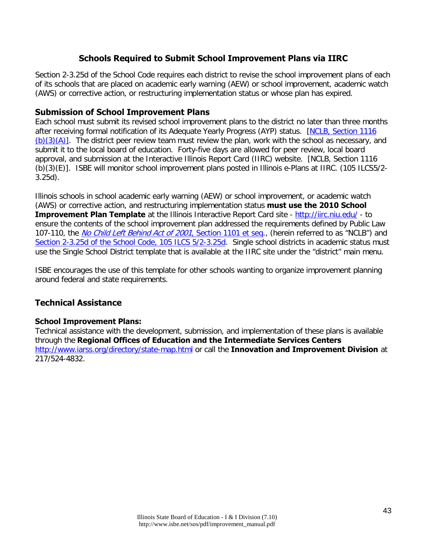# **Schools Required to Submit School Improvement Plans via IIRC**

Section 2-3.25d of the School Code requires each district to revise the school improvement plans of each of its schools that are placed on academic early warning (AEW) or school improvement, academic watch (AWS) or corrective action, or restructuring implementation status or whose plan has expired.

### **Submission of School Improvement Plans**

Each school must submit its revised school improvement plans to the district no later than three months after receiving formal notification of its Adequate Yearly Progress (AYP) status. [\[NCLB, Section 1116](http://www2.ed.gov/policy/elsec/leg/esea02/pg2.html#sec1116)   $(b)(3)(A)$ . The district peer review team must review the plan, work with the school as necessary, and submit it to the local board of education. Forty-five days are allowed for peer review, local board approval, and submission at the Interactive Illinois Report Card (IIRC) website. [NCLB, Section 1116 (b)(3)(E)]. ISBE will monitor school improvement plans posted in Illinois e-Plans at IIRC. (105 ILCS5/2- 3.25d).

Illinois schools in school academic early warning (AEW) or school improvement, or academic watch (AWS) or corrective action, and restructuring implementation status **must use the 2010 School Improvement Plan Template** at the Illinois Interactive Report Card site -<http://iirc.niu.edu/>- to ensure the contents of the school improvement plan addressed the requirements defined by Public Law 107-110, the [No Child Left Behind Act of 2001](http://www2.ed.gov/policy/elsec/leg/esea02/pg2.html#sec1111), Section 1101 et seq., (herein referred to as "NCLB") and [Section 2-3.25d of the School Code, 105 ILCS 5/2-3.25d.](http://www.ilga.gov/legislation/ilcs/ilcs3.asp?ActID=1005&ChapAct=105%26nbsp%3BILCS%26nbsp%3B5%2F&ChapterID=17&ChapterName=SCHOOLS&ActName=School+Code%2E) Single school districts in academic status must use the Single School District template that is available at the IIRC site under the "district" main menu.

ISBE encourages the use of this template for other schools wanting to organize improvement planning around federal and state requirements.

# **Technical Assistance**

### **School Improvement Plans:**

Technical assistance with the development, submission, and implementation of these plans is available through the **Regional Offices of Education and the Intermediate Services Centers** <http://www.iarss.org/directory/state-map.html> or call the **Innovation and Improvement Division** at 217/524-4832.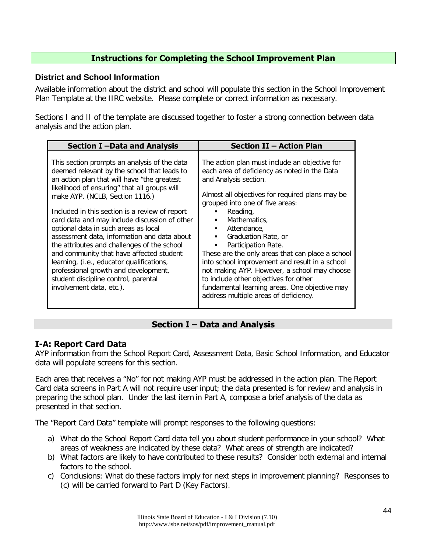# **Instructions for Completing the School Improvement Plan**

## **District and School Information**

Available information about the district and school will populate this section in the School Improvement Plan Template at the IIRC website. Please complete or correct information as necessary.

Sections I and II of the template are discussed together to foster a strong connection between data analysis and the action plan.

| Section I-Data and Analysis                                                                                                                                                                                                                                                                                                                                                                                                                                                                                                                                                                                                                                                 | <b>Section II - Action Plan</b>                                                                                                                                                                                                                                                                                                                                                                                                                                                                                                                                                                |
|-----------------------------------------------------------------------------------------------------------------------------------------------------------------------------------------------------------------------------------------------------------------------------------------------------------------------------------------------------------------------------------------------------------------------------------------------------------------------------------------------------------------------------------------------------------------------------------------------------------------------------------------------------------------------------|------------------------------------------------------------------------------------------------------------------------------------------------------------------------------------------------------------------------------------------------------------------------------------------------------------------------------------------------------------------------------------------------------------------------------------------------------------------------------------------------------------------------------------------------------------------------------------------------|
| This section prompts an analysis of the data<br>deemed relevant by the school that leads to<br>an action plan that will have "the greatest<br>likelihood of ensuring" that all groups will<br>make AYP. (NCLB, Section 1116.)<br>Included in this section is a review of report<br>card data and may include discussion of other<br>optional data in such areas as local<br>assessment data, information and data about<br>the attributes and challenges of the school<br>and community that have affected student<br>learning, (i.e., educator qualifications,<br>professional growth and development,<br>student discipline control, parental<br>involvement data, etc.). | The action plan must include an objective for<br>each area of deficiency as noted in the Data<br>and Analysis section.<br>Almost all objectives for required plans may be<br>grouped into one of five areas:<br>Reading,<br>Mathematics.<br>Attendance,<br>Graduation Rate, or<br>Participation Rate.<br>These are the only areas that can place a school<br>into school improvement and result in a school<br>not making AYP. However, a school may choose<br>to include other objectives for other<br>fundamental learning areas. One objective may<br>address multiple areas of deficiency. |

# **Section I – Data and Analysis**

# **I-A: Report Card Data**

AYP information from the School Report Card, Assessment Data, Basic School Information, and Educator data will populate screens for this section.

Each area that receives a "No" for not making AYP must be addressed in the action plan. The Report Card data screens in Part A will not require user input; the data presented is for review and analysis in preparing the school plan. Under the last item in Part A, compose a brief analysis of the data as presented in that section.

The "Report Card Data" template will prompt responses to the following questions:

- a) What do the School Report Card data tell you about student performance in your school? What areas of weakness are indicated by these data? What areas of strength are indicated?
- b) What factors are likely to have contributed to these results? Consider both external and internal factors to the school.
- c) Conclusions: What do these factors imply for next steps in improvement planning? Responses to (c) will be carried forward to Part D (Key Factors).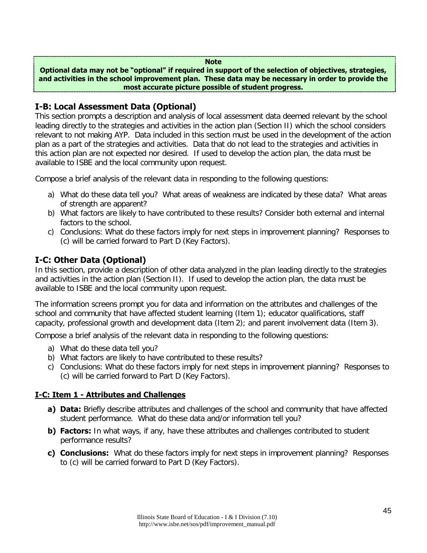#### **Note**

**Optional data may not be "optional" if required in support of the selection of objectives, strategies, and activities in the school improvement plan. These data may be necessary in order to provide the most accurate picture possible of student progress.**

# **I-B: Local Assessment Data (Optional)**

This section prompts a description and analysis of local assessment data deemed relevant by the school leading directly to the strategies and activities in the action plan (Section II) which the school considers relevant to not making AYP. Data included in this section must be used in the development of the action plan as a part of the strategies and activities. Data that do not lead to the strategies and activities in this action plan are not expected nor desired. If used to develop the action plan, the data must be available to ISBE and the local community upon request.

Compose a brief analysis of the relevant data in responding to the following questions:

- a) What do these data tell you? What areas of weakness are indicated by these data? What areas of strength are apparent?
- b) What factors are likely to have contributed to these results? Consider both external and internal factors to the school.
- c) Conclusions: What do these factors imply for next steps in improvement planning? Responses to (c) will be carried forward to Part D (Key Factors).

# **I-C: Other Data (Optional)**

In this section, provide a description of other data analyzed in the plan leading directly to the strategies and activities in the action plan (Section II). If used to develop the action plan, the data must be available to ISBE and the local community upon request.

The information screens prompt you for data and information on the attributes and challenges of the school and community that have affected student learning (Item 1); educator qualifications, staff capacity, professional growth and development data (Item 2); and parent involvement data (Item 3).

Compose a brief analysis of the relevant data in responding to the following questions:

- a) What do these data tell you?
- b) What factors are likely to have contributed to these results?
- c) Conclusions: What do these factors imply for next steps in improvement planning? Responses to (c) will be carried forward to Part D (Key Factors).

# **I-C: Item 1 - Attributes and Challenges**

- **a) Data:** Briefly describe attributes and challenges of the school and community that have affected student performance. What do these data and/or information tell you?
- **b) Factors:** In what ways, if any, have these attributes and challenges contributed to student performance results?
- **c) Conclusions:** What do these factors imply for next steps in improvement planning? Responses to (c) will be carried forward to Part D (Key Factors).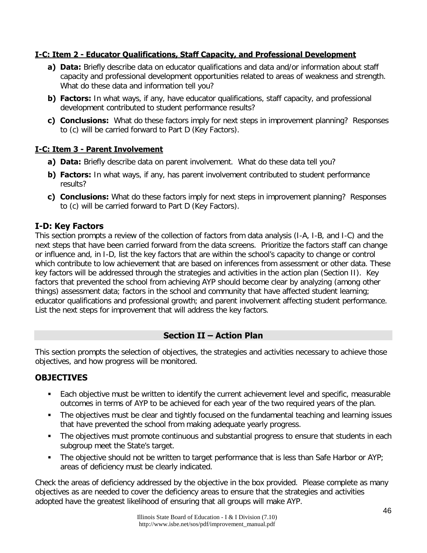# **I-C: Item 2 - Educator Qualifications, Staff Capacity, and Professional Development**

- **a) Data:** Briefly describe data on educator qualifications and data and/or information about staff capacity and professional development opportunities related to areas of weakness and strength. What do these data and information tell you?
- **b) Factors:** In what ways, if any, have educator qualifications, staff capacity, and professional development contributed to student performance results?
- **c) Conclusions:** What do these factors imply for next steps in improvement planning? Responses to (c) will be carried forward to Part D (Key Factors).

# **I-C: Item 3 - Parent Involvement**

- **a) Data:** Briefly describe data on parent involvement. What do these data tell you?
- **b) Factors:** In what ways, if any, has parent involvement contributed to student performance results?
- **c) Conclusions:** What do these factors imply for next steps in improvement planning? Responses to (c) will be carried forward to Part D (Key Factors).

# **I-D: Key Factors**

This section prompts a review of the collection of factors from data analysis (I-A, I-B, and I-C) and the next steps that have been carried forward from the data screens. Prioritize the factors staff can change or influence and, in I-D, list the key factors that are within the school's capacity to change or control which contribute to low achievement that are based on inferences from assessment or other data. These key factors will be addressed through the strategies and activities in the action plan (Section II). Key factors that prevented the school from achieving AYP should become clear by analyzing (among other things) assessment data; factors in the school and community that have affected student learning; educator qualifications and professional growth; and parent involvement affecting student performance. List the next steps for improvement that will address the key factors.

# **Section II – Action Plan**

This section prompts the selection of objectives, the strategies and activities necessary to achieve those objectives, and how progress will be monitored.

# **OBJECTIVES**

- Each objective must be written to identify the current achievement level and specific, measurable outcomes in terms of AYP to be achieved for each year of the two required years of the plan.
- The objectives must be clear and tightly focused on the fundamental teaching and learning issues that have prevented the school from making adequate yearly progress.
- The objectives must promote continuous and substantial progress to ensure that students in each subgroup meet the State's target.
- The objective should not be written to target performance that is less than Safe Harbor or AYP; areas of deficiency must be clearly indicated.

Check the areas of deficiency addressed by the objective in the box provided. Please complete as many objectives as are needed to cover the deficiency areas to ensure that the strategies and activities adopted have the greatest likelihood of ensuring that all groups will make AYP.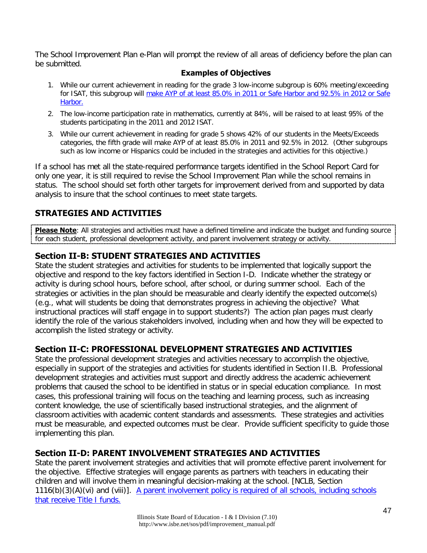The School Improvement Plan e-Plan will prompt the review of all areas of deficiency before the plan can be submitted.

# **Examples of Objectives**

- 1. While our current achievement in reading for the grade 3 low-income subgroup is 60% meeting/exceeding for ISAT, this subgroup will [make AYP of at least 85.0% in 2011](http://www.isbe.net/ayp/htmls/illini_equal_steps.htm) or Safe Harbor and 92.5% in 2012 or Safe [Harbor.](http://www.isbe.net/ayp/htmls/illini_equal_steps.htm)
- 2. The low-income participation rate in mathematics, currently at 84%, will be raised to at least 95% of the students participating in the 2011 and 2012 ISAT.
- 3. While our current achievement in reading for grade 5 shows 42% of our students in the Meets/Exceeds categories, the fifth grade will make AYP of at least 85.0% in 2011 and 92.5% in 2012. (Other subgroups such as low income or Hispanics could be included in the strategies and activities for this objective.)

If a school has met all the state-required performance targets identified in the School Report Card for only one year, it is still required to revise the School Improvement Plan while the school remains in status. The school should set forth other targets for improvement derived from and supported by data analysis to insure that the school continues to meet state targets.

# **STRATEGIES AND ACTIVITIES**

**Please Note**: All strategies and activities must have a defined timeline and indicate the budget and funding source for each student, professional development activity, and parent involvement strategy or activity.

# **Section II-B: STUDENT STRATEGIES AND ACTIVITIES**

State the student strategies and activities for students to be implemented that logically support the objective and respond to the key factors identified in Section I-D. Indicate whether the strategy or activity is during school hours, before school, after school, or during summer school. Each of the strategies or activities in the plan should be measurable and clearly identify the expected outcome(s) (e.g., what will students be doing that demonstrates progress in achieving the objective? What instructional practices will staff engage in to support students?) The action plan pages must clearly identify the role of the various stakeholders involved, including when and how they will be expected to accomplish the listed strategy or activity.

# **Section II-C: PROFESSIONAL DEVELOPMENT STRATEGIES AND ACTIVITIES**

State the professional development strategies and activities necessary to accomplish the objective, especially in support of the strategies and activities for students identified in Section II.B. Professional development strategies and activities must support and directly address the academic achievement problems that caused the school to be identified in status or in special education compliance. In most cases, this professional training will focus on the teaching and learning process, such as increasing content knowledge, the use of scientifically based instructional strategies, and the alignment of classroom activities with academic content standards and assessments. These strategies and activities must be measurable, and expected outcomes must be clear. Provide sufficient specificity to guide those implementing this plan.

# **Section II-D: PARENT INVOLVEMENT STRATEGIES AND ACTIVITIES**

State the parent involvement strategies and activities that will promote effective parent involvement for the objective. Effective strategies will engage parents as partners with teachers in educating their children and will involve them in meaningful decision-making at the school. [NCLB, Section 1116(b)(3)(A)(vi) and (viii)]. A parent involvement policy is required of all schools, including schools [that receive Title I funds.](http://www.isbe.net/grants/html/parent.htm)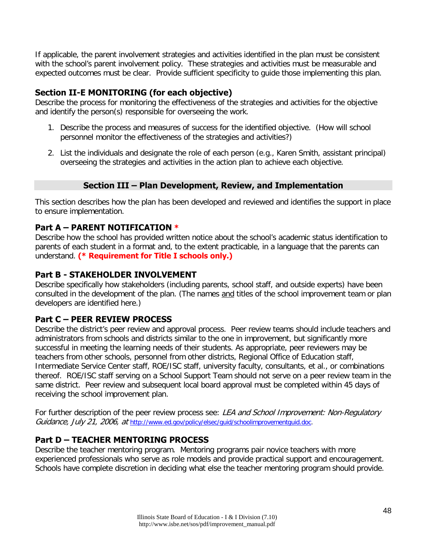If applicable, the parent involvement strategies and activities identified in the plan must be consistent with the school's parent involvement policy. These strategies and activities must be measurable and expected outcomes must be clear. Provide sufficient specificity to guide those implementing this plan.

# **Section II-E MONITORING (for each objective)**

Describe the process for monitoring the effectiveness of the strategies and activities for the objective and identify the person(s) responsible for overseeing the work.

- 1. Describe the process and measures of success for the identified objective. (How will school personnel monitor the effectiveness of the strategies and activities?)
- 2. List the individuals and designate the role of each person (e.g., Karen Smith, assistant principal) overseeing the strategies and activities in the action plan to achieve each objective.

# **Section III – Plan Development, Review, and Implementation**

This section describes how the plan has been developed and reviewed and identifies the support in place to ensure implementation.

# **Part A – PARENT NOTIFICATION \***

Describe how the school has provided written notice about the school's academic status identification to parents of each student in a format and, to the extent practicable, in a language that the parents can understand. **(\* Requirement for Title I schools only.)**

# **Part B - STAKEHOLDER INVOLVEMENT**

Describe specifically how stakeholders (including parents, school staff, and outside experts) have been consulted in the development of the plan. (The names and titles of the school improvement team or plan developers are identified here.)

# **Part C – PEER REVIEW PROCESS**

Describe the district's peer review and approval process. Peer review teams should include teachers and administrators from schools and districts similar to the one in improvement, but significantly more successful in meeting the learning needs of their students. As appropriate, peer reviewers may be teachers from other schools, personnel from other districts, Regional Office of Education staff, Intermediate Service Center staff, ROE/ISC staff, university faculty, consultants, et al., or combinations thereof. ROE/ISC staff serving on a School Support Team should not serve on a peer review team in the same district. Peer review and subsequent local board approval must be completed within 45 days of receiving the school improvement plan.

For further description of the peer review process see: LEA and School Improvement: Non-Regulatory Guidance, July 21, 2006, at [http://www.ed.gov/policy/elsec/guid/schoolimprovementguid.doc.](http://www.ed.gov/policy/elsec/guid/schoolimprovementguid.doc)

# **Part D – TEACHER MENTORING PROCESS**

Describe the teacher mentoring program. Mentoring programs pair novice teachers with more experienced professionals who serve as role models and provide practical support and encouragement. Schools have complete discretion in deciding what else the teacher mentoring program should provide.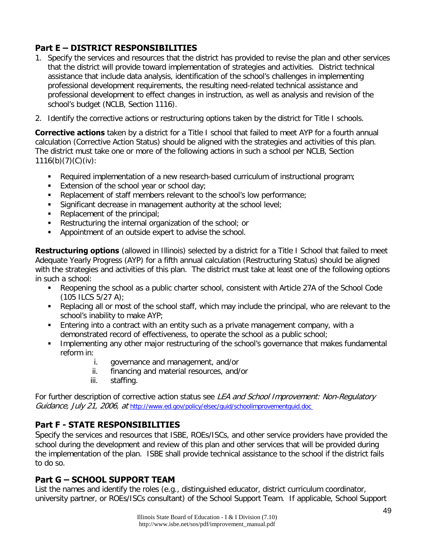# **Part E – DISTRICT RESPONSIBILITIES**

- 1. Specify the services and resources that the district has provided to revise the plan and other services that the district will provide toward implementation of strategies and activities. District technical assistance that include data analysis, identification of the school's challenges in implementing professional development requirements, the resulting need-related technical assistance and professional development to effect changes in instruction, as well as analysis and revision of the school's budget (NCLB, Section 1116).
- 2. Identify the corrective actions or restructuring options taken by the district for Title I schools.

**Corrective actions** taken by a district for a Title I school that failed to meet AYP for a fourth annual calculation (Corrective Action Status) should be aligned with the strategies and activities of this plan. The district must take one or more of the following actions in such a school per NCLB, Section  $1116(b)(7)(C)(iv):$ 

- Required implementation of a new research-based curriculum of instructional program;
- Extension of the school year or school day;
- Replacement of staff members relevant to the school's low performance;
- **Significant decrease in management authority at the school level;**
- Replacement of the principal;
- Restructuring the internal organization of the school; or
- Appointment of an outside expert to advise the school.

**Restructuring options** (allowed in Illinois) selected by a district for a Title I School that failed to meet Adequate Yearly Progress (AYP) for a fifth annual calculation (Restructuring Status) should be aligned with the strategies and activities of this plan. The district must take at least one of the following options in such a school:

- Reopening the school as a public charter school, consistent with Article 27A of the School Code (105 ILCS 5/27 A);
- Replacing all or most of the school staff, which may include the principal, who are relevant to the school's inability to make AYP;
- **Entering into a contract with an entity such as a private management company, with a** demonstrated record of effectiveness, to operate the school as a public school;
- Implementing any other major restructuring of the school's governance that makes fundamental reform in:
	- i. governance and management, and/or
	- ii. financing and material resources, and/or
	- iii. staffing.

For further description of corrective action status see LEA and School Improvement: Non-Regulatory Guidance, July 21, 2006, at <http://www.ed.gov/policy/elsec/guid/schoolimprovementguid.doc>

# **Part F - STATE RESPONSIBILITIES**

Specify the services and resources that ISBE, ROEs/ISCs, and other service providers have provided the school during the development and review of this plan and other services that will be provided during the implementation of the plan. ISBE shall provide technical assistance to the school if the district fails to do so.

# **Part G – SCHOOL SUPPORT TEAM**

List the names and identify the roles (e.g., distinguished educator, district curriculum coordinator, university partner, or ROEs/ISCs consultant) of the School Support Team. If applicable, School Support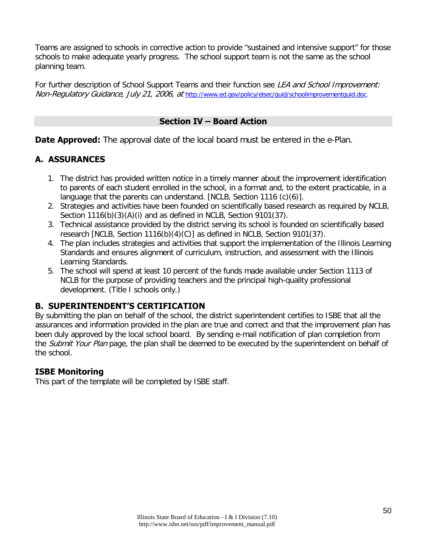Teams are assigned to schools in corrective action to provide "sustained and intensive support" for those schools to make adequate yearly progress. The school support team is not the same as the school planning team.

For further description of School Support Teams and their function see LEA and School Improvement: Non-Regulatory Guidance, July 21, 2006, at [http://www.ed.gov/policy/elsec/guid/schoolimprovementguid.doc.](http://www.ed.gov/policy/elsec/guid/schoolimprovementguid.doc)

# **Section IV – Board Action**

**Date Approved:** The approval date of the local board must be entered in the e-Plan.

# **A. ASSURANCES**

- 1. The district has provided written notice in a timely manner about the improvement identification to parents of each student enrolled in the school, in a format and, to the extent practicable, in a language that the parents can understand. [NCLB, Section 1116 (c)(6)].
- 2. Strategies and activities have been founded on scientifically based research as required by NCLB, Section 1116(b)(3)(A)(i) and as defined in NCLB, Section 9101(37).
- 3. Technical assistance provided by the district serving its school is founded on scientifically based research [NCLB, Section 1116(b)(4)(C)] as defined in NCLB, Section 9101(37).
- 4. The plan includes strategies and activities that support the implementation of the Illinois Learning Standards and ensures alignment of curriculum, instruction, and assessment with the Illinois Learning Standards.
- 5. The school will spend at least 10 percent of the funds made available under Section 1113 of NCLB for the purpose of providing teachers and the principal high-quality professional development. (Title I schools only.)

# **B. SUPERINTENDENT'S CERTIFICATION**

By submitting the plan on behalf of the school, the district superintendent certifies to ISBE that all the assurances and information provided in the plan are true and correct and that the improvement plan has been duly approved by the local school board. By sending e-mail notification of plan completion from the Submit Your Plan page, the plan shall be deemed to be executed by the superintendent on behalf of the school.

# **ISBE Monitoring**

This part of the template will be completed by ISBE staff.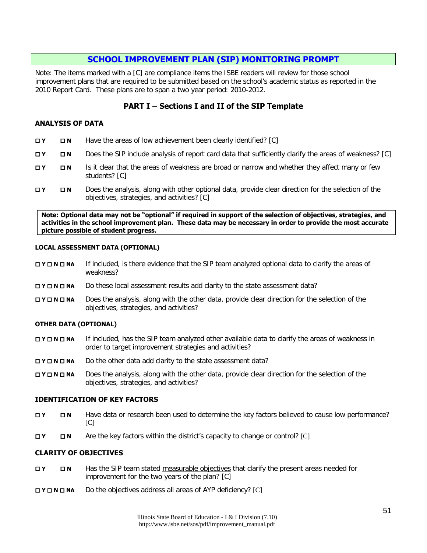# **[SCHOOL IMPROVEMENT PLAN \(SIP\) MONITORING PROMPT](http://www.isbe.net/sos/pdf/sip_monitoring.pdf)**

Note: The items marked with a [C] are compliance items the ISBE readers will review for those school improvement plans that are required to be submitted based on the school's academic status as reported in the 2010 Report Card. These plans are to span a two year period: 2010-2012.

## **PART I – Sections I and II of the SIP Template**

#### **ANALYSIS OF DATA**

- **Y N** Have the areas of low achievement been clearly identified? [C]
- **T Y N** Does the SIP include analysis of report card data that sufficiently clarify the areas of weakness? [C]
- **THE IS IT IS IT CHAT IS IT CLEAR THAT THE AREAS OF WEAKNESS are broad or narrow and whether they affect many or few** students? [C]
- **Y N** Does the analysis, along with other optional data, provide clear direction for the selection of the objectives, strategies, and activities? [C]

**Note: Optional data may not be "optional" if required in support of the selection of objectives, strategies, and activities in the school improvement plan. These data may be necessary in order to provide the most accurate picture possible of student progress.**

#### **LOCAL ASSESSMENT DATA (OPTIONAL)**

- **N <b>N N N If included, is there evidence that the SIP team analyzed optional data to clarify the areas of** weakness?
- **DY <b>DN NA** Do these local assessment results add clarity to the state assessment data?
- **NO <b>N NA** Does the analysis, along with the other data, provide clear direction for the selection of the objectives, strategies, and activities?

#### **OTHER DATA (OPTIONAL)**

- **DY <b>N NA** If included, has the SIP team analyzed other available data to clarify the areas of weakness in order to target improvement strategies and activities?
- **N <b>N N N Do** the other data add clarity to the state assessment data?
- **DY <b>N NA** Does the analysis, along with the other data, provide clear direction for the selection of the objectives, strategies, and activities?

#### **IDENTIFICATION OF KEY FACTORS**

- **T <b>N** Have data or research been used to determine the key factors believed to cause low performance? [C]
- **EXECUTER 19 Are the key factors within the district's capacity to change or control? [C]**

#### **CLARITY OF OBJECTIVES**

- **T <b>N IN** Has the SIP team stated measurable objectives that clarify the present areas needed for improvement for the two years of the plan? [C]
- **Y N NA** Do the objectives address all areas of AYP deficiency? [C]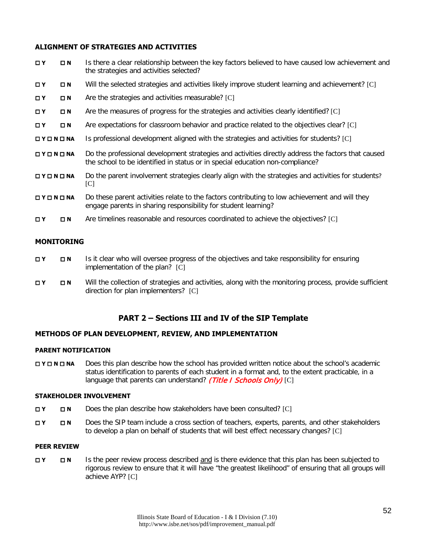#### **ALIGNMENT OF STRATEGIES AND ACTIVITIES**

| <b>OY</b>                            | $\Box N$    | Is there a clear relationship between the key factors believed to have caused low achievement and<br>the strategies and activities selected?                                        |
|--------------------------------------|-------------|-------------------------------------------------------------------------------------------------------------------------------------------------------------------------------------|
| OΥ                                   | $\square$ N | Will the selected strategies and activities likely improve student learning and achievement? [C]                                                                                    |
| $\Box$ Y                             | $\square$ N | Are the strategies and activities measurable? [C]                                                                                                                                   |
| ΠY                                   | $\square$ N | Are the measures of progress for the strategies and activities clearly identified? [C]                                                                                              |
| $\Box$ Y                             | $\square$ N | Are expectations for classroom behavior and practice related to the objectives clear? [C]                                                                                           |
| $\square$ Y $\square$ N $\square$ NA |             | Is professional development aligned with the strategies and activities for students? [C]                                                                                            |
| $\square$ Y $\square$ N $\square$ NA |             | Do the professional development strategies and activities directly address the factors that caused<br>the school to be identified in status or in special education non-compliance? |
| $\square$ Y $\square$ N $\square$ NA |             | Do the parent involvement strategies clearly align with the strategies and activities for students?<br>[C]                                                                          |
| $\square$ Y $\square$ N $\square$ NA |             | Do these parent activities relate to the factors contributing to low achievement and will they<br>engage parents in sharing responsibility for student learning?                    |
| <b>OY</b>                            | $\square$ N | Are timelines reasonable and resources coordinated to achieve the objectives? [C]                                                                                                   |

#### **MONITORING**

- **T <b>N** Is it clear who will oversee progress of the objectives and take responsibility for ensuring implementation of the plan? [C]
- **Y N** Will the collection of strategies and activities, along with the monitoring process, provide sufficient direction for plan implementers? [C]

### **PART 2 – Sections III and IV of the SIP Template**

#### **METHODS OF PLAN DEVELOPMENT, REVIEW, AND IMPLEMENTATION**

#### **PARENT NOTIFICATION**

**H <b>N N NA** Does this plan describe how the school has provided written notice about the school's academic status identification to parents of each student in a format and, to the extent practicable, in a language that parents can understand? (Title I Schools Only) [C]

#### **STAKEHOLDER INVOLVEMENT**

- **EXECRED FIGURER 19 IN DOES the plan describe how stakeholders have been consulted? [C]**
- **Y N** Does the SIP team include a cross section of teachers, experts, parents, and other stakeholders to develop a plan on behalf of students that will best effect necessary changes? [C]

#### **PEER REVIEW**

**T <b>N** Is the peer review process described and is there evidence that this plan has been subjected to rigorous review to ensure that it will have "the greatest likelihood" of ensuring that all groups will achieve AYP? [C]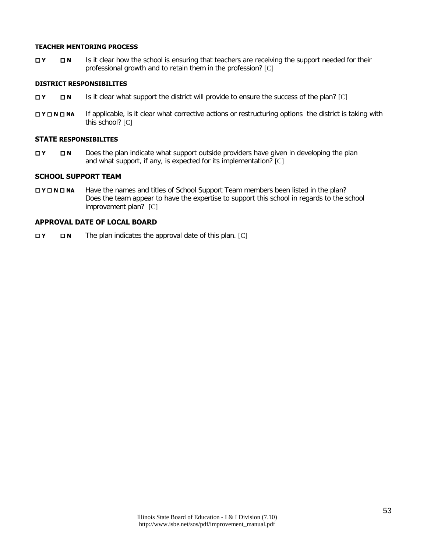#### **TEACHER MENTORING PROCESS**

**T <b>N** Is it clear how the school is ensuring that teachers are receiving the support needed for their professional growth and to retain them in the profession? [C]

### **DISTRICT RESPONSIBILITES**

- **EX IS** Is it clear what support the district will provide to ensure the success of the plan? [C]
- **N <b>N N N If** applicable, is it clear what corrective actions or restructuring options the district is taking with this school? [C]

#### **STATE RESPONSIBILITES**

 **Y N** Does the plan indicate what support outside providers have given in developing the plan and what support, if any, is expected for its implementation? [C]

#### **SCHOOL SUPPORT TEAM**

**NO <b>NO NA** Have the names and titles of School Support Team members been listed in the plan? Does the team appear to have the expertise to support this school in regards to the school improvement plan? [C]

#### **APPROVAL DATE OF LOCAL BOARD**

**T N** The plan indicates the approval date of this plan. [C]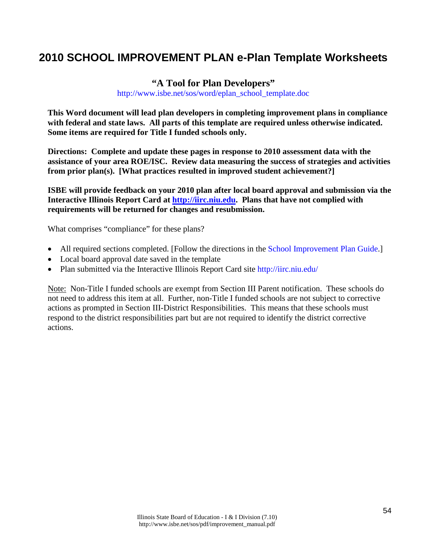# **2010 SCHOOL IMPROVEMENT PLAN e-Plan Template Worksheets**

# **"A Tool for Plan Developers"** [http://www.isbe.net/sos/word/eplan\\_school\\_template.doc](http://www.isbe.net/sos/word/eplan_school_template.doc)

**This Word document will lead plan developers in completing improvement plans in compliance with federal and state laws. All parts of this template are required unless otherwise indicated. Some items are required for Title I funded schools only.**

**Directions: Complete and update these pages in response to 2010 assessment data with the assistance of your area ROE/ISC. Review data measuring the success of strategies and activities from prior plan(s). [What practices resulted in improved student achievement?]**

**ISBE will provide feedback on your 2010 plan after local board approval and submission via the Interactive Illinois Report Card at [http://iirc.niu.edu.](http://iirc.niu.edu/) Plans that have not complied with requirements will be returned for changes and resubmission.** 

What comprises "compliance" for these plans?

- All required sections completed. [Follow the directions in the [School Improvement Plan Guide.](http://www.isbe.net/sos/pdf/sip_guide.pdf)]
- Local board approval date saved in the template
- Plan submitted via the Interactive Illinois Report Card site<http://iirc.niu.edu/>

Note: Non-Title I funded schools are exempt from Section III Parent notification. These schools do not need to address this item at all. Further, non-Title I funded schools are not subject to corrective actions as prompted in Section III-District Responsibilities. This means that these schools must respond to the district responsibilities part but are not required to identify the district corrective actions.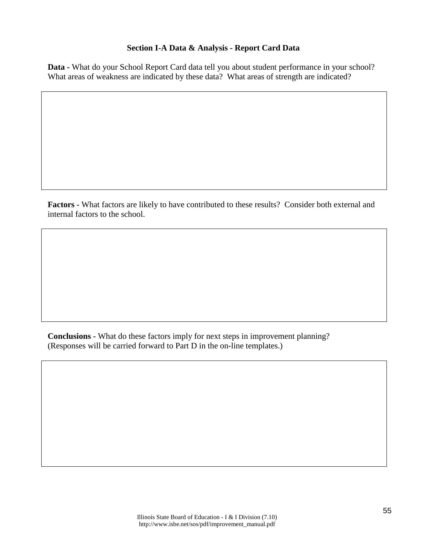# **Section I-A Data & Analysis - Report Card Data**

**Data -** What do your School Report Card data tell you about student performance in your school? What areas of weakness are indicated by these data? What areas of strength are indicated?

**Factors -** What factors are likely to have contributed to these results? Consider both external and internal factors to the school.

**Conclusions -** What do these factors imply for next steps in improvement planning? (Responses will be carried forward to Part D in the on-line templates.)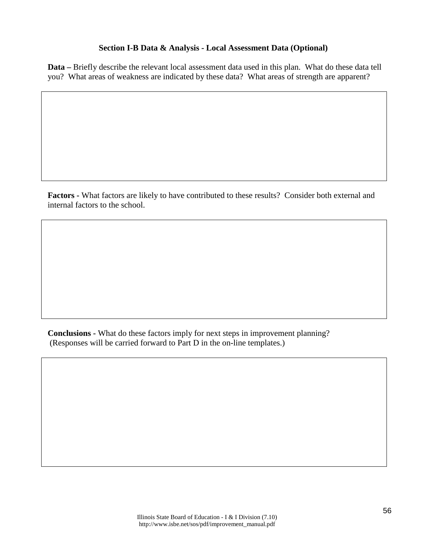### **Section I-B Data & Analysis - Local Assessment Data (Optional)**

**Data –** Briefly describe the relevant local assessment data used in this plan. What do these data tell you? What areas of weakness are indicated by these data? What areas of strength are apparent?

**Factors -** What factors are likely to have contributed to these results? Consider both external and internal factors to the school.

**Conclusions -** What do these factors imply for next steps in improvement planning? (Responses will be carried forward to Part D in the on-line templates.)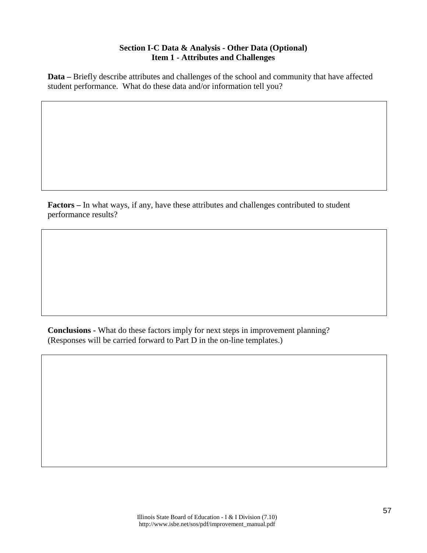# **Section I-C Data & Analysis - Other Data (Optional) Item 1 - Attributes and Challenges**

**Data –** Briefly describe attributes and challenges of the school and community that have affected student performance. What do these data and/or information tell you?

**Factors –** In what ways, if any, have these attributes and challenges contributed to student performance results?

**Conclusions -** What do these factors imply for next steps in improvement planning? (Responses will be carried forward to Part D in the on-line templates.)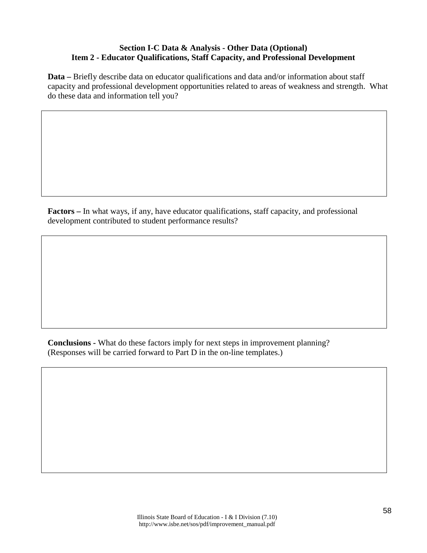# **Section I-C Data & Analysis - Other Data (Optional) Item 2 - Educator Qualifications, Staff Capacity, and Professional Development**

**Data –** Briefly describe data on educator qualifications and data and/or information about staff capacity and professional development opportunities related to areas of weakness and strength. What do these data and information tell you?

**Factors –** In what ways, if any, have educator qualifications, staff capacity, and professional development contributed to student performance results?

**Conclusions -** What do these factors imply for next steps in improvement planning? (Responses will be carried forward to Part D in the on-line templates.)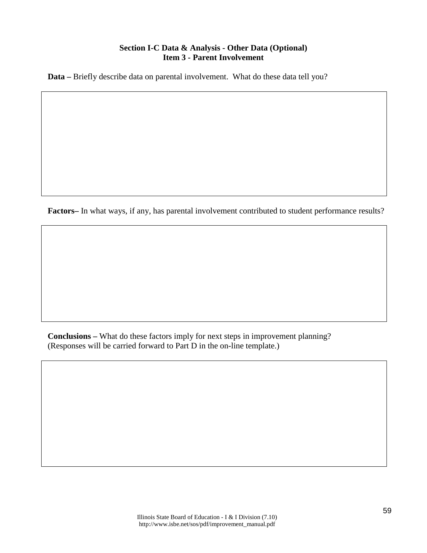# **Section I-C Data & Analysis - Other Data (Optional) Item 3 - Parent Involvement**

**Data –** Briefly describe data on parental involvement. What do these data tell you?

**Factors–** In what ways, if any, has parental involvement contributed to student performance results?

**Conclusions –** What do these factors imply for next steps in improvement planning? (Responses will be carried forward to Part D in the on-line template.)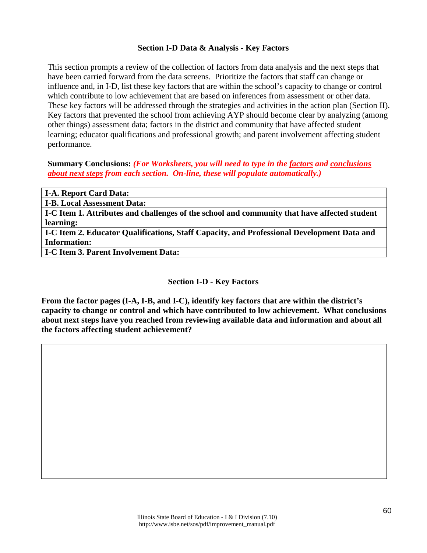### **Section I-D Data & Analysis - Key Factors**

This section prompts a review of the collection of factors from data analysis and the next steps that have been carried forward from the data screens. Prioritize the factors that staff can change or influence and, in I-D, list these key factors that are within the school's capacity to change or control which contribute to low achievement that are based on inferences from assessment or other data. These key factors will be addressed through the strategies and activities in the action plan (Section II). Key factors that prevented the school from achieving AYP should become clear by analyzing (among other things) assessment data; factors in the district and community that have affected student learning; educator qualifications and professional growth; and parent involvement affecting student performance.

**Summary Conclusions:** *(For Worksheets, you will need to type in the factors and conclusions about next steps from each section. On-line, these will populate automatically.)*

| <b>I-A. Report Card Data:</b>                                                                |
|----------------------------------------------------------------------------------------------|
| <b>I-B. Local Assessment Data:</b>                                                           |
| I-C Item 1. Attributes and challenges of the school and community that have affected student |
| learning:                                                                                    |
| I-C Item 2. Educator Qualifications, Staff Capacity, and Professional Development Data and   |
| <b>Information:</b>                                                                          |
| <b>I-C Item 3. Parent Involvement Data:</b>                                                  |
|                                                                                              |

# **Section I-D - Key Factors**

**From the factor pages (I-A, I-B, and I-C), identify key factors that are within the district's capacity to change or control and which have contributed to low achievement. What conclusions about next steps have you reached from reviewing available data and information and about all the factors affecting student achievement?**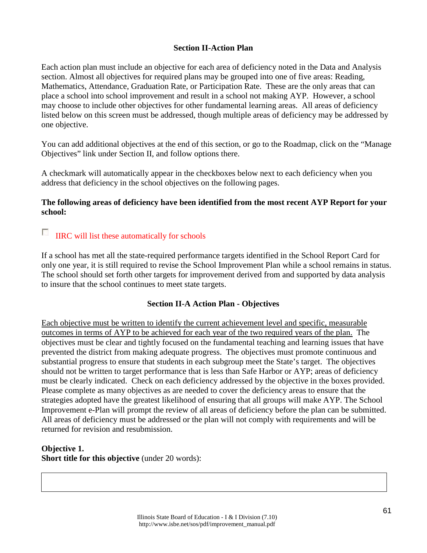# **Section II-Action Plan**

Each action plan must include an objective for each area of deficiency noted in the Data and Analysis section. Almost all objectives for required plans may be grouped into one of five areas: Reading, Mathematics, Attendance, Graduation Rate, or Participation Rate. These are the only areas that can place a school into school improvement and result in a school not making AYP. However, a school may choose to include other objectives for other fundamental learning areas. All areas of deficiency listed below on this screen must be addressed, though multiple areas of deficiency may be addressed by one objective.

You can add additional objectives at the end of this section, or go to the Roadmap, click on the "Manage Objectives" link under Section II, and follow options there.

A checkmark will automatically appear in the checkboxes below next to each deficiency when you address that deficiency in the school objectives on the following pages.

### **The following areas of deficiency have been identified from the most recent AYP Report for your school:**

#### $\overline{\mathcal{L}}$ IIRC will list these automatically for schools

If a school has met all the state-required performance targets identified in the School Report Card for only one year, it is still required to revise the School Improvement Plan while a school remains in status. The school should set forth other targets for improvement derived from and supported by data analysis to insure that the school continues to meet state targets.

### **Section II-A Action Plan - Objectives**

Each objective must be written to identify the current achievement level and specific, measurable outcomes in terms of AYP to be achieved for each year of the two required years of the plan. The objectives must be clear and tightly focused on the fundamental teaching and learning issues that have prevented the district from making adequate progress. The objectives must promote continuous and substantial progress to ensure that students in each subgroup meet the State's target. The objectives should not be written to target performance that is less than Safe Harbor or AYP; areas of deficiency must be clearly indicated. Check on each deficiency addressed by the objective in the boxes provided. Please complete as many objectives as are needed to cover the deficiency areas to ensure that the strategies adopted have the greatest likelihood of ensuring that all groups will make AYP. The School Improvement e-Plan will prompt the review of all areas of deficiency before the plan can be submitted. All areas of deficiency must be addressed or the plan will not comply with requirements and will be returned for revision and resubmission.

### **Objective 1. Short title for this objective** (under 20 words):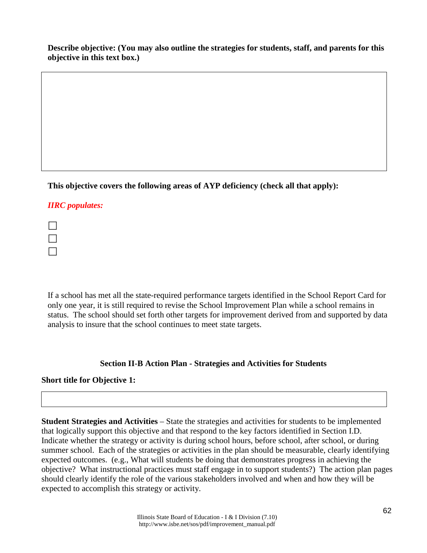**Describe objective: (You may also outline the strategies for students, staff, and parents for this objective in this text box.)**

**This objective covers the following areas of AYP deficiency (check all that apply):** 

# *IIRC populates:*

If a school has met all the state-required performance targets identified in the School Report Card for only one year, it is still required to revise the School Improvement Plan while a school remains in status. The school should set forth other targets for improvement derived from and supported by data analysis to insure that the school continues to meet state targets.

# **Section II-B Action Plan - Strategies and Activities for Students**

# **Short title for Objective 1:**

**Student Strategies and Activities** – State the strategies and activities for students to be implemented that logically support this objective and that respond to the key factors identified in Section I.D. Indicate whether the strategy or activity is during school hours, before school, after school, or during summer school. Each of the strategies or activities in the plan should be measurable, clearly identifying expected outcomes. (e.g., What will students be doing that demonstrates progress in achieving the objective? What instructional practices must staff engage in to support students?) The action plan pages should clearly identify the role of the various stakeholders involved and when and how they will be expected to accomplish this strategy or activity.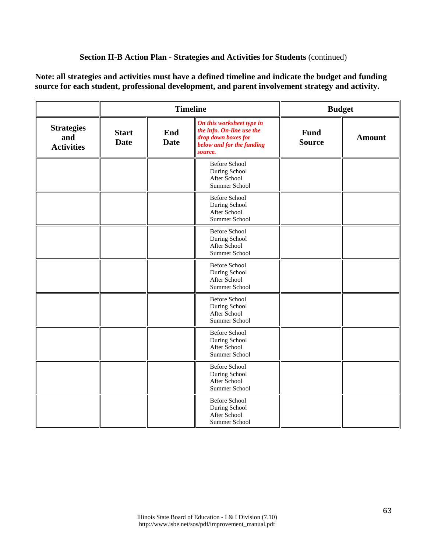# **Section II-B Action Plan - Strategies and Activities for Students** (continued)

**Note: all strategies and activities must have a defined timeline and indicate the budget and funding source for each student, professional development, and parent involvement strategy and activity.** 

|                                               |                             | <b>Timeline</b>    |                                                                                                                       | <b>Budget</b>                |               |
|-----------------------------------------------|-----------------------------|--------------------|-----------------------------------------------------------------------------------------------------------------------|------------------------------|---------------|
| <b>Strategies</b><br>and<br><b>Activities</b> | <b>Start</b><br><b>Date</b> | End<br><b>Date</b> | On this worksheet type in<br>the info. On-line use the<br>drop down boxes for<br>below and for the funding<br>source. | <b>Fund</b><br><b>Source</b> | <b>Amount</b> |
|                                               |                             |                    | <b>Before School</b><br>During School<br>After School<br>Summer School                                                |                              |               |
|                                               |                             |                    | <b>Before School</b><br>During School<br>After School<br>Summer School                                                |                              |               |
|                                               |                             |                    | <b>Before School</b><br>During School<br>After School<br>Summer School                                                |                              |               |
|                                               |                             |                    | <b>Before School</b><br>During School<br>After School<br>Summer School                                                |                              |               |
|                                               |                             |                    | <b>Before School</b><br>During School<br>After School<br>Summer School                                                |                              |               |
|                                               |                             |                    | <b>Before School</b><br>During School<br>After School<br>Summer School                                                |                              |               |
|                                               |                             |                    | <b>Before School</b><br>During School<br>After School<br>Summer School                                                |                              |               |
|                                               |                             |                    | <b>Before School</b><br>During School<br>After School<br>Summer School                                                |                              |               |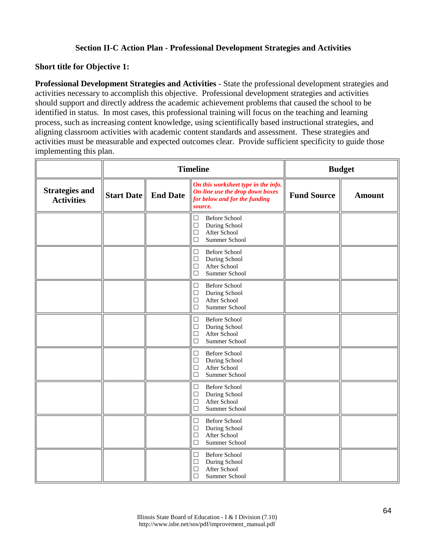## **Section II-C Action Plan - Professional Development Strategies and Activities**

### **Short title for Objective 1:**

**Professional Development Strategies and Activities** - State the professional development strategies and activities necessary to accomplish this objective. Professional development strategies and activities should support and directly address the academic achievement problems that caused the school to be identified in status. In most cases, this professional training will focus on the teaching and learning process, such as increasing content knowledge, using scientifically based instructional strategies, and aligning classroom activities with academic content standards and assessment. These strategies and activities must be measurable and expected outcomes clear. Provide sufficient specificity to guide those implementing this plan.

|                                            |                            | <b>Timeline</b>                                                                                                                          | <b>Budget</b> |               |
|--------------------------------------------|----------------------------|------------------------------------------------------------------------------------------------------------------------------------------|---------------|---------------|
| <b>Strategies and</b><br><b>Activities</b> | <b>Start Date</b> End Date | On this worksheet type in the info.<br>On-line use the drop down boxes<br><b>Fund Source</b><br>for below and for the funding<br>source. |               | <b>Amount</b> |
|                                            |                            | <b>Before School</b><br>$\Box$<br>During School<br>$\Box$<br>$\Box$<br>After School<br>$\Box$<br>Summer School                           |               |               |
|                                            |                            | <b>Before School</b><br>$\Box$<br>During School<br>$\Box$<br>After School<br>□<br>$\Box$<br>Summer School                                |               |               |
|                                            |                            | $\Box$<br><b>Before School</b><br>During School<br>$\Box$<br>After School<br>$\Box$<br>Summer School<br>$\Box$                           |               |               |
|                                            |                            | $\Box$<br><b>Before School</b><br>$\Box$<br>During School<br>$\Box$<br>After School<br>Summer School<br>$\Box$                           |               |               |
|                                            |                            | <b>Before School</b><br>$\Box$<br>$\Box$<br>During School<br>After School<br>$\Box$<br>Summer School<br>$\Box$                           |               |               |
|                                            |                            | <b>Before School</b><br>$\Box$<br>During School<br>$\Box$<br>After School<br>□<br>$\Box$<br>Summer School                                |               |               |
|                                            |                            | <b>Before School</b><br>$\Box$<br>$\Box$<br>During School<br>After School<br>$\Box$<br>$\Box$<br>Summer School                           |               |               |
|                                            |                            | <b>Before School</b><br>$\Box$<br>During School<br>$\Box$<br>After School<br>$\Box$<br>$\Box$<br>Summer School                           |               |               |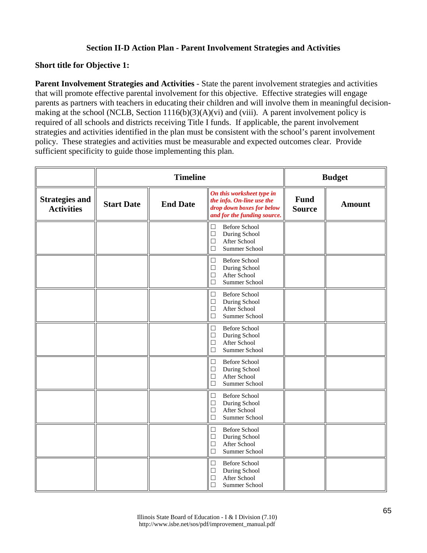# **Section II-D Action Plan - Parent Involvement Strategies and Activities**

### **Short title for Objective 1:**

**Parent Involvement Strategies and Activities** - State the parent involvement strategies and activities that will promote effective parental involvement for this objective. Effective strategies will engage parents as partners with teachers in educating their children and will involve them in meaningful decisionmaking at the school (NCLB, Section 1116(b)(3)(A)(vi) and (viii). A parent involvement policy is required of all schools and districts receiving Title I funds. If applicable, the parent involvement strategies and activities identified in the plan must be consistent with the school's parent involvement policy. These strategies and activities must be measurable and expected outcomes clear. Provide sufficient specificity to guide those implementing this plan.

|                                            |                   | <b>Timeline</b> |                                                                                                                    |                              | <b>Budget</b> |
|--------------------------------------------|-------------------|-----------------|--------------------------------------------------------------------------------------------------------------------|------------------------------|---------------|
| <b>Strategies and</b><br><b>Activities</b> | <b>Start Date</b> | <b>End Date</b> | On this worksheet type in<br>the info. On-line use the<br>drop down boxes for below<br>and for the funding source. | <b>Fund</b><br><b>Source</b> | <b>Amount</b> |
|                                            |                   |                 | $\Box$<br><b>Before School</b><br>During School<br>$\Box$<br>After School<br>$\Box$<br>$\Box$<br>Summer School     |                              |               |
|                                            |                   |                 | <b>Before School</b><br>$\Box$<br>During School<br>$\Box$<br>After School<br>$\Box$<br>$\Box$<br>Summer School     |                              |               |
|                                            |                   |                 | <b>Before School</b><br>$\Box$<br>During School<br>$\Box$<br>$\Box$<br>After School<br>Summer School<br>$\Box$     |                              |               |
|                                            |                   |                 | <b>Before School</b><br>$\Box$<br>During School<br>$\Box$<br>After School<br>$\Box$<br>$\Box$<br>Summer School     |                              |               |
|                                            |                   |                 | <b>Before School</b><br>$\Box$<br>During School<br>$\Box$<br>After School<br>$\Box$<br>Summer School<br>$\Box$     |                              |               |
|                                            |                   |                 | <b>Before School</b><br>$\Box$<br>During School<br>$\Box$<br>After School<br>$\Box$<br>$\Box$<br>Summer School     |                              |               |
|                                            |                   |                 | <b>Before School</b><br>$\Box$<br>$\Box$<br>During School<br>After School<br>$\Box$<br>$\Box$<br>Summer School     |                              |               |
|                                            |                   |                 | <b>Before School</b><br>$\Box$<br>During School<br>$\Box$<br>After School<br>$\Box$<br>$\Box$<br>Summer School     |                              |               |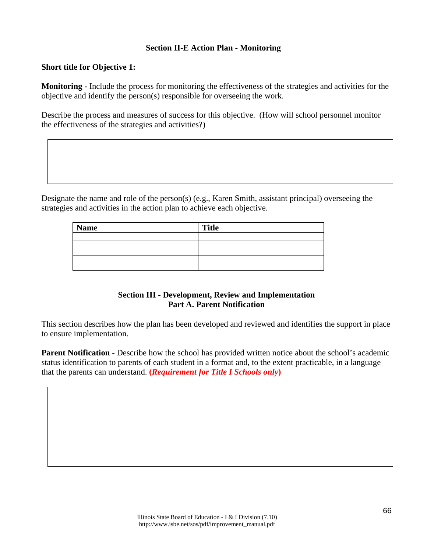### **Section II-E Action Plan - Monitoring**

### **Short title for Objective 1:**

**Monitoring -** Include the process for monitoring the effectiveness of the strategies and activities for the objective and identify the person(s) responsible for overseeing the work.

Describe the process and measures of success for this objective. (How will school personnel monitor the effectiveness of the strategies and activities?)

Designate the name and role of the person(s) (e.g., Karen Smith, assistant principal) overseeing the strategies and activities in the action plan to achieve each objective.

| <b>Name</b> | <b>Title</b> |
|-------------|--------------|
|             |              |
|             |              |
|             |              |
|             |              |
|             |              |

### **Section III - Development, Review and Implementation Part A. Parent Notification**

This section describes how the plan has been developed and reviewed and identifies the support in place to ensure implementation.

**Parent Notification** - Describe how the school has provided written notice about the school's academic status identification to parents of each student in a format and, to the extent practicable, in a language that the parents can understand. **(***Requirement for Title I Schools only***)**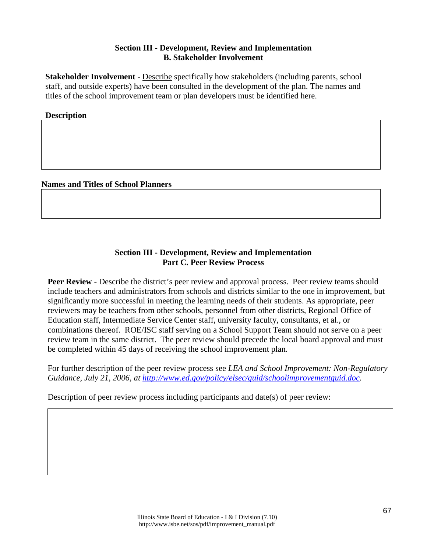# **Section III - Development, Review and Implementation B. Stakeholder Involvement**

**Stakeholder Involvement** - Describe specifically how stakeholders (including parents, school staff, and outside experts) have been consulted in the development of the plan. The names and titles of the school improvement team or plan developers must be identified here.

### **Description**

**Names and Titles of School Planners**

## **Section III - Development, Review and Implementation Part C. Peer Review Process**

**Peer Review** - Describe the district's peer review and approval process. Peer review teams should include teachers and administrators from schools and districts similar to the one in improvement, but significantly more successful in meeting the learning needs of their students. As appropriate, peer reviewers may be teachers from other schools, personnel from other districts, Regional Office of Education staff, Intermediate Service Center staff, university faculty, consultants, et al., or combinations thereof. ROE/ISC staff serving on a School Support Team should not serve on a peer review team in the same district. The peer review should precede the local board approval and must be completed within 45 days of receiving the school improvement plan.

For further description of the peer review process see *LEA and School Improvement: Non-Regulatory Guidance, July 21, 2006, at [http://www.ed.gov/policy/elsec/guid/schoolimprovementguid.doc.](http://www.ed.gov/policy/elsec/guid/schoolimprovementguid.doc)*

Description of peer review process including participants and date(s) of peer review: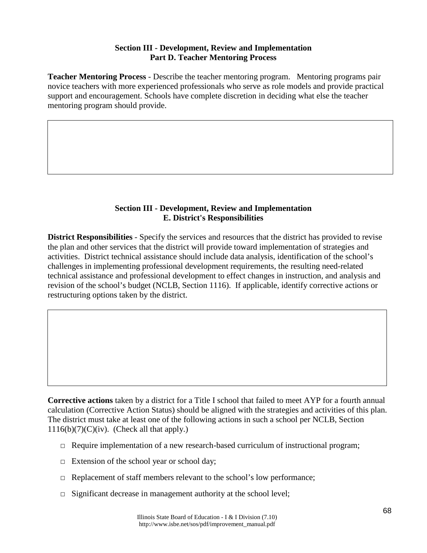# **Section III - Development, Review and Implementation Part D. Teacher Mentoring Process**

**Teacher Mentoring Process** - Describe the teacher mentoring program. Mentoring programs pair novice teachers with more experienced professionals who serve as role models and provide practical support and encouragement. Schools have complete discretion in deciding what else the teacher mentoring program should provide.

# **Section III - Development, Review and Implementation E. District's Responsibilities**

**District Responsibilities** - Specify the services and resources that the district has provided to revise the plan and other services that the district will provide toward implementation of strategies and activities. District technical assistance should include data analysis, identification of the school's challenges in implementing professional development requirements, the resulting need-related technical assistance and professional development to effect changes in instruction, and analysis and revision of the school's budget (NCLB, Section 1116). If applicable, identify corrective actions or restructuring options taken by the district.

**Corrective actions** taken by a district for a Title I school that failed to meet AYP for a fourth annual calculation (Corrective Action Status) should be aligned with the strategies and activities of this plan. The district must take at least one of the following actions in such a school per NCLB, Section  $1116(b)(7)(C)(iv)$ . (Check all that apply.)

- $\Box$  Require implementation of a new research-based curriculum of instructional program;
- $\Box$  Extension of the school year or school day;
- $\Box$  Replacement of staff members relevant to the school's low performance;
- $\Box$  Significant decrease in management authority at the school level;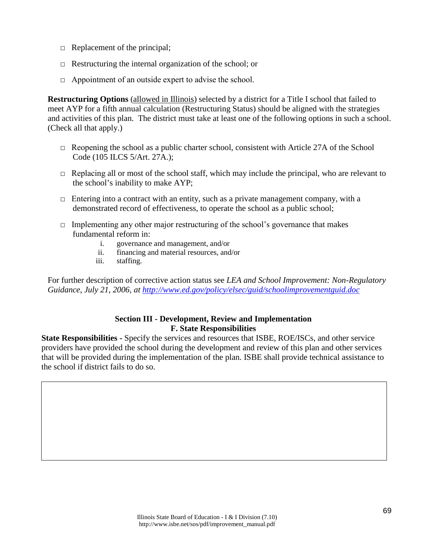- $\Box$  Replacement of the principal;
- $\Box$  Restructuring the internal organization of the school; or
- $\Box$  Appointment of an outside expert to advise the school.

**Restructuring Options** (allowed in Illinois) selected by a district for a Title I school that failed to meet AYP for a fifth annual calculation (Restructuring Status) should be aligned with the strategies and activities of this plan. The district must take at least one of the following options in such a school. (Check all that apply.)

- $\Box$  Reopening the school as a public charter school, consistent with Article 27A of the School Code (105 ILCS 5/Art. 27A.);
- $\Box$  Replacing all or most of the school staff, which may include the principal, who are relevant to the school's inability to make AYP;
- $\Box$  Entering into a contract with an entity, such as a private management company, with a demonstrated record of effectiveness, to operate the school as a public school;
- $\Box$  Implementing any other major restructuring of the school's governance that makes fundamental reform in:
	- i. governance and management, and/or
	- ii. financing and material resources, and/or
	- iii. staffing.

For further description of corrective action status see *LEA and School Improvement: Non-Regulatory Guidance, July 21, 2006, at<http://www.ed.gov/policy/elsec/guid/schoolimprovementguid.doc>*

### **Section III - Development, Review and Implementation F. State Responsibilities**

**State Responsibilities -** Specify the services and resources that ISBE, ROE/ISCs, and other service providers have provided the school during the development and review of this plan and other services that will be provided during the implementation of the plan. ISBE shall provide technical assistance to the school if district fails to do so.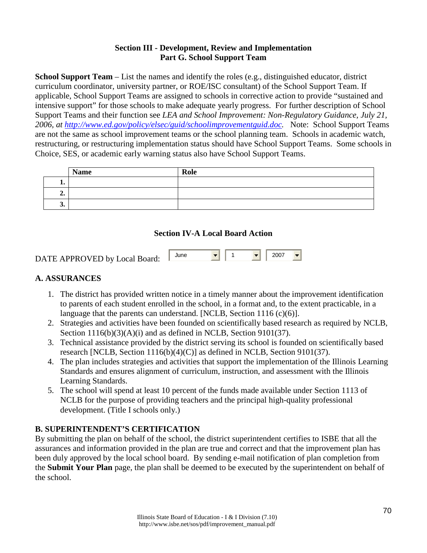# **Section III - Development, Review and Implementation Part G. School Support Team**

**School Support Team** – List the names and identify the roles (e.g., distinguished educator, district curriculum coordinator, university partner, or ROE/ISC consultant) of the School Support Team. If applicable, School Support Teams are assigned to schools in corrective action to provide "sustained and intensive support" for those schools to make adequate yearly progress. For further description of School Support Teams and their function see *LEA and School Improvement: Non-Regulatory Guidance, July 21, 2006, at [http://www.ed.gov/policy/elsec/guid/schoolimprovementguid.doc.](http://www.ed.gov/policy/elsec/guid/schoolimprovementguid.doc)* Note: School Support Teams are not the same as school improvement teams or the school planning team. Schools in academic watch, restructuring, or restructuring implementation status should have School Support Teams. Some schools in Choice, SES, or academic early warning status also have School Support Teams.

|         | <b>Name</b> | Role |
|---------|-------------|------|
| . .     |             |      |
| σ<br>∠. |             |      |
| J.      |             |      |

### **Section IV-A Local Board Action**

| DATE APPROVED by Local Board: | June | <b>Second Contract Contract Contract</b> |  | $-$   2007 |  |
|-------------------------------|------|------------------------------------------|--|------------|--|
|                               |      |                                          |  |            |  |

## **A. ASSURANCES**

- 1. The district has provided written notice in a timely manner about the improvement identification to parents of each student enrolled in the school, in a format and, to the extent practicable, in a language that the parents can understand. [NCLB, Section 1116 (c)(6)].
- 2. Strategies and activities have been founded on scientifically based research as required by NCLB, Section 1116(b)(3)(A)(i) and as defined in NCLB, Section 9101(37).
- 3. Technical assistance provided by the district serving its school is founded on scientifically based research [NCLB, Section 1116(b)(4)(C)] as defined in NCLB, Section 9101(37).
- 4. The plan includes strategies and activities that support the implementation of the Illinois Learning Standards and ensures alignment of curriculum, instruction, and assessment with the Illinois Learning Standards.
- 5. The school will spend at least 10 percent of the funds made available under Section 1113 of NCLB for the purpose of providing teachers and the principal high-quality professional development. (Title I schools only.)

### **B. SUPERINTENDENT'S CERTIFICATION**

By submitting the plan on behalf of the school, the district superintendent certifies to ISBE that all the assurances and information provided in the plan are true and correct and that the improvement plan has been duly approved by the local school board. By sending e-mail notification of plan completion from the **Submit Your Plan** page, the plan shall be deemed to be executed by the superintendent on behalf of the school.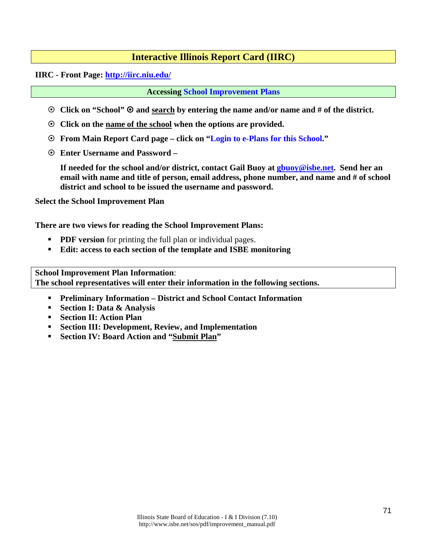### **Interactive Illinois Report Card (IIRC)**

**IIRC - Front Page: <http://iirc.niu.edu/>**

**Accessing [School Improvement Plans](http://www.isbe.net/sos/htmls/school.htm)**

- **Click on "School" and search by entering the name and/or name and # of the district.**
- **Click on the name of the school when the options are provided.**
- **From Main Report Card page click on "Login to e-Plans for this School."**
- **Enter Username and Password**

**If needed for the school and/or district, contact Gail Buoy at [gbuoy@isbe.net.](mailto:gbuoy@isbe.net) Send her an email with name and title of person, email address, phone number, and name and # of school district and school to be issued the username and password.**

**Select the School Improvement Plan**

**There are two views for reading the School Improvement Plans:**

- **PDF version** for printing the full plan or individual pages.
- **Edit: access to each section of the template and ISBE monitoring**

**School Improvement Plan Information**: **The school representatives will enter their information in the following sections.**

- **Preliminary Information District and School Contact Information**
- **Section I: Data & Analysis**
- **Section II: Action Plan**
- **Section III: Development, Review, and Implementation**
- **Section IV: Board Action and "Submit Plan"**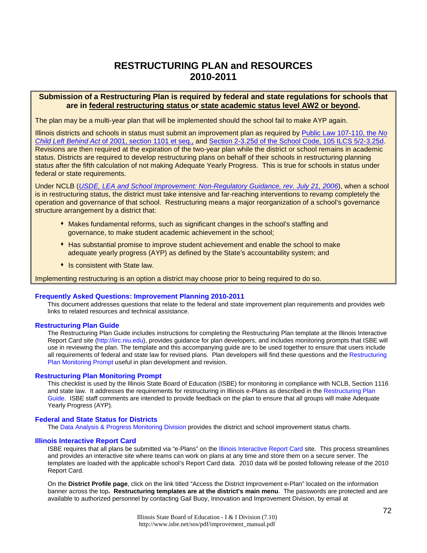## **RESTRUCTURING PLAN and RESOURCES 2010-2011**

### **Submission of a Restructuring Plan is required by federal and state regulations for schools that are in federal restructuring status or state academic status level AW2 or beyond.**

The plan may be a multi-year plan that will be implemented should the school fail to make AYP again.

Illinois districts and schools in status must submit an improvement plan as required by [Public Law 107-110, the](http://www.ed.gov/policy/elsec/leg/esea02/index.html) *No Child Left Behind Act* [of 2001, section 1101 et seq.,](http://www.ed.gov/policy/elsec/leg/esea02/index.html) and [Section 2-3.25d of the School Code, 105 ILCS 5/2-3.25d.](http://www.ilga.gov/legislation/ilcs/ilcs3.asp?ActID=1005&ChapAct=105%26nbsp%3BILCS%26nbsp%3B5%2F&ChapterID=17&ChapterName=SCHOOLS&ActName=School+Code%2E) Revisions are then required at the expiration of the two-year plan while the district or school remains in academic status. Districts are required to develop restructuring plans on behalf of their schools in restructuring planning status after the fifth calculation of not making Adequate Yearly Progress. This is true for schools in status under federal or state requirements.

Under NCLB (*[USDE, LEA and School Improvement: Non-Regulatory Guidance, rev. July 21, 2006](http://www.ed.gov/policy/elsec/guid/schoolimprovementguid.pdf)*), when a school is in restructuring status, the district must take intensive and far-reaching interventions to revamp completely the operation and governance of that school. Restructuring means a major reorganization of a school's governance structure arrangement by a district that:

- Makes fundamental reforms, such as significant changes in the school's staffing and governance, to make student academic achievement in the school;
- Has substantial promise to improve student achievement and enable the school to make adequate yearly progress (AYP) as defined by the State's accountability system; and
- **In the State law.**

Implementing restructuring is an option a district may choose prior to being required to do so.

#### **Frequently Asked Questions: Improvement Planning 2010-2011**

This document addresses questions that relate to the federal and state improvement plan requirements and provides web links to related resources and technical assistance.

#### **[Restructuring Plan Guide](http://www.isbe.net/sos/pdf/restructuring_guide.pdf)**

The Restructuring Plan Guide includes instructions for completing the Restructuring Plan template at the Illinois Interactive Report Card site [\(http://iirc.niu.edu\)](http://iirc.niu.edu/), provides guidance for plan developers, and includes monitoring prompts that ISBE will use in reviewing the plan. The template and this accompanying guide are to be used together to ensure that users include all requirements of federal and state law for revised plans. Plan developers will find these questions and the [Restructuring](http://www.isbe.net/sos/pdf/restructuring_prompt.pdf)  [Plan Monitoring Prompt](http://www.isbe.net/sos/pdf/restructuring_prompt.pdf) useful in plan development and revision.

#### **Restructuring Plan Monitoring Prompt**

This checklist is used by the Illinois State Board of Education (ISBE) for monitoring in compliance with NCLB, Section 1116 and state law. It addresses the requirements for restructuring in Illinois e-Plans as described in the [Restructuring Plan](http://www.isbe.net/sos/pdf/restructuring_guide.pdf)  [Guide.](http://www.isbe.net/sos/pdf/restructuring_guide.pdf) ISBE staff comments are intended to provide feedback on the plan to ensure that all groups will make Adequate Yearly Progress (AYP).

#### **Federal and State Status for Districts**

The [Data Analysis & Progress Monitoring Division](http://www.isbe.net/research/htmls/improvement.htm) provides the district and school improvement status charts.

#### **[Illinois Interactive Report Card](http://iirc.niu.edu/)**

ISBE requires that all plans be submitted via "e-Plans" on the [Illinois Interactive Report Card](http://iirc.niu.edu/) site. This process streamlines and provides an interactive site where teams can work on plans at any time and store them on a secure server. The templates are loaded with the applicable school's Report Card data. 2010 data will be posted following release of the 2010 Report Card.

On the **District Profile page**, click on the link titled "Access the District Improvement e-Plan" located on the information banner across the top**. Restructuring templates are at the district's main menu**. The passwords are protected and are available to authorized personnel by contacting Gail Buoy, Innovation and Improvement Division, by email at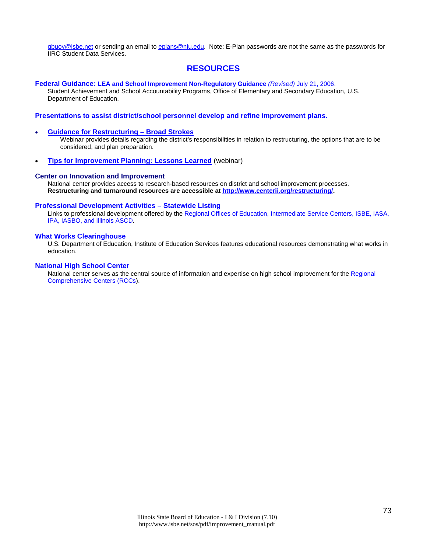[gbuoy@isbe.net](mailto:gbuoy@isbe.net) or sending an email to [eplans@niu.edu.](mailto:eplans@niu.edu) Note: E-Plan passwords are not the same as the passwords for IIRC Student Data Services.

### **RESOURCES**

**[Federal Guidance: LEA and School Improvement Non-Regulatory Guidance](http://www.ed.gov/policy/elsec/guid/schoolimprovementguid.pdf)** *(Revised)* July 21, 2006.

Student Achievement and School Accountability Programs, Office of Elementary and Secondary Education, U.S. Department of Education.

#### **Presentations to assist district/school personnel develop and refine improvement plans.**

#### • **[Guidance for Restructuring – Broad Strokes](mms://video2.isbe.net/Restructuring_060810)**

Webinar provides details regarding the district's responsibilities in relation to restructuring, the options that are to be considered, and plan preparation.

• **[Tips for Improvement Planning: Lessons Learned](mms://video2.isbe.net/Improvement_Planning_060810)** (webinar)

#### **[Center on Innovation and Improvement](http://www.centerii.org/)**

National center provides access to research-based resources on district and school improvement processes. **Restructuring and turnaround resources are accessible at [http://www.centerii.org/restructuring/.](http://www.centerii.org/restructuring/)**

#### **[Professional Development Activities – Statewide Listing](http://www.iarss.org/Development.asp)**

Links to professional development offered by th[e Regional Offices of Education, Intermediate Service Centers, ISBE, IASA,](http://www.iarss.org/directory/state-map.html)  [IPA, IASBO, and Illinois ASCD.](http://www.iarss.org/directory/state-map.html) 

#### **What Works [Clearinghouse](http://ies.ed.gov/ncee/wwc/)**

U.S. Department of Education, Institute of Education Services features educational resources demonstrating what works in education.

#### **[National High School Center](http://www.betterhighschools.org/about/)**

National center serves as the central source of information and expertise on high school improvement for the [Regional](http://www.betterhighschools.org/tech/map.asp)  [Comprehensive Centers \(RCCs\)](http://www.betterhighschools.org/tech/map.asp).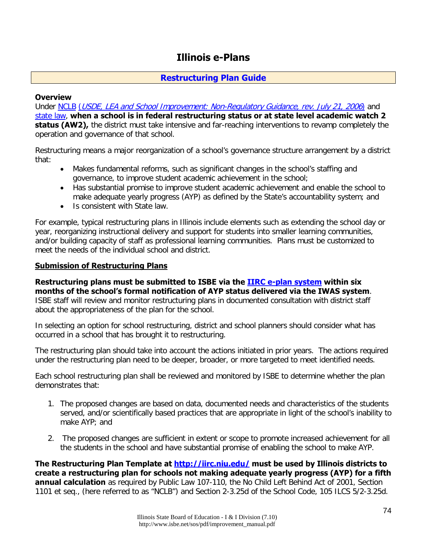### **Illinois e-Plans**

### **[Restructuring Plan Guide](http://www.isbe.net/sos/pdf/restructuring_guide.pdf)**

### **Overview**

Under [NCLB](http://www2.ed.gov/policy/elsec/leg/esea02/pg2.html#sec1111) ([USDE, LEA and School Improvement: Non-Regulatory Guidance, rev. July 21, 2006](http://www2.ed.gov/policy/elsec/guid/schoolimprovementguid.pdf)) and [state law,](http://www.ilga.gov/legislation/ilcs/ilcs3.asp?ActID=1005&ChapAct=105%26nbsp%3BILCS%26nbsp%3B5%2F&ChapterID=17&ChapterName=SCHOOLS&ActName=School+Code%2E) **when a school is in federal restructuring status or at state level academic watch 2 status (AW2),** the district must take intensive and far-reaching interventions to revamp completely the operation and governance of that school.

Restructuring means a major reorganization of a school's governance structure arrangement by a district that:

- Makes fundamental reforms, such as significant changes in the school's staffing and governance, to improve student academic achievement in the school;
- Has substantial promise to improve student academic achievement and enable the school to make adequate yearly progress (AYP) as defined by the State's accountability system; and
- Is consistent with State law.

For example, typical restructuring plans in Illinois include elements such as extending the school day or year, reorganizing instructional delivery and support for students into smaller learning communities, and/or building capacity of staff as professional learning communities. Plans must be customized to meet the needs of the individual school and district.

### **Submission of Restructuring Plans**

**Restructuring plans must be submitted to ISBE via the [IIRC e-plan system](http://iirc.niu.edu/) within six months of the school's formal notification of AYP status delivered via the IWAS system**. ISBE staff will review and monitor restructuring plans in documented consultation with district staff about the appropriateness of the plan for the school.

In selecting an option for school restructuring, district and school planners should consider what has occurred in a school that has brought it to restructuring.

The restructuring plan should take into account the actions initiated in prior years. The actions required under the restructuring plan need to be deeper, broader, or more targeted to meet identified needs.

Each school restructuring plan shall be reviewed and monitored by ISBE to determine whether the plan demonstrates that:

- 1. The proposed changes are based on data, documented needs and characteristics of the students served, and/or scientifically based practices that are appropriate in light of the school's inability to make AYP; and
- 2. The proposed changes are sufficient in extent or scope to promote increased achievement for all the students in the school and have substantial promise of enabling the school to make AYP.

**The Restructuring Plan Template at<http://iirc.niu.edu/> must be used by Illinois districts to create a restructuring plan for schools not making adequate yearly progress (AYP) for a fifth annual calculation** as required by Public Law 107-110, the No Child Left Behind Act of 2001, Section 1101 et seq., (here referred to as "NCLB") and Section 2-3.25d of the School Code, 105 ILCS 5/2-3.25d.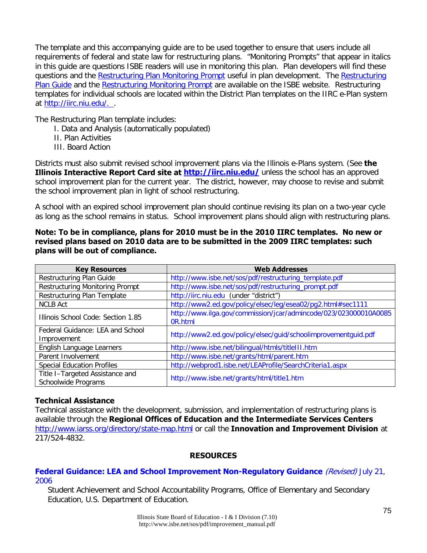The template and this accompanying guide are to be used together to ensure that users include all requirements of federal and state law for restructuring plans. "Monitoring Prompts" that appear in italics in this guide are questions ISBE readers will use in monitoring this plan. Plan developers will find these questions and the [Restructuring Plan Monitoring Prompt](http://www.isbe.net/sos/pdf/restructuring_prompt.pdf) useful in plan development. The Restructuring [Plan Guide](http://www.isbe.net/sos/pdf/restructuring_guide.pdf) and the [Restructuring Monitoring Prompt](http://www.isbe.net/sos/pdf/restructuring_prompt.pdf) are available on the ISBE website. Restructuring templates for individual schools are located within the District Plan templates on the IIRC e-Plan system at [http://iirc.niu.edu/. .](http://iirc.niu.edu/)

The Restructuring Plan template includes:

- I. Data and Analysis (automatically populated)
- II. Plan Activities
- III. Board Action

Districts must also submit revised school improvement plans via the Illinois e-Plans system. (See **the Illinois Interactive Report Card site at<http://iirc.niu.edu/>** unless the school has an approved school improvement plan for the current year. The district, however, may choose to revise and submit the school improvement plan in light of school restructuring.

A school with an expired school improvement plan should continue revising its plan on a two-year cycle as long as the school remains in status. School improvement plans should align with restructuring plans.

### **Note: To be in compliance, plans for 2010 must be in the 2010 IIRC templates. No new or revised plans based on 2010 data are to be submitted in the 2009 IIRC templates: such plans will be out of compliance.**

| <b>Key Resources</b>                                   | <b>Web Addresses</b>                                                        |  |  |  |
|--------------------------------------------------------|-----------------------------------------------------------------------------|--|--|--|
| Restructuring Plan Guide                               | http://www.isbe.net/sos/pdf/restructuring_template.pdf                      |  |  |  |
| <b>Restructuring Monitoring Prompt</b>                 | http://www.isbe.net/sos/pdf/restructuring_prompt.pdf                        |  |  |  |
| Restructuring Plan Template                            | http://iirc.niu.edu (under "district")                                      |  |  |  |
| <b>NCLB Act</b>                                        | http://www2.ed.gov/policy/elsec/leg/esea02/pg2.html#sec1111                 |  |  |  |
| Illinois School Code: Section 1.85                     | http://www.ilga.gov/commission/jcar/admincode/023/023000010A0085<br>0R.html |  |  |  |
| Federal Guidance: LEA and School<br>Improvement        | http://www2.ed.gov/policy/elsec/guid/schoolimprovementguid.pdf              |  |  |  |
| English Language Learners                              | http://www.isbe.net/bilingual/htmls/titleIII.htm                            |  |  |  |
| Parent Involvement                                     | http://www.isbe.net/grants/html/parent.htm                                  |  |  |  |
| <b>Special Education Profiles</b>                      | http://webprod1.isbe.net/LEAProfile/SearchCriteria1.aspx                    |  |  |  |
| Title I-Targeted Assistance and<br>Schoolwide Programs | http://www.isbe.net/grants/html/title1.htm                                  |  |  |  |

### **Technical Assistance**

Technical assistance with the development, submission, and implementation of restructuring plans is available through the **Regional Offices of Education and the Intermediate Services Centers** <http://www.iarss.org/directory/state-map.html> or call the **Innovation and Improvement Division** at 217/524-4832.

### **RESOURCES**

### **Federal Guidance: LEA and School Improvement Non-Regulatory Guidance** (Revised) July 21, [2006](http://www.ed.gov/policy/elsec/guid/schoolimprovementguid.pdf)

Student Achievement and School Accountability Programs, Office of Elementary and Secondary Education, U.S. Department of Education.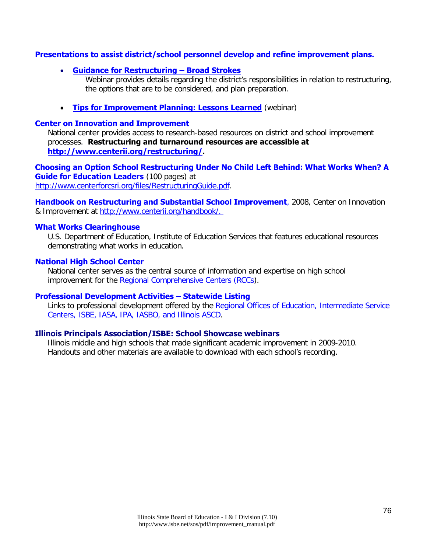### **Presentations to assist district/school personnel develop and refine improvement plans.**

• **[Guidance for Restructuring – Broad Strokes](mms://video2.isbe.net/Restructuring_060810)**

Webinar provides details regarding the district's responsibilities in relation to restructuring, the options that are to be considered, and plan preparation.

• **[Tips for Improvement Planning: Lessons Learned](mms://video2.isbe.net/Improvement_Planning_060810)** (webinar)

### **[Center on Innovation and Improvement](http://www.centerii.org/)**

National center provides access to research-based resources on district and school improvement processes. **Restructuring and turnaround resources are accessible at [http://www.centerii.org/restructuring/.](http://www.centerii.org/restructuring/)**

**Choosing an Option School Restructuring Under No Child Left Behind: What Works When? A Guide for Education Leaders** (100 pages) at [http://www.centerforcsri.org/files/RestructuringGuide.pdf.](http://www.centerforcsri.org/files/RestructuringGuide.pdf)

**Handbook on Restructuring and Substantial School Improvement**, 2008, Center on Innovation & Improvement at [http://www.centerii.org/handbook/.](http://www.centerii.org/handbook/) 

### **[What Works Clearinghouse](http://ies.ed.gov/ncee/wwc/)**

U.S. Department of Education, Institute of Education Services that features educational resources demonstrating what works in education.

### **[National High School Center](http://www.betterhighschools.org/about/)**

National center serves as the central source of information and expertise on high school improvement for the [Regional Comprehensive Centers \(RCCs\)](http://www.betterhighschools.org/tech/map.asp).

### **[Professional Development Activities – Statewide Listing](http://www.iarss.org/Development.asp)**

Links to professional development offered by the [Regional Offices of Education, Intermediate Service](http://www.iarss.org/directory/state-map.html)  [Centers, ISBE, IASA, IPA, IASBO, and Illinois ASCD.](http://www.iarss.org/directory/state-map.html)

### **[Illinois Principals Association/ISBE: School Showcase webinars](http://www.ilprincipals.org/pages/showcase_webinars.html)**

Illinois middle and high schools that made significant academic improvement in 2009-2010. Handouts and other materials are available to download with each school's recording.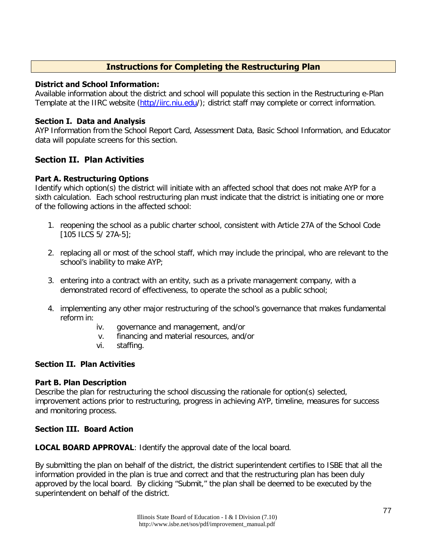### **Instructions for Completing the Restructuring Plan**

### **District and School Information:**

Available information about the district and school will populate this section in the Restructuring e-Plan Template at the IIRC website [\(http//iirc.niu.edu/](http://iirc.niu.edu/)); district staff may complete or correct information.

### **Section I. Data and Analysis**

AYP Information from the School Report Card, Assessment Data, Basic School Information, and Educator data will populate screens for this section.

### **Section II. Plan Activities**

### **Part A. Restructuring Options**

Identify which option(s) the district will initiate with an affected school that does not make AYP for a sixth calculation. Each school restructuring plan must indicate that the district is initiating one or more of the following actions in the affected school:

- 1. reopening the school as a public charter school, consistent with Article 27A of the School Code [105 ILCS 5/ 27A-5];
- 2. replacing all or most of the school staff, which may include the principal, who are relevant to the school's inability to make AYP;
- 3. entering into a contract with an entity, such as a private management company, with a demonstrated record of effectiveness, to operate the school as a public school;
- 4. implementing any other major restructuring of the school's governance that makes fundamental reform in:
	- iv. governance and management, and/or
	- v. financing and material resources, and/or
	- vi. staffing.

### **Section II. Plan Activities**

### **Part B. Plan Description**

Describe the plan for restructuring the school discussing the rationale for option(s) selected, improvement actions prior to restructuring, progress in achieving AYP, timeline, measures for success and monitoring process.

### **Section III. Board Action**

**LOCAL BOARD APPROVAL**: Identify the approval date of the local board.

By submitting the plan on behalf of the district, the district superintendent certifies to ISBE that all the information provided in the plan is true and correct and that the restructuring plan has been duly approved by the local board. By clicking "Submit," the plan shall be deemed to be executed by the superintendent on behalf of the district.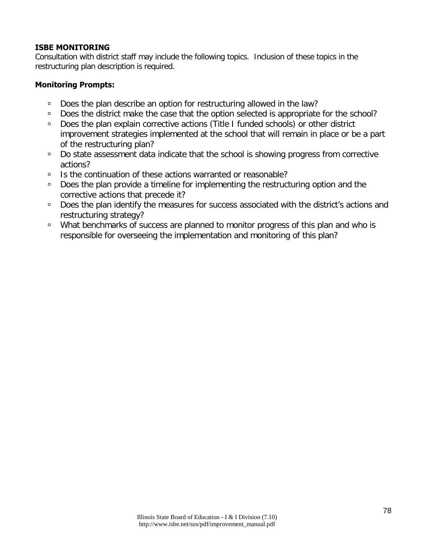### **ISBE MONITORING**

Consultation with district staff may include the following topics. Inclusion of these topics in the restructuring plan description is required.

### **Monitoring Prompts:**

- Does the plan describe an option for restructuring allowed in the law?
- Does the district make the case that the option selected is appropriate for the school?
- □ Does the plan explain corrective actions (Title I funded schools) or other district improvement strategies implemented at the school that will remain in place or be a part of the restructuring plan?
- □ Do state assessment data indicate that the school is showing progress from corrective actions?
- □ Is the continuation of these actions warranted or reasonable?
- □ Does the plan provide a timeline for implementing the restructuring option and the corrective actions that precede it?
- □ Does the plan identify the measures for success associated with the district's actions and restructuring strategy?
- □ What benchmarks of success are planned to monitor progress of this plan and who is responsible for overseeing the implementation and monitoring of this plan?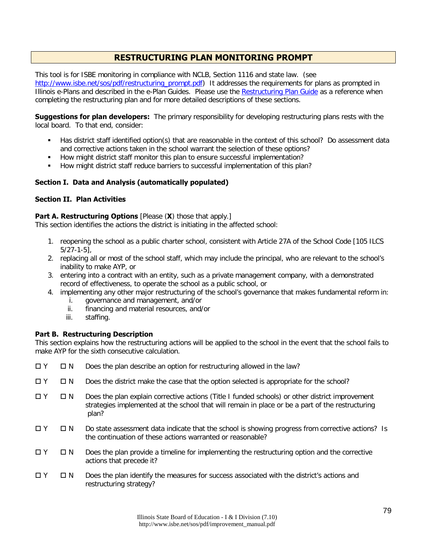### **RESTRUCTURING PLAN MONITORING PROMPT**

This tool is for ISBE monitoring in compliance with NCLB, Section 1116 and state law. (see [http://www.isbe.net/sos/pdf/restructuring\\_prompt.pdf\)](http://www.isbe.net/sos/pdf/restructuring_prompt.pdf) It addresses the requirements for plans as prompted in Illinois e-Plans and described in the e-Plan Guides. Please use the [Restructuring Plan Guide](http://www.isbe.net/sos/pdf/restructuring_guide.pdf) as a reference when completing the restructuring plan and for more detailed descriptions of these sections.

**Suggestions for plan developers:** The primary responsibility for developing restructuring plans rests with the local board. To that end, consider:

- Has district staff identified option(s) that are reasonable in the context of this school? Do assessment data and corrective actions taken in the school warrant the selection of these options?
- How might district staff monitor this plan to ensure successful implementation?
- How might district staff reduce barriers to successful implementation of this plan?

### **Section I. Data and Analysis (automatically populated)**

### **Section II. Plan Activities**

### **Part A. Restructuring Options** [Please (X) those that apply.]

This section identifies the actions the district is initiating in the affected school:

- 1. reopening the school as a public charter school, consistent with Article 27A of the School Code [105 ILCS 5/27-1-5],
- 2. replacing all or most of the school staff, which may include the principal, who are relevant to the school's inability to make AYP, or
- 3. entering into a contract with an entity, such as a private management company, with a demonstrated record of effectiveness, to operate the school as a public school, or
- 4. implementing any other major restructuring of the school's governance that makes fundamental reform in:
	- i. governance and management, and/or
	- ii. financing and material resources, and/or
	- iii. staffing.

### **Part B. Restructuring Description**

This section explains how the restructuring actions will be applied to the school in the event that the school fails to make AYP for the sixth consecutive calculation.

- $\Box Y$   $\Box N$  Does the plan describe an option for restructuring allowed in the law?
- $\Box$   $\Upsilon$   $\Box$  N Does the district make the case that the option selected is appropriate for the school?
- $\Box$  Y  $\Box$  N Does the plan explain corrective actions (Title I funded schools) or other district improvement strategies implemented at the school that will remain in place or be a part of the restructuring plan?
- $\Box$  Y  $\Box$  N Do state assessment data indicate that the school is showing progress from corrective actions? Is the continuation of these actions warranted or reasonable?
- $\Box$   $\Upsilon$   $\Box$  N Does the plan provide a timeline for implementing the restructuring option and the corrective actions that precede it?
- $\Box$   $\Upsilon$   $\Box$  N Does the plan identify the measures for success associated with the district's actions and restructuring strategy?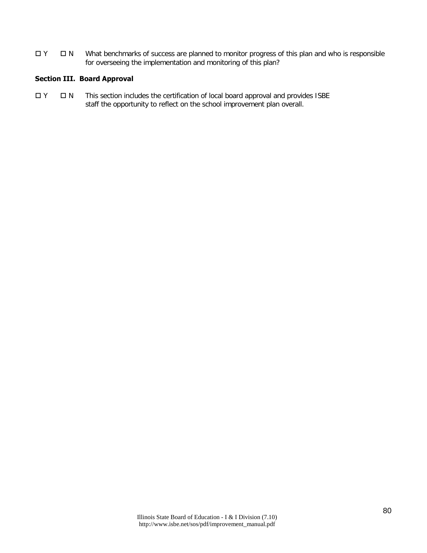Y N What benchmarks of success are planned to monitor progress of this plan and who is responsible for overseeing the implementation and monitoring of this plan?

### **Section III. Board Approval**

 $\Box$  Y  $\Box$  N This section includes the certification of local board approval and provides ISBE staff the opportunity to reflect on the school improvement plan overall.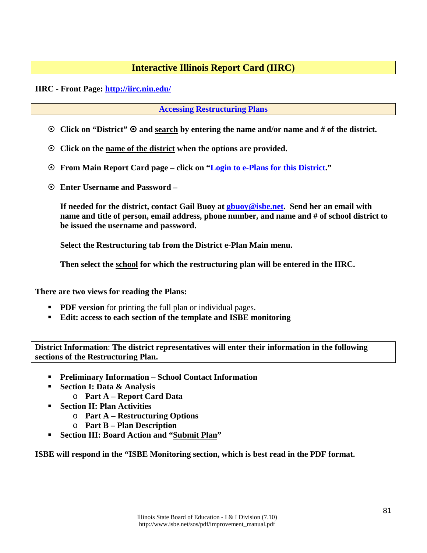### **Interactive Illinois Report Card (IIRC)**

### **IIRC - Front Page: <http://iirc.niu.edu/>**

### **[Accessing Restructuring Plans](http://www.isbe.net/sos/htmls/restructuring.htm)**

- **C** Click on "District"  $\odot$  and search by entering the name and/or name and # of the district.
- **Click on the name of the district when the options are provided.**
- **From Main Report Card page click on "Login to e-Plans for this District."**
- **Enter Username and Password**

**If needed for the district, contact Gail Buoy at [gbuoy@isbe.net.](mailto:gbuoy@isbe.net) Send her an email with name and title of person, email address, phone number, and name and # of school district to be issued the username and password.**

**Select the Restructuring tab from the District e-Plan Main menu.** 

**Then select the school for which the restructuring plan will be entered in the IIRC.**

**There are two views for reading the Plans:**

- **PDF version** for printing the full plan or individual pages.
- **Edit: access to each section of the template and ISBE monitoring**

**District Information**: **The district representatives will enter their information in the following sections of the Restructuring Plan.**

- **Preliminary Information School Contact Information**
- **Section I: Data & Analysis** 
	- o **Part A Report Card Data**
- **Section II: Plan Activities** 
	- o **Part A Restructuring Options**
	- o **Part B Plan Description**
- **Section III: Board Action and "Submit Plan"**

**ISBE will respond in the "ISBE Monitoring section, which is best read in the PDF format.**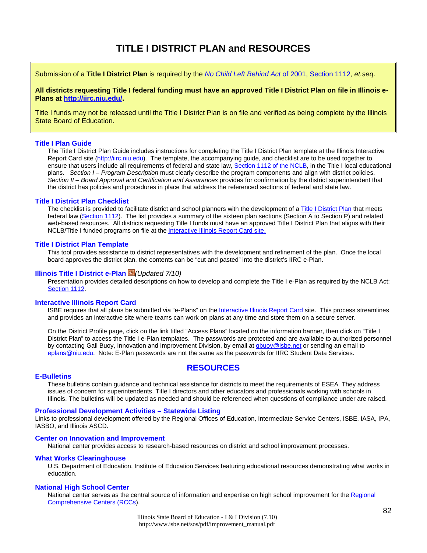### **TITLE I DISTRICT PLAN and RESOURCES**

Submission of a **Title I District Plan** is required by the *[No Child Left Behind Act](http://www.ed.gov/policy/elsec/leg/esea02/pg2.html#sec1112)* of 2001, Section 1112*, et.seq*.

**All districts requesting Title I federal funding must have an approved Title I District Plan on file in Illinois e-Plans at [http://iirc.niu.edu/.](http://iirc.niu.edu/)** 

Title I funds may not be released until the Title I District Plan is on file and verified as being complete by the Illinois State Board of Education.

#### **[Title I Plan Guide](http://www.isbe.net/sos/pdf/title1_guide.pdf)**

The Title I District Plan Guide includes instructions for completing the Title I District Plan template at the Illinois Interactive Report Card site [\(http://iirc.niu.edu\)](http://iirc.niu.edu/). The template, the accompanying guide, and checklist are to be used together to ensure that users include all requirements of federal and state law, [Section 1112 of the NCLB,](http://www.ed.gov/policy/elsec/leg/esea02/pg2.html#sec1112) in the Title I local educational plans. *Section I – Program Description* must clearly describe the program components and align with district policies. *Section II – Board Approval and Certification and Assurances* provides for confirmation by the district superintendent that the district has policies and procedures in place that address the referenced sections of federal and state law.

#### **Title I District Plan Checklist**

The checklist is provided to facilitate district and school planners with the development of [a Title I District Plan](http://www.isbe.net/sos/htmls/title1.htm) that meets federal law [\(Section 1112\)](http://www2.ed.gov/policy/elsec/leg/esea02/pg2.html#sec1112). The list provides a summary of the sixteen plan sections (Section A to Section P) and related web-based resources. All districts requesting Title I funds must have an approved Title I District Plan that aligns with their NCLB/Title I funded programs on file at th[e Interactive Illinois Report Card site.](http://iirc.niu.edu/) 

#### **Title I District Plan Template**

This tool provides assistance to district representatives with the development and refinement of the plan. Once the local board approves the district plan, the contents can be "cut and pasted" into the district's IIRC e-Plan.

#### **[Illinois Title I District e-Plan](http://www.isbe.net/sos/sips.ppt)** *(Updated 7/10)*

Presentation provides detailed descriptions on how to develop and complete the Title I e-Plan as required by the NCLB Act: [Section 1112.](http://www2.ed.gov/policy/elsec/leg/esea02/pg2.html#sec1112)

#### **Interactive Illinois Report Card**

ISBE requires that all plans be submitted via "e-Plans" on the [Interactive Illinois Report Card](http://iirc.niu.edu/) site. This process streamlines and provides an interactive site where teams can work on plans at any time and store them on a secure server.

On the District Profile page, click on the link titled "Access Plans" located on the information banner, then click on "Title I District Plan" to access the Title I e-Plan templates. The passwords are protected and are available to authorized personnel by contacting Gail Buoy, Innovation and Improvement Division, by email at [gbuoy@isbe.net](mailto:gbuoy@isbe.net) or sending an email to [eplans@niu.edu.](mailto:eplans@niu.edu) Note: E-Plan passwords are not the same as the passwords for IIRC Student Data Services.

### **RESOURCES**

**[E-Bulletins](http://www.isbe.net/e-bulletins/default.htm)** These bulletins contain guidance and technical assistance for districts to meet the requirements of ESEA. They address issues of concern for superintendents, Title I directors and other educators and professionals working with schools in Illinois. The bulletins will be updated as needed and should be referenced when questions of compliance under are raised.

#### **[Professional Development Activities – Statewide Listing](http://www.iarss.org/Development.asp)**

Links to professional development offered by the Regional Offices of Education, Intermediate Service Centers, ISBE, IASA, IPA, IASBO, and Illinois ASCD.

#### **[Center on Innovation and Improvement](http://www.centerii.org/)**

National center provides access to research-based resources on district and school improvement processes.

#### **What Works [Clearinghouse](http://ies.ed.gov/ncee/wwc/)**

U.S. Department of Education, Institute of Education Services featuring educational resources demonstrating what works in education.

#### **[National High School Center](http://www.betterhighschools.org/about/)**

National center serves as the central source of information and expertise on high school improvement for the [Regional](http://www.betterhighschools.org/tech/map.asp)  [Comprehensive Centers \(RCCs\)](http://www.betterhighschools.org/tech/map.asp).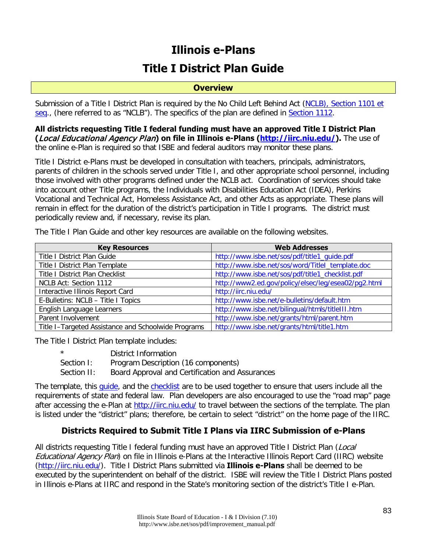# **Illinois e-Plans Title I District Plan Guide**

### **Overview**

Submission of a Title I District Plan is required by the No Child Left Behind Act (NCLB), Section 1101 et [seq.](http://www.ed.gov/policy/elsec/leg/esea02/index.html), (here referred to as "NCLB"). The specifics of the plan are defined in [Section 1112.](http://www.ed.gov/policy/elsec/leg/esea02/pg2.html#sec1112)

**All districts requesting Title I federal funding must have an approved Title I District Plan (**Local Educational Agency Plan**) on file in Illinois e-Plans [\(http://iirc.niu.edu/\)](http://iirc.niu.edu/).** The use of the online e-Plan is required so that ISBE and federal auditors may monitor these plans.

Title I District e-Plans must be developed in consultation with teachers, principals, administrators, parents of children in the schools served under Title I, and other appropriate school personnel, including those involved with other programs defined under the NCLB act. Coordination of services should take into account other Title programs, the Individuals with Disabilities Education Act (IDEA), Perkins Vocational and Technical Act, Homeless Assistance Act, and other Acts as appropriate. These plans will remain in effect for the duration of the district's participation in Title I programs. The district must periodically review and, if necessary, revise its plan.

| <b>Key Resources</b>                                | <b>Web Addresses</b>                                |
|-----------------------------------------------------|-----------------------------------------------------|
| Title I District Plan Guide                         | http://www.isbe.net/sos/pdf/title1_guide.pdf        |
| Title I District Plan Template                      | http://www.isbe.net/sos/word/Titlel_template.doc    |
| Title I District Plan Checklist                     | http://www.isbe.net/sos/pdf/title1_checklist.pdf    |
| NCLB Act: Section 1112                              | http://www2.ed.gov/policy/elsec/leg/esea02/pg2.html |
| Interactive Illinois Report Card                    | http://iirc.niu.edu/                                |
| E-Bulletins: NCLB - Title I Topics                  | http://www.isbe.net/e-bulletins/default.htm         |
| English Language Learners                           | http://www.isbe.net/bilingual/htmls/titleIII.htm    |
| Parent Involvement                                  | http://www.isbe.net/grants/html/parent.htm          |
| Title I-Targeted Assistance and Schoolwide Programs | http://www.isbe.net/grants/html/title1.htm          |

The Title I Plan Guide and other key resources are available on the following websites.

The Title I District Plan template includes:

| $\star$     | District Information                            |
|-------------|-------------------------------------------------|
| Section I:  | Program Description (16 components)             |
| Section II: | Board Approval and Certification and Assurances |

The template, this [guide,](http://www.isbe.net/sos/pdf/title1_checklist.pdf) and the [checklist](http://www.isbe.net/sos/pdf/title1_checklist.pdf) are to be used together to ensure that users include all the requirements of state and federal law. Plan developers are also encouraged to use the "road map" page after accessing the e-Plan at<http://iirc.niu.edu/> to travel between the sections of the template. The plan is listed under the "district" plans; therefore, be certain to select "district" on the home page of the IIRC.

### **Districts Required to Submit Title I Plans via IIRC Submission of e-Plans**

All districts requesting Title I federal funding must have an approved Title I District Plan (Local Educational Agency Plan) on file in Illinois e-Plans at the Interactive Illinois Report Card (IIRC) website [\(http://iirc.niu.edu/\)](http://iirc.niu.edu/). Title I District Plans submitted via **Illinois e-Plans** shall be deemed to be executed by the superintendent on behalf of the district. ISBE will review the Title I District Plans posted in Illinois e-Plans at IIRC and respond in the State's monitoring section of the district's Title I e-Plan.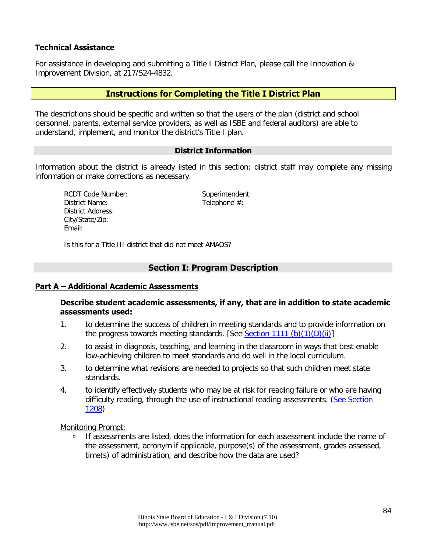### **Technical Assistance**

For assistance in developing and submitting a Title I District Plan, please call the Innovation & Improvement Division, at 217/524-4832.

### **Instructions for Completing the Title I District Plan**

The descriptions should be specific and written so that the users of the plan (district and school personnel, parents, external service providers, as well as ISBE and federal auditors) are able to understand, implement, and monitor the district's Title I plan.

### **District Information**

Information about the district is already listed in this section; district staff may complete any missing information or make corrections as necessary.

RCDT Code Number: Superintendent: District Name: Telephone #: District Address: City/State/Zip: Email:

Is this for a Title III district that did not meet AMAOS?

### **Section I: Program Description**

### **Part A – Additional Academic Assessments**

**Describe student academic assessments, if any, that are in addition to state academic assessments used:** 

- 1. to determine the success of children in meeting standards and to provide information on the progress towards meeting standards. [See [Section 1111 \(b\)\(1\)\(D\)\(ii\)\]](http://www.ed.gov/policy/elsec/leg/esea02/index.html)
- 2. to assist in diagnosis, teaching, and learning in the classroom in ways that best enable low-achieving children to meet standards and do well in the local curriculum.
- 3. to determine what revisions are needed to projects so that such children meet state standards.
- 4. to identify effectively students who may be at risk for reading failure or who are having difficulty reading, through the use of instructional reading assessments. (See Section [1208\)](http://www.ed.gov/policy/elsec/leg/esea02/pg4.html#sec1208)

Monitoring Prompt:

If assessments are listed, does the information for each assessment include the name of the assessment, acronym if applicable, purpose(s) of the assessment, grades assessed, time(s) of administration, and describe how the data are used?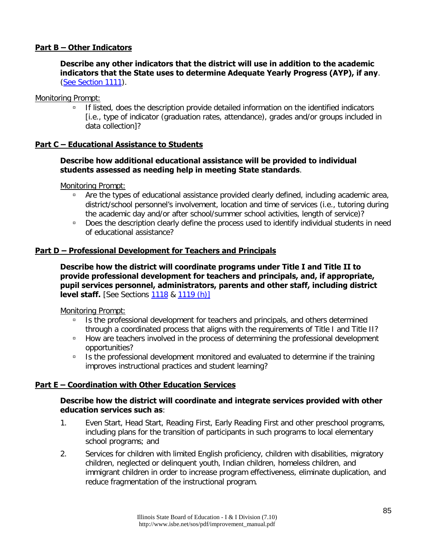### **Part B – Other Indicators**

**Describe any other indicators that the district will use in addition to the academic indicators that the State uses to determine Adequate Yearly Progress (AYP), if any**. [\(See Section 1111\)](http://www.ed.gov/policy/elsec/leg/esea02/pg2.html#sec1111).

### Monitoring Prompt:

 If listed, does the description provide detailed information on the identified indicators [i.e., type of indicator (graduation rates, attendance), grades and/or groups included in data collection]?

### **Part C – Educational Assistance to Students**

### **Describe how additional educational assistance will be provided to individual students assessed as needing help in meeting State standards**.

Monitoring Prompt:

- <sup>n</sup> Are the types of educational assistance provided clearly defined, including academic area, district/school personnel's involvement, location and time of services (i.e., tutoring during the academic day and/or after school/summer school activities, length of service)?
- □ Does the description clearly define the process used to identify individual students in need of educational assistance?

### **Part D – Professional Development for Teachers and Principals**

**Describe how the district will coordinate programs under Title I and Title II to provide professional development for teachers and principals, and, if appropriate, pupil services personnel, administrators, parents and other staff, including district level staff.** [See Sections [1118](http://www.ed.gov/policy/elsec/leg/esea02/pg2.html#sec1118) & [1119 \(h\)\]](http://www.ed.gov/policy/elsec/leg/esea02/pg2.html#sec1119)

Monitoring Prompt:

- Is the professional development for teachers and principals, and others determined through a coordinated process that aligns with the requirements of Title I and Title II?
- **How are teachers involved in the process of determining the professional development** opportunities?
- Is the professional development monitored and evaluated to determine if the training improves instructional practices and student learning?

### **Part E – Coordination with Other Education Services**

### **Describe how the district will coordinate and integrate services provided with other education services such as**:

- 1. Even Start, Head Start, Reading First, Early Reading First and other preschool programs, including plans for the transition of participants in such programs to local elementary school programs; and
- 2. Services for children with limited English proficiency, children with disabilities, migratory children, neglected or delinquent youth, Indian children, homeless children, and immigrant children in order to increase program effectiveness, eliminate duplication, and reduce fragmentation of the instructional program.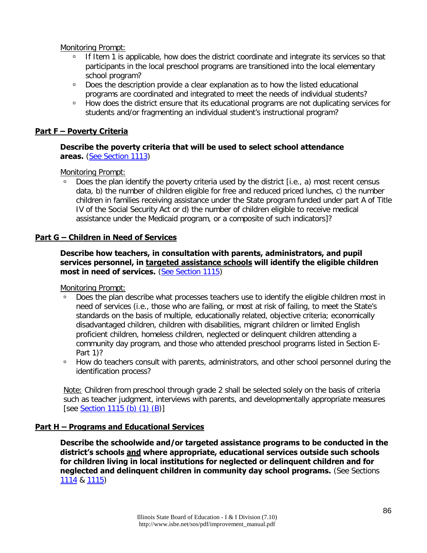Monitoring Prompt:

- If Item 1 is applicable, how does the district coordinate and integrate its services so that participants in the local preschool programs are transitioned into the local elementary school program?
- Does the description provide a clear explanation as to how the listed educational programs are coordinated and integrated to meet the needs of individual students?
- **EXECT** How does the district ensure that its educational programs are not duplicating services for students and/or fragmenting an individual student's instructional program?

### **Part F – Poverty Criteria**

### **Describe the poverty criteria that will be used to select school attendance areas.** [\(See Section 1113\)](http://www.ed.gov/policy/elsec/leg/esea02/pg2.html#sec1113)

Monitoring Prompt:

Does the plan identify the poverty criteria used by the district [i.e., a) most recent census data, b) the number of children eligible for free and reduced priced lunches, c) the number children in families receiving assistance under the State program funded under part A of Title IV of the Social Security Act or d) the number of children eligible to receive medical assistance under the Medicaid program, or a composite of such indicators]?

### **Part G – Children in Need of Services**

**Describe how teachers, in consultation with parents, administrators, and pupil services personnel, in targeted assistance schools will identify the eligible children most in need of services.** [\(See Section 1115\)](http://www.ed.gov/policy/elsec/leg/esea02/pg2.html#sec1115)

Monitoring Prompt:

- Does the plan describe what processes teachers use to identify the eligible children most in need of services (i.e., those who are failing, or most at risk of failing, to meet the State's standards on the basis of multiple, educationally related, objective criteria; economically disadvantaged children, children with disabilities, migrant children or limited English proficient children, homeless children, neglected or delinquent children attending a community day program, and those who attended preschool programs listed in Section E-Part 1)?
- **How do teachers consult with parents, administrators, and other school personnel during the** identification process?

Note: Children from preschool through grade 2 shall be selected solely on the basis of criteria such as teacher judgment, interviews with parents, and developmentally appropriate measures [see [Section 1115 \(b\) \(1\) \(B\)](http://www.ed.gov/policy/elsec/leg/esea02/pg2.html#sec1115)]

### **Part H – Programs and Educational Services**

**Describe the schoolwide and/or targeted assistance programs to be conducted in the district's schools and where appropriate, educational services outside such schools for children living in local institutions for neglected or delinquent children and for neglected and delinquent children in community day school programs.** (See Sections [1114](http://www.ed.gov/policy/elsec/leg/esea02/pg2.html#sec1114) & [1115\)](http://www.ed.gov/policy/elsec/leg/esea02/pg2.html#sec1115)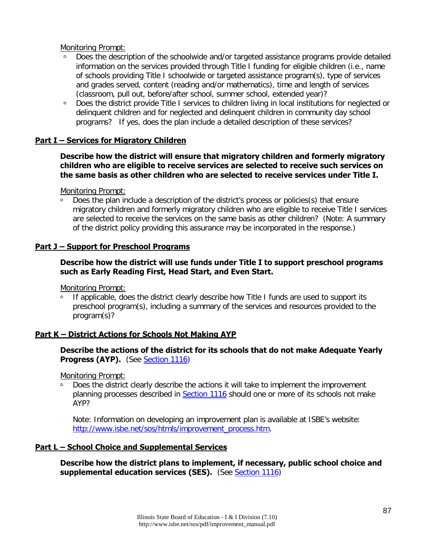Monitoring Prompt:

- Does the description of the schoolwide and/or targeted assistance programs provide detailed information on the services provided through Title I funding for eligible children (i.e., name of schools providing Title I schoolwide or targeted assistance program(s), type of services and grades served, content (reading and/or mathematics), time and length of services (classroom, pull out, before/after school, summer school, extended year)?
- □ Does the district provide Title I services to children living in local institutions for neglected or delinquent children and for neglected and delinquent children in community day school programs? If yes, does the plan include a detailed description of these services?

### **Part I – Services for Migratory Children**

### **Describe how the district will ensure that migratory children and formerly migratory children who are eligible to receive services are selected to receive such services on the same basis as other children who are selected to receive services under Title I.**

Monitoring Prompt:

 Does the plan include a description of the district's process or policies(s) that ensure migratory children and formerly migratory children who are eligible to receive Title I services are selected to receive the services on the same basis as other children? (Note: A summary of the district policy providing this assurance may be incorporated in the response.)

### **Part J – Support for Preschool Programs**

### **Describe how the district will use funds under Title I to support preschool programs such as Early Reading First, Head Start, and Even Start.**

Monitoring Prompt:

■ If applicable, does the district clearly describe how Title I funds are used to support its preschool program(s), including a summary of the services and resources provided to the program(s)?

### **Part K – District Actions for Schools Not Making AYP**

### **Describe the actions of the district for its schools that do not make Adequate Yearly Progress (AYP).** (See [Section 1116\)](http://www.ed.gov/policy/elsec/leg/esea02/pg2.html#sec1116)

Monitoring Prompt:

Does the district clearly describe the actions it will take to implement the improvement planning processes described in [Section 1116](http://www.ed.gov/policy/elsec/leg/esea02/pg2.html#sec1116) should one or more of its schools not make AYP?

Note: Information on developing an improvement plan is available at ISBE's website: [http://www.isbe.net/sos/htmls/improvement\\_process.htm.](http://www.isbe.net/sos/htmls/improvement_process.htm)

### **Part L – School Choice and Supplemental Services**

**Describe how the district plans to implement, if necessary, public school choice and supplemental education services (SES).** (See [Section 1116\)](http://www.ed.gov/policy/elsec/leg/esea02/pg2.html#sec1116)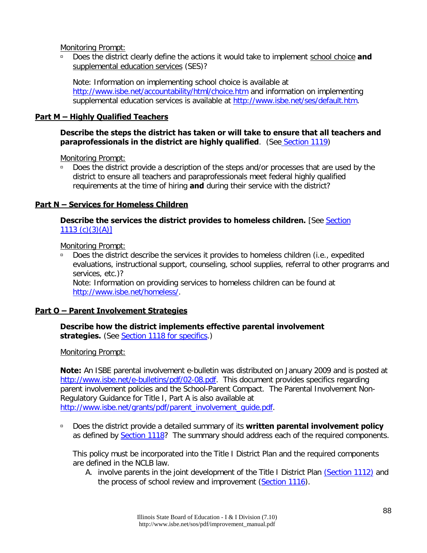Monitoring Prompt:

 Does the district clearly define the actions it would take to implement school choice **and** supplemental education services (SES)?

Note: Information on implementing school choice is available at <http://www.isbe.net/accountability/html/choice.htm> and information on implementing supplemental education services is available at [http://www.isbe.net/ses/default.htm.](http://www.isbe.net/ses/default.htm)

### **Part M – Highly Qualified Teachers**

### **Describe the steps the district has taken or will take to ensure that all teachers and paraprofessionals in the district are highly qualified**. (See [Section 1119\)](http://www.ed.gov/policy/elsec/leg/esea02/pg2.html#sec1119)

Monitoring Prompt:

□ Does the district provide a description of the steps and/or processes that are used by the district to ensure all teachers and paraprofessionals meet federal highly qualified requirements at the time of hiring **and** during their service with the district?

### **Part N – Services for Homeless Children**

### **Describe the services the district provides to homeless children.** [See [Section](http://www.ed.gov/policy/elsec/leg/esea02/pg2.html#sec1113) [1113 \(c\)\(3\)\(A\)\]](http://www.ed.gov/policy/elsec/leg/esea02/pg2.html#sec1113)

Monitoring Prompt:

 Does the district describe the services it provides to homeless children (i.e., expedited evaluations, instructional support, counseling, school supplies, referral to other programs and services, etc.)?

Note: Information on providing services to homeless children can be found at [http://www.isbe.net/homeless/.](http://www.isbe.net/homeless/)

### **Part O – Parent Involvement Strategies**

### **Describe how the district implements effective parental involvement strategies.** (See [Section 1118 for specifics.](http://www.ed.gov/policy/elsec/leg/esea02/pg2.html#sec1118))

Monitoring Prompt:

**Note:** An ISBE parental involvement e-bulletin was distributed on January 2009 and is posted at [http://www.isbe.net/e-bulletins/pdf/02-08.pdf.](http://www.isbe.net/e-bulletins/pdf/02-08.pdf) This document provides specifics regarding parent involvement policies and the School-Parent Compact. The Parental Involvement Non-Regulatory Guidance for Title I, Part A is also available at [http://www.isbe.net/grants/pdf/parent\\_involvement\\_guide.pdf.](http://www.isbe.net/grants/pdf/parent_involvement_guide.pdf)

 Does the district provide a detailed summary of its **written parental involvement policy** as defined by [Section 1118?](http://www.ed.gov/policy/elsec/leg/esea02/pg2.html#sec1118) The summary should address each of the required components.

This policy must be incorporated into the Title I District Plan and the required components are defined in the NCLB law.

A. involve parents in the joint development of the Title I District Plan [\(Section 1112\)](http://www.ed.gov/policy/elsec/leg/esea02/pg2.html#sec1112) and the process of school review and improvement [\(Section 1116\)](http://www.ed.gov/policy/elsec/leg/esea02/pg2.html#sec1116).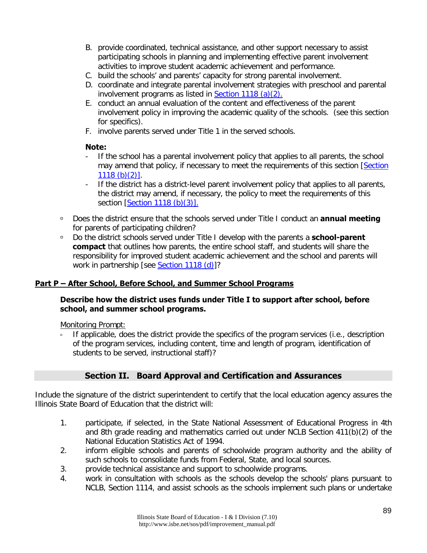- B. provide coordinated, technical assistance, and other support necessary to assist participating schools in planning and implementing effective parent involvement activities to improve student academic achievement and performance.
- C. build the schools' and parents' capacity for strong parental involvement.
- D. coordinate and integrate parental involvement strategies with preschool and parental involvement programs as listed in [Section 1118 \(a\)\(2\).](http://www.ed.gov/policy/elsec/leg/esea02/pg2.html#sec1118)
- E. conduct an annual evaluation of the content and effectiveness of the parent involvement policy in improving the academic quality of the schools. (see this section for specifics).
- F. involve parents served under Title 1 in the served schools.

### **Note:**

- If the school has a parental involvement policy that applies to all parents, the school may amend that policy, if necessary to meet the requirements of this section [\[Section](http://www.ed.gov/policy/elsec/leg/esea02/pg2.html#sec1118)  [1118 \(b\)\(2\)\].](http://www.ed.gov/policy/elsec/leg/esea02/pg2.html#sec1118)
- If the district has a district-level parent involvement policy that applies to all parents, the district may amend, if necessary, the policy to meet the requirements of this section [\[Section 1118 \(b\)\(3\)\].](http://www.ed.gov/policy/elsec/leg/esea02/pg2.html#sec1118)
- Does the district ensure that the schools served under Title I conduct an **annual meeting** for parents of participating children?
- Do the district schools served under Title I develop with the parents a **school-parent compact** that outlines how parents, the entire school staff, and students will share the responsibility for improved student academic achievement and the school and parents will work in partnership [see [Section 1118 \(d\)\]](http://www.ed.gov/policy/elsec/leg/esea02/pg2.html#sec1118)?

### **Part P – After School, Before School, and Summer School Programs**

### **Describe how the district uses funds under Title I to support after school, before school, and summer school programs.**

Monitoring Prompt:

If applicable, does the district provide the specifics of the program services (i.e., description of the program services, including content, time and length of program, identification of students to be served, instructional staff)?

### **Section II. Board Approval and Certification and Assurances**

Include the signature of the district superintendent to certify that the local education agency assures the Illinois State Board of Education that the district will:

- 1. participate, if selected, in the State National Assessment of Educational Progress in 4th and 8th grade reading and mathematics carried out under NCLB Section 411(b)(2) of the National Education Statistics Act of 1994.
- 2. inform eligible schools and parents of schoolwide program authority and the ability of such schools to consolidate funds from Federal, State, and local sources.
- 3. provide technical assistance and support to schoolwide programs.
- 4. work in consultation with schools as the schools develop the schools' plans pursuant to NCLB, Section 1114, and assist schools as the schools implement such plans or undertake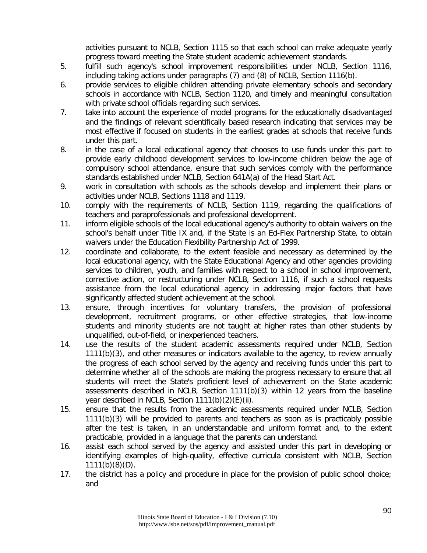activities pursuant to NCLB, Section 1115 so that each school can make adequate yearly progress toward meeting the State student academic achievement standards.

- 5. fulfill such agency's school improvement responsibilities under NCLB, Section 1116, including taking actions under paragraphs (7) and (8) of NCLB, Section 1116(b).
- 6. provide services to eligible children attending private elementary schools and secondary schools in accordance with NCLB, Section 1120, and timely and meaningful consultation with private school officials regarding such services.
- 7. take into account the experience of model programs for the educationally disadvantaged and the findings of relevant scientifically based research indicating that services may be most effective if focused on students in the earliest grades at schools that receive funds under this part.
- 8. in the case of a local educational agency that chooses to use funds under this part to provide early childhood development services to low-income children below the age of compulsory school attendance, ensure that such services comply with the performance standards established under NCLB, Section 641A(a) of the Head Start Act.
- 9. work in consultation with schools as the schools develop and implement their plans or activities under NCLB, Sections 1118 and 1119.
- 10. comply with the requirements of NCLB, Section 1119, regarding the qualifications of teachers and paraprofessionals and professional development.
- 11. inform eligible schools of the local educational agency's authority to obtain waivers on the school's behalf under Title IX and, if the State is an Ed-Flex Partnership State, to obtain waivers under the Education Flexibility Partnership Act of 1999.
- 12. coordinate and collaborate, to the extent feasible and necessary as determined by the local educational agency, with the State Educational Agency and other agencies providing services to children, youth, and families with respect to a school in school improvement, corrective action, or restructuring under NCLB, Section 1116, if such a school requests assistance from the local educational agency in addressing major factors that have significantly affected student achievement at the school.
- 13. ensure, through incentives for voluntary transfers, the provision of professional development, recruitment programs, or other effective strategies, that low-income students and minority students are not taught at higher rates than other students by unqualified, out-of-field, or inexperienced teachers.
- 14. use the results of the student academic assessments required under NCLB, Section 1111(b)(3), and other measures or indicators available to the agency, to review annually the progress of each school served by the agency and receiving funds under this part to determine whether all of the schools are making the progress necessary to ensure that all students will meet the State's proficient level of achievement on the State academic assessments described in NCLB, Section 1111(b)(3) within 12 years from the baseline year described in NCLB, Section 1111(b)(2)(E)(ii).
- 15. ensure that the results from the academic assessments required under NCLB, Section 1111(b)(3) will be provided to parents and teachers as soon as is practicably possible after the test is taken, in an understandable and uniform format and, to the extent practicable, provided in a language that the parents can understand.
- 16. assist each school served by the agency and assisted under this part in developing or identifying examples of high-quality, effective curricula consistent with NCLB, Section  $1111(b)(8)(D)$ .
- 17. the district has a policy and procedure in place for the provision of public school choice; and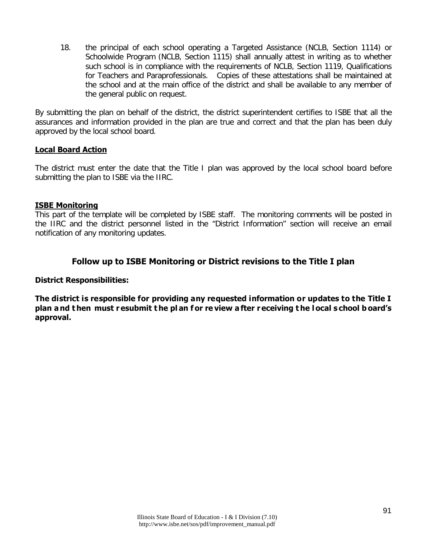18. the principal of each school operating a Targeted Assistance (NCLB, Section 1114) or Schoolwide Program (NCLB, Section 1115) shall annually attest in writing as to whether such school is in compliance with the requirements of NCLB, Section 1119, Qualifications for Teachers and Paraprofessionals. Copies of these attestations shall be maintained at the school and at the main office of the district and shall be available to any member of the general public on request.

By submitting the plan on behalf of the district, the district superintendent certifies to ISBE that all the assurances and information provided in the plan are true and correct and that the plan has been duly approved by the local school board.

### **Local Board Action**

The district must enter the date that the Title I plan was approved by the local school board before submitting the plan to ISBE via the IIRC.

### **ISBE Monitoring**

This part of the template will be completed by ISBE staff. The monitoring comments will be posted in the IIRC and the district personnel listed in the "District Information" section will receive an email notification of any monitoring updates.

### **Follow up to ISBE Monitoring or District revisions to the Title I plan**

### **District Responsibilities:**

**The district is responsible for providing any requested information or updates to the Title I plan a nd t hen must r esubmit t he pl an f or re view a fter r eceiving t he l ocal s chool b oard's approval.**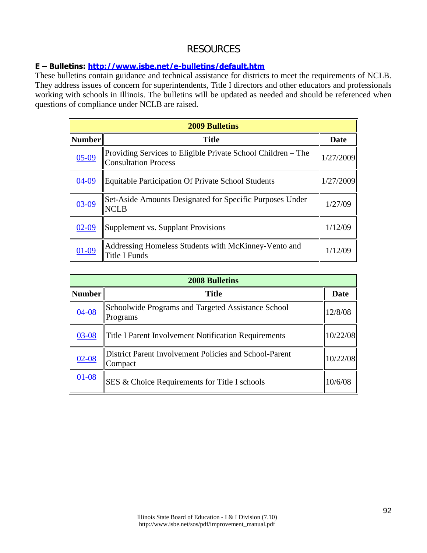## RESOURCES

### **E – Bulletins:<http://www.isbe.net/e-bulletins/default.htm>**

These bulletins contain guidance and technical assistance for districts to meet the requirements of NCLB. They address issues of concern for superintendents, Title I directors and other educators and professionals working with schools in Illinois. The bulletins will be updated as needed and should be referenced when questions of compliance under NCLB are raised.

| <b>2009 Bulletins</b> |                                                                                             |           |  |  |
|-----------------------|---------------------------------------------------------------------------------------------|-----------|--|--|
| Number                | <b>Title</b>                                                                                |           |  |  |
| $05-09$               | Providing Services to Eligible Private School Children – The<br><b>Consultation Process</b> | 1/27/2009 |  |  |
| 04-09                 | <b>Equitable Participation Of Private School Students</b>                                   | 1/27/2009 |  |  |
| $03-09$               | Set-Aside Amounts Designated for Specific Purposes Under<br><b>NCLB</b>                     | 1/27/09   |  |  |
| $02-09$               | Supplement vs. Supplant Provisions                                                          | 1/12/09   |  |  |
| $01-09$               | Addressing Homeless Students with McKinney-Vento and<br>Title I Funds                       | 1/12/09   |  |  |

| <b>2008 Bulletins</b> |                                                                   |          |  |
|-----------------------|-------------------------------------------------------------------|----------|--|
| <b>Number</b>         | <b>Title</b>                                                      |          |  |
| $04 - 08$             | Schoolwide Programs and Targeted Assistance School<br>Programs    | 12/8/08  |  |
| $03 - 08$             | Title I Parent Involvement Notification Requirements              | 10/22/08 |  |
| $02 - 08$             | District Parent Involvement Policies and School-Parent<br>Compact | 10/22/08 |  |
| $01 - 08$             | SES & Choice Requirements for Title I schools                     | 10/6/08  |  |